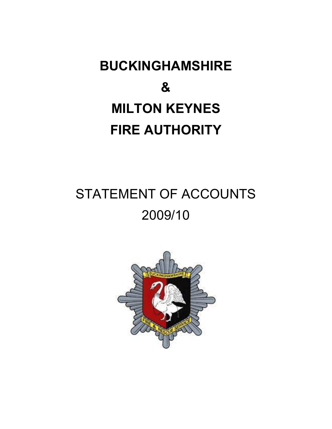# **BUCKINGHAMSHIRE & MILTON KEYNES FIRE AUTHORITY**

## STATEMENT OF ACCOUNTS 2009/10

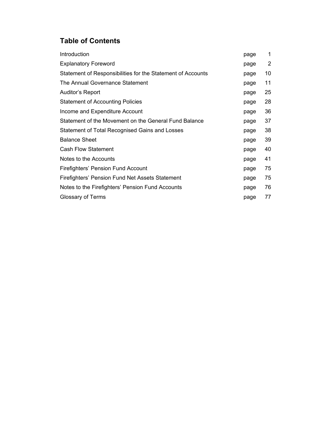## **Table of Contents**

| Introduction                                                | page | 1  |
|-------------------------------------------------------------|------|----|
| <b>Explanatory Foreword</b>                                 | page | 2  |
| Statement of Responsibilities for the Statement of Accounts | page | 10 |
| The Annual Governance Statement                             | page | 11 |
| Auditor's Report                                            | page | 25 |
| <b>Statement of Accounting Policies</b>                     | page | 28 |
| Income and Expenditure Account                              | page | 36 |
| Statement of the Movement on the General Fund Balance       | page | 37 |
| Statement of Total Recognised Gains and Losses              | page | 38 |
| <b>Balance Sheet</b>                                        | page | 39 |
| <b>Cash Flow Statement</b>                                  | page | 40 |
| Notes to the Accounts                                       | page | 41 |
| Firefighters' Pension Fund Account                          | page | 75 |
| Firefighters' Pension Fund Net Assets Statement             | page | 75 |
| Notes to the Firefighters' Pension Fund Accounts            | page | 76 |
| Glossary of Terms                                           | page | 77 |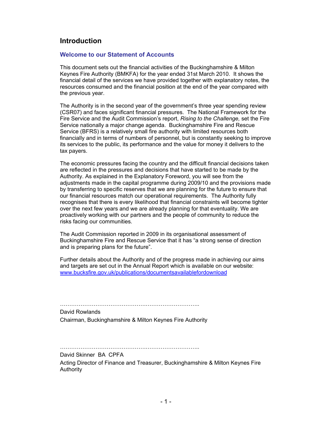### **Introduction**

#### **Welcome to our Statement of Accounts**

This document sets out the financial activities of the Buckinghamshire & Milton Keynes Fire Authority (BMKFA) for the year ended 31st March 2010. It shows the financial detail of the services we have provided together with explanatory notes, the resources consumed and the financial position at the end of the year compared with the previous year.

The Authority is in the second year of the government's three year spending review (CSR07) and faces significant financial pressures. The National Framework for the Fire Service and the Audit Commission's report, *Rising to the Challenge,* set the Fire Service nationally a major change agenda. Buckinghamshire Fire and Rescue Service (BFRS) is a relatively small fire authority with limited resources both financially and in terms of numbers of personnel, but is constantly seeking to improve its services to the public, its performance and the value for money it delivers to the tax payers.

The economic pressures facing the country and the difficult financial decisions taken are reflected in the pressures and decisions that have started to be made by the Authority. As explained in the Explanatory Foreword, you will see from the adjustments made in the capital programme during 2009/10 and the provisions made by transferring to specific reserves that we are planning for the future to ensure that our financial resources match our operational requirements. The Authority fully recognises that there is every likelihood that financial constraints will become tighter over the next few years and we are already planning for that eventuality. We are proactively working with our partners and the people of community to reduce the risks facing our communities.

The Audit Commission reported in 2009 in its organisational assessment of Buckinghamshire Fire and Rescue Service that it has "a strong sense of direction and is preparing plans for the future".

Further details about the Authority and of the progress made in achieving our aims and targets are set out in the Annual Report which is available on our website: www.bucksfire.gov.uk/publications/documentsavailablefordownload

David Rowlands Chairman, Buckinghamshire & Milton Keynes Fire Authority

……………………………………….………………………..

……………………………………….………………………..

David Skinner BA CPFA Acting Director of Finance and Treasurer, Buckinghamshire & Milton Keynes Fire Authority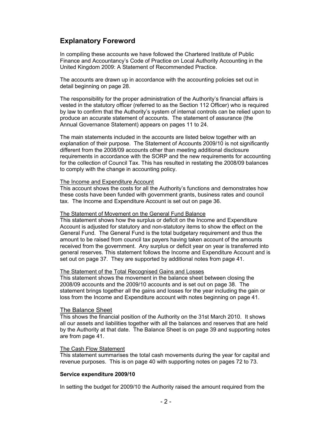## **Explanatory Foreword**

In compiling these accounts we have followed the Chartered Institute of Public Finance and Accountancy's Code of Practice on Local Authority Accounting in the United Kingdom 2009: A Statement of Recommended Practice.

The accounts are drawn up in accordance with the accounting policies set out in detail beginning on page 28.

The responsibility for the proper administration of the Authority's financial affairs is vested in the statutory officer (referred to as the Section 112 Officer) who is required by law to confirm that the Authority's system of internal controls can be relied upon to produce an accurate statement of accounts. The statement of assurance (the Annual Governance Statement) appears on pages 11 to 24.

The main statements included in the accounts are listed below together with an explanation of their purpose. The Statement of Accounts 2009/10 is not significantly different from the 2008/09 accounts other than meeting additional disclosure requirements in accordance with the SORP and the new requirements for accounting for the collection of Council Tax. This has resulted in restating the 2008/09 balances to comply with the change in accounting policy.

#### The Income and Expenditure Account

This account shows the costs for all the Authority's functions and demonstrates how these costs have been funded with government grants, business rates and council tax. The Income and Expenditure Account is set out on page 36.

#### The Statement of Movement on the General Fund Balance

This statement shows how the surplus or deficit on the Income and Expenditure Account is adjusted for statutory and non-statutory items to show the effect on the General Fund. The General Fund is the total budgetary requirement and thus the amount to be raised from council tax payers having taken account of the amounts received from the government. Any surplus or deficit year on year is transferred into general reserves. This statement follows the Income and Expenditure Account and is set out on page 37. They are supported by additional notes from page 41.

#### The Statement of the Total Recognised Gains and Losses

This statement shows the movement in the balance sheet between closing the 2008/09 accounts and the 2009/10 accounts and is set out on page 38. The statement brings together all the gains and losses for the year including the gain or loss from the Income and Expenditure account with notes beginning on page 41.

#### The Balance Sheet

This shows the financial position of the Authority on the 31st March 2010. It shows all our assets and liabilities together with all the balances and reserves that are held by the Authority at that date. The Balance Sheet is on page 39 and supporting notes are from page 41.

#### The Cash Flow Statement

This statement summarises the total cash movements during the year for capital and revenue purposes. This is on page 40 with supporting notes on pages 72 to 73.

#### **Service expenditure 2009/10**

In setting the budget for 2009/10 the Authority raised the amount required from the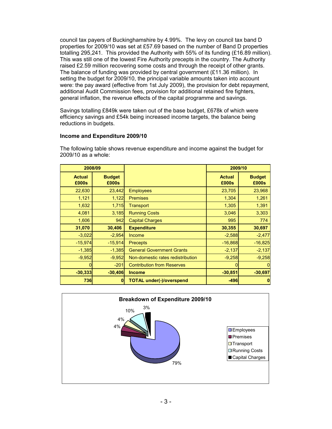council tax payers of Buckinghamshire by 4.99%. The levy on council tax band D properties for 2009/10 was set at £57.69 based on the number of Band D properties totalling 295,241. This provided the Authority with 55% of its funding (£16.89 million). This was still one of the lowest Fire Authority precepts in the country. The Authority raised £2.59 million recovering some costs and through the receipt of other grants. The balance of funding was provided by central government (£11.36 million). In setting the budget for 2009/10, the principal variable amounts taken into account were: the pay award (effective from 1st July 2009), the provision for debt repayment, additional Audit Commission fees, provision for additional retained fire fighters, general inflation, the revenue effects of the capital programme and savings.

Savings totalling £849k were taken out of the base budget, £678k of which were efficiency savings and £54k being increased income targets, the balance being reductions in budgets.

#### **Income and Expenditure 2009/10**

The following table shows revenue expenditure and income against the budget for 2009/10 as a whole:

| 2008/09                |                        |                                   | 2009/10                |                        |
|------------------------|------------------------|-----------------------------------|------------------------|------------------------|
| <b>Actual</b><br>£000s | <b>Budget</b><br>£000s |                                   | <b>Actual</b><br>£000s | <b>Budget</b><br>£000s |
| 22,630                 | 23,442                 | <b>Employees</b>                  | 23,705                 | 23,968                 |
| 1,121                  | 1,122                  | <b>Premises</b>                   | 1,304                  | 1,261                  |
| 1,632                  | 1,715                  | <b>Transport</b>                  | 1,305                  | 1,391                  |
| 4,081                  | 3,185                  | <b>Running Costs</b>              | 3,046                  | 3,303                  |
| 1,606                  | 942                    | <b>Capital Charges</b>            | 995                    | 774                    |
| 31,070                 | 30,406                 | <b>Expenditure</b>                | 30,355                 | 30,697                 |
| $-3,022$               | $-2,954$               | Income                            | $-2,588$               | $-2,477$               |
| $-15,974$              | $-15,914$              | <b>Precepts</b>                   | $-16,868$              | $-16,825$              |
| $-1,385$               | $-1,385$               | <b>General Government Grants</b>  | $-2,137$               | $-2,137$               |
| $-9,952$               | $-9.952$               | Non-domestic rates redistribution | $-9,258$               | $-9,258$               |
|                        | $-201$                 | <b>Contribution from Reserves</b> |                        |                        |
| $-30,333$              | $-30,406$              | <b>Income</b>                     | $-30,851$              | $-30,697$              |
| 736                    | $\mathbf{0}$           | <b>TOTAL under(-)/overspend</b>   | $-496$                 | 0                      |

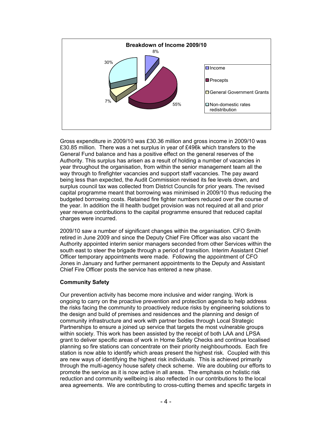

Gross expenditure in 2009/10 was £30.36 million and gross income in 2009/10 was £30.85 million. There was a net surplus in year of £496k which transfers to the General Fund balance and has a positive effect on the general reserves of the Authority. This surplus has arisen as a result of holding a number of vacancies in year throughout the organisation, from within the senior management team all the way through to firefighter vacancies and support staff vacancies. The pay award being less than expected, the Audit Commission revised its fee levels down, and surplus council tax was collected from District Councils for prior years. The revised capital programme meant that borrowing was minimised in 2009/10 thus reducing the budgeted borrowing costs. Retained fire fighter numbers reduced over the course of the year. In addition the ill health budget provision was not required at all and prior year revenue contributions to the capital programme ensured that reduced capital charges were incurred.

2009/10 saw a number of significant changes within the organisation. CFO Smith retired in June 2009 and since the Deputy Chief Fire Officer was also vacant the Authority appointed interim senior managers seconded from other Services within the south east to steer the brigade through a period of transition. Interim Assistant Chief Officer temporary appointments were made. Following the appointment of CFO Jones in January and further permanent appointments to the Deputy and Assistant Chief Fire Officer posts the service has entered a new phase.

#### **Community Safety**

Our prevention activity has become more inclusive and wider ranging. Work is ongoing to carry on the proactive prevention and protection agenda to help address the risks facing the community to proactively reduce risks by engineering solutions to the design and build of premises and residences and the planning and design of community infrastructure and work with partner bodies through Local Strategic Partnerships to ensure a joined up service that targets the most vulnerable groups within society. This work has been assisted by the receipt of both LAA and LPSA grant to deliver specific areas of work in Home Safety Checks and continue localised planning so fire stations can concentrate on their priority neighbourhoods. Each fire station is now able to identify which areas present the highest risk. Coupled with this are new ways of identifying the highest risk individuals. This is achieved primarily through the multi-agency house safety check scheme. We are doubling our efforts to promote the service as it is now active in all areas. The emphasis on holistic risk reduction and community wellbeing is also reflected in our contributions to the local area agreements. We are contributing to cross-cutting themes and specific targets in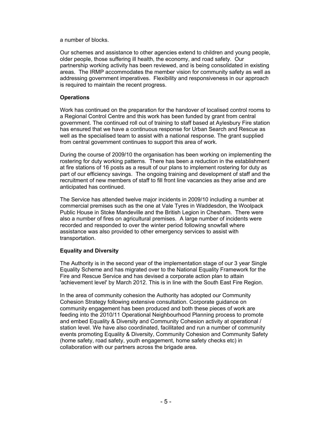a number of blocks.

Our schemes and assistance to other agencies extend to children and young people, older people, those suffering ill health, the economy, and road safety. Our partnership working activity has been reviewed, and is being consolidated in existing areas. The IRMP accommodates the member vision for community safety as well as addressing government imperatives. Flexibility and responsiveness in our approach is required to maintain the recent progress.

#### **Operations**

Work has continued on the preparation for the handover of localised control rooms to a Regional Control Centre and this work has been funded by grant from central government. The continued roll out of training to staff based at Aylesbury Fire station has ensured that we have a continuous response for Urban Search and Rescue as well as the specialised team to assist with a national response. The grant supplied from central government continues to support this area of work.

During the course of 2009/10 the organisation has been working on implementing the rostering for duty working patterns. There has been a reduction in the establishment at fire stations of 16 posts as a result of our plans to implement rostering for duty as part of our efficiency savings. The ongoing training and development of staff and the recruitment of new members of staff to fill front line vacancies as they arise and are anticipated has continued.

The Service has attended twelve major incidents in 2009/10 including a number at commercial premises such as the one at Vale Tyres in Waddesdon, the Woolpack Public House in Stoke Mandeville and the British Legion in Chesham. There were also a number of fires on agricultural premises. A large number of incidents were recorded and responded to over the winter period following snowfall where assistance was also provided to other emergency services to assist with transportation.

#### **Equality and Diversity**

The Authority is in the second year of the implementation stage of our 3 year Single Equality Scheme and has migrated over to the National Equality Framework for the Fire and Rescue Service and has devised a corporate action plan to attain 'achievement level' by March 2012. This is in line with the South East Fire Region.

In the area of community cohesion the Authority has adopted our Community Cohesion Strategy following extensive consultation. Corporate guidance on community engagement has been produced and both these pieces of work are feeding into the 2010/11 Operational Neighbourhood Planning process to promote and embed Equality & Diversity and Community Cohesion activity at operational / station level. We have also coordinated, facilitated and run a number of community events promoting Equality & Diversity, Community Cohesion and Community Safety (home safety, road safety, youth engagement, home safety checks etc) in collaboration with our partners across the brigade area.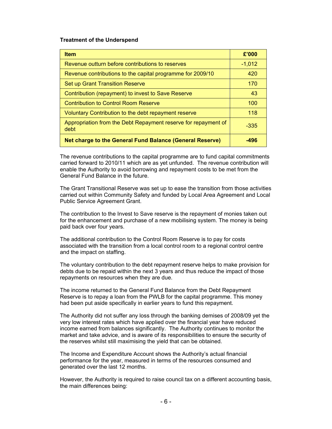#### **Treatment of the Underspend**

| <b>Item</b>                                                            | £'000    |
|------------------------------------------------------------------------|----------|
| Revenue outturn before contributions to reserves                       | $-1,012$ |
| Revenue contributions to the capital programme for 2009/10             | 420      |
| <b>Set up Grant Transition Reserve</b>                                 | 170      |
| Contribution (repayment) to invest to Save Reserve                     | 43       |
| Contribution to Control Room Reserve                                   | 100      |
| Voluntary Contribution to the debt repayment reserve                   | 118      |
| Appropriation from the Debt Repayment reserve for repayment of<br>debt | $-335$   |
| Net charge to the General Fund Balance (General Reserve)               | -496     |

The revenue contributions to the capital programme are to fund capital commitments carried forward to 2010/11 which are as yet unfunded. The revenue contribution will enable the Authority to avoid borrowing and repayment costs to be met from the General Fund Balance in the future.

The Grant Transitional Reserve was set up to ease the transition from those activities carried out within Community Safety and funded by Local Area Agreement and Local Public Service Agreement Grant.

The contribution to the Invest to Save reserve is the repayment of monies taken out for the enhancement and purchase of a new mobilising system. The money is being paid back over four years.

The additional contribution to the Control Room Reserve is to pay for costs associated with the transition from a local control room to a regional control centre and the impact on staffing.

The voluntary contribution to the debt repayment reserve helps to make provision for debts due to be repaid within the next 3 years and thus reduce the impact of those repayments on resources when they are due.

The income returned to the General Fund Balance from the Debt Repayment Reserve is to repay a loan from the PWLB for the capital programme. This money had been put aside specifically in earlier years to fund this repayment.

The Authority did not suffer any loss through the banking demises of 2008/09 yet the very low interest rates which have applied over the financial year have reduced income earned from balances significantly. The Authority continues to monitor the market and take advice, and is aware of its responsibilities to ensure the security of the reserves whilst still maximising the yield that can be obtained.

The Income and Expenditure Account shows the Authority's actual financial performance for the year, measured in terms of the resources consumed and generated over the last 12 months.

However, the Authority is required to raise council tax on a different accounting basis, the main differences being: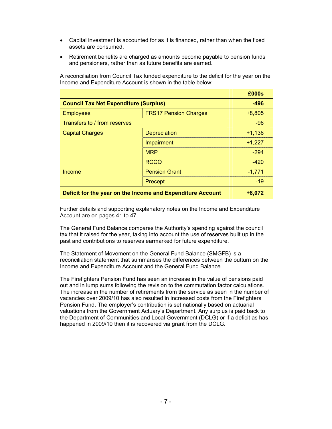- Capital investment is accounted for as it is financed, rather than when the fixed assets are consumed.
- Retirement benefits are charged as amounts become payable to pension funds and pensioners, rather than as future benefits are earned.

|                                                            |                              | £000s    |
|------------------------------------------------------------|------------------------------|----------|
| <b>Council Tax Net Expenditure (Surplus)</b>               | $-496$                       |          |
| <b>Employees</b>                                           | <b>FRS17 Pension Charges</b> | $+8,805$ |
| Transfers to / from reserves                               | $-96$                        |          |
| <b>Capital Charges</b>                                     | Depreciation                 | $+1,136$ |
|                                                            | Impairment                   | $+1,227$ |
|                                                            | <b>MRP</b>                   | $-294$   |
|                                                            | <b>RCCO</b>                  | -420     |
| Income                                                     | <b>Pension Grant</b>         | $-1,771$ |
|                                                            | Precept                      | $-19$    |
| Deficit for the year on the Income and Expenditure Account | $+8,072$                     |          |

A reconciliation from Council Tax funded expenditure to the deficit for the year on the Income and Expenditure Account is shown in the table below:

Further details and supporting explanatory notes on the Income and Expenditure Account are on pages 41 to 47.

The General Fund Balance compares the Authority's spending against the council tax that it raised for the year, taking into account the use of reserves built up in the past and contributions to reserves earmarked for future expenditure.

The Statement of Movement on the General Fund Balance (SMGFB) is a reconciliation statement that summarises the differences between the outturn on the Income and Expenditure Account and the General Fund Balance.

The Firefighters Pension Fund has seen an increase in the value of pensions paid out and in lump sums following the revision to the commutation factor calculations. The increase in the number of retirements from the service as seen in the number of vacancies over 2009/10 has also resulted in increased costs from the Firefighters Pension Fund. The employer's contribution is set nationally based on actuarial valuations from the Government Actuary's Department. Any surplus is paid back to the Department of Communities and Local Government (DCLG) or if a deficit as has happened in 2009/10 then it is recovered via grant from the DCLG.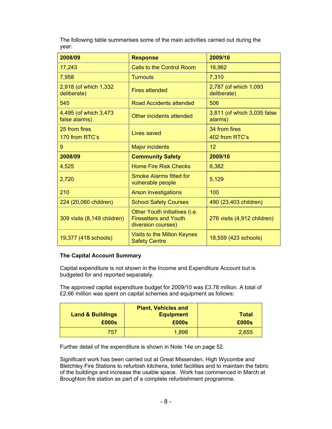The following table summarises some of the main activities carried out during the year:

| 2008/09                                 | <b>Response</b>                                                                     | 2009/10                                |
|-----------------------------------------|-------------------------------------------------------------------------------------|----------------------------------------|
| 17,243                                  | Calls to the Control Room                                                           | 16,962                                 |
| 7,958                                   | <b>Turnouts</b>                                                                     | 7,310                                  |
| 2,918 (of which 1,332<br>deliberate)    | <b>Fires attended</b>                                                               | 2,787 (of which 1,093)<br>deliberate)  |
| 545                                     | Road Accidents attended                                                             | 506                                    |
| 4,495 (of which 3,473)<br>false alarms) | Other incidents attended                                                            | 3,811 (of which 3,035 false<br>alarms) |
| 25 from fires<br>170 from RTC's         | Lives saved                                                                         | 34 from fires<br>402 from RTC's        |
| 9                                       | <b>Major incidents</b>                                                              | 12                                     |
| 2008/09                                 | <b>Community Safety</b>                                                             | 2009/10                                |
| 4,525                                   | <b>Home Fire Risk Checks</b>                                                        | 8,382                                  |
| 2,720                                   | <b>Smoke Alarms fitted for</b><br>vulnerable people                                 | 5,129                                  |
| 210                                     | <b>Arson investigations</b>                                                         | 100                                    |
| 224 (20,060 children)                   | <b>School Safety Courses</b>                                                        | 490 (23,403 children)                  |
| 309 visits (8,149 children)             | Other Youth initiatives (i.e.<br><b>Firesetters and Youth</b><br>diversion courses) | 276 visits (4,912 children)            |
| 19,377 (418 schools)                    | Visits to the Milton Keynes<br><b>Safety Centre</b>                                 | 18,559 (423 schools)                   |

#### **The Capital Account Summary**

Capital expenditure is not shown in the Income and Expenditure Account but is budgeted for and reported separately.

The approved capital expenditure budget for 2009/10 was £3.78 million. A total of £2.66 million was spent on capital schemes and equipment as follows:

| <b>Land &amp; Buildings</b><br>£000s | <b>Plant, Vehicles and</b><br><b>Equipment</b><br>£000s | Total<br>£000s |
|--------------------------------------|---------------------------------------------------------|----------------|
| 757                                  | 1,898                                                   | 2,655          |

Further detail of the expenditure is shown in Note 14e on page 52.

Significant work has been carried out at Great Missenden, High Wycombe and Bletchley Fire Stations to refurbish kitchens, toilet facilities and to maintain the fabric of the buildings and increase the usable space. Work has commenced in March at Broughton fire station as part of a complete refurbishment programme.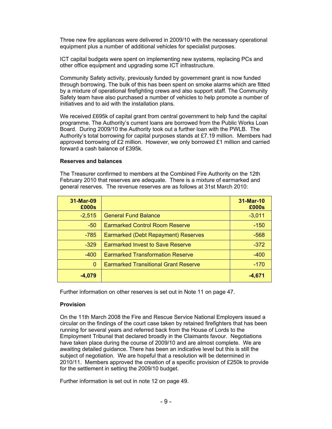Three new fire appliances were delivered in 2009/10 with the necessary operational equipment plus a number of additional vehicles for specialist purposes.

ICT capital budgets were spent on implementing new systems, replacing PCs and other office equipment and upgrading some ICT infrastructure.

Community Safety activity, previously funded by government grant is now funded through borrowing. The bulk of this has been spent on smoke alarms which are fitted by a mixture of operational firefighting crews and also support staff. The Community Safety team have also purchased a number of vehicles to help promote a number of initiatives and to aid with the installation plans.

We received £695k of capital grant from central government to help fund the capital programme. The Authority's current loans are borrowed from the Public Works Loan Board. During 2009/10 the Authority took out a further loan with the PWLB. The Authority's total borrowing for capital purposes stands at £7.19 million. Members had approved borrowing of £2 million. However, we only borrowed  $£1$  million and carried forward a cash balance of £395k.

#### **Reserves and balances**

The Treasurer confirmed to members at the Combined Fire Authority on the 12th February 2010 that reserves are adequate. There is a mixture of earmarked and general reserves. The revenue reserves are as follows at 31st March 2010:

| 31-Mar-09<br>£000s |                                             | 31-Mar-10<br>£000s |
|--------------------|---------------------------------------------|--------------------|
| $-2,515$           | <b>General Fund Balance</b>                 | $-3,011$           |
| $-50$              | <b>Earmarked Control Room Reserve</b>       | $-150$             |
| $-785$             | Earmarked (Debt Repayment) Reserves         | $-568$             |
| $-329$             | <b>Earmarked Invest to Save Reserve</b>     | $-372$             |
| $-400$             | <b>Earmarked Transformation Reserve</b>     | $-400$             |
| $\Omega$           | <b>Earmarked Transitional Grant Reserve</b> | $-170$             |
| $-4,079$           |                                             | $-4,671$           |

Further information on other reserves is set out in Note 11 on page 47.

#### **Provision**

On the 11th March 2008 the Fire and Rescue Service National Employers issued a circular on the findings of the court case taken by retained firefighters that has been running for several years and referred back from the House of Lords to the Employment Tribunal that declared broadly in the Claimants favour. Negotiations have taken place during the course of 2009/10 and are almost complete. We are awaiting detailed guidance. There has been an indicative level but this is still the subject of negotiation. We are hopeful that a resolution will be determined in 2010/11. Members approved the creation of a specific provision of £250k to provide for the settlement in setting the 2009/10 budget.

Further information is set out in note 12 on page 49.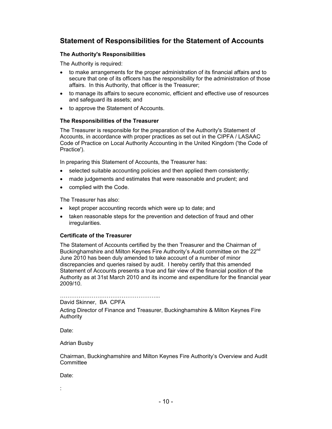## **Statement of Responsibilities for the Statement of Accounts**

#### **The Authority's Responsibilities**

The Authority is required:

- to make arrangements for the proper administration of its financial affairs and to secure that one of its officers has the responsibility for the administration of those affairs. In this Authority, that officer is the Treasurer;
- to manage its affairs to secure economic, efficient and effective use of resources and safeguard its assets; and
- to approve the Statement of Accounts.

#### **The Responsibilities of the Treasurer**

The Treasurer is responsible for the preparation of the Authority's Statement of Accounts, in accordance with proper practices as set out in the CIPFA / LASAAC Code of Practice on Local Authority Accounting in the United Kingdom ('the Code of Practice').

In preparing this Statement of Accounts, the Treasurer has:

- selected suitable accounting policies and then applied them consistently;
- made judgements and estimates that were reasonable and prudent; and
- complied with the Code.

The Treasurer has also:

- kept proper accounting records which were up to date; and
- taken reasonable steps for the prevention and detection of fraud and other irregularities.

#### **Certificate of the Treasurer**

The Statement of Accounts certified by the then Treasurer and the Chairman of Buckinghamshire and Milton Keynes Fire Authority's Audit committee on the 22<sup>nd</sup> June 2010 has been duly amended to take account of a number of minor discrepancies and queries raised by audit. I hereby certify that this amended Statement of Accounts presents a true and fair view of the financial position of the Authority as at 31st March 2010 and its income and expenditure for the financial year 2009/10.

……………………………………………...

David Skinner, BA CPFA

Acting Director of Finance and Treasurer, Buckinghamshire & Milton Keynes Fire Authority

Date:

Adrian Busby

Chairman, Buckinghamshire and Milton Keynes Fire Authority's Overview and Audit **Committee** 

Date:

: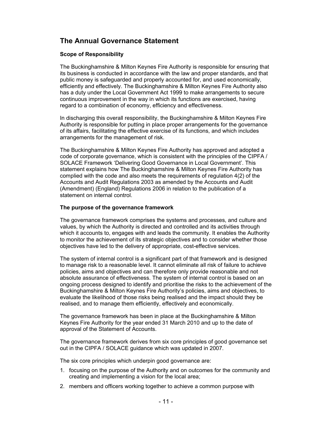## **The Annual Governance Statement**

#### **Scope of Responsibility**

The Buckinghamshire & Milton Keynes Fire Authority is responsible for ensuring that its business is conducted in accordance with the law and proper standards, and that public money is safeguarded and properly accounted for, and used economically, efficiently and effectively. The Buckinghamshire & Milton Keynes Fire Authority also has a duty under the Local Government Act 1999 to make arrangements to secure continuous improvement in the way in which its functions are exercised, having regard to a combination of economy, efficiency and effectiveness.

In discharging this overall responsibility, the Buckinghamshire & Milton Keynes Fire Authority is responsible for putting in place proper arrangements for the governance of its affairs, facilitating the effective exercise of its functions, and which includes arrangements for the management of risk.

The Buckinghamshire & Milton Keynes Fire Authority has approved and adopted a code of corporate governance, which is consistent with the principles of the CIPFA / SOLACE Framework 'Delivering Good Governance in Local Government'. This statement explains how The Buckinghamshire & Milton Keynes Fire Authority has complied with the code and also meets the requirements of regulation 4(2) of the Accounts and Audit Regulations 2003 as amended by the Accounts and Audit (Amendment) (England) Regulations 2006 in relation to the publication of a statement on internal control.

#### **The purpose of the governance framework**

The governance framework comprises the systems and processes, and culture and values, by which the Authority is directed and controlled and its activities through which it accounts to, engages with and leads the community. It enables the Authority to monitor the achievement of its strategic objectives and to consider whether those objectives have led to the delivery of appropriate, cost-effective services.

The system of internal control is a significant part of that framework and is designed to manage risk to a reasonable level. It cannot eliminate all risk of failure to achieve policies, aims and objectives and can therefore only provide reasonable and not absolute assurance of effectiveness. The system of internal control is based on an ongoing process designed to identify and prioritise the risks to the achievement of the Buckinghamshire & Milton Keynes Fire Authority's policies, aims and objectives, to evaluate the likelihood of those risks being realised and the impact should they be realised, and to manage them efficiently, effectively and economically.

The governance framework has been in place at the Buckinghamshire & Milton Keynes Fire Authority for the year ended 31 March 2010 and up to the date of approval of the Statement of Accounts.

The governance framework derives from six core principles of good governance set out in the CIPFA / SOLACE guidance which was updated in 2007.

The six core principles which underpin good governance are:

- 1. focusing on the purpose of the Authority and on outcomes for the community and creating and implementing a vision for the local area;
- 2. members and officers working together to achieve a common purpose with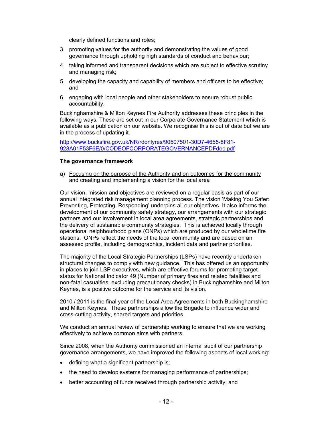clearly defined functions and roles;

- 3. promoting values for the authority and demonstrating the values of good governance through upholding high standards of conduct and behaviour;
- 4. taking informed and transparent decisions which are subject to effective scrutiny and managing risk;
- 5. developing the capacity and capability of members and officers to be effective; and
- 6. engaging with local people and other stakeholders to ensure robust public accountability.

Buckinghamshire & Milton Keynes Fire Authority addresses these principles in the following ways. These are set out in our Corporate Governance Statement which is available as a publication on our website. We recognise this is out of date but we are in the process of updating it.

http://www.bucksfire.gov.uk/NR/rdonlyres/90507501-30D7-4655-8F81- 928A01F53F6E/0/CODEOFCORPORATEGOVERNANCEPDFdoc.pdf

#### **The governance framework**

a) Focusing on the purpose of the Authority and on outcomes for the community and creating and implementing a vision for the local area

Our vision, mission and objectives are reviewed on a regular basis as part of our annual integrated risk management planning process. The vision 'Making You Safer: Preventing, Protecting, Responding' underpins all our objectives. It also informs the development of our community safety strategy, our arrangements with our strategic partners and our involvement in local area agreements, strategic partnerships and the delivery of sustainable community strategies. This is achieved locally through operational neighbourhood plans (ONPs) which are produced by our wholetime fire stations. ONPs reflect the needs of the local community and are based on an assessed profile, including demographics, incident data and partner priorities.

The majority of the Local Strategic Partnerships (LSPs) have recently undertaken structural changes to comply with new guidance. This has offered us an opportunity in places to join LSP executives, which are effective forums for promoting target status for National Indicator 49 (Number of primary fires and related fatalities and non-fatal casualties, excluding precautionary checks) in Buckinghamshire and Milton Keynes, is a positive outcome for the service and its vision.

2010 / 2011 is the final year of the Local Area Agreements in both Buckinghamshire and Milton Keynes. These partnerships allow the Brigade to influence wider and cross-cutting activity, shared targets and priorities.

We conduct an annual review of partnership working to ensure that we are working effectively to achieve common aims with partners.

Since 2008, when the Authority commissioned an internal audit of our partnership governance arrangements, we have improved the following aspects of local working:

- defining what a significant partnership is;
- the need to develop systems for managing performance of partnerships;
- better accounting of funds received through partnership activity; and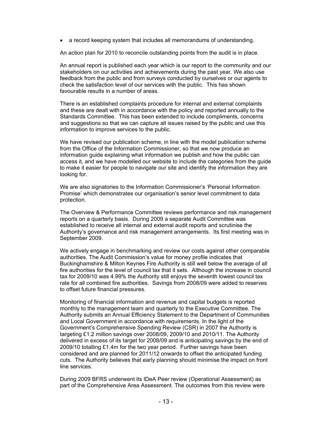• a record keeping system that includes all memorandums of understanding.

An action plan for 2010 to reconcile outstanding points from the audit is in place.

An annual report is published each year which is our report to the community and our stakeholders on our activities and achievements during the past year. We also use feedback from the public and from surveys conducted by ourselves or our agents to check the satisfaction level of our services with the public. This has shown favourable results in a number of areas.

There is an established complaints procedure for internal and external complaints and these are dealt with in accordance with the policy and reported annually to the Standards Committee. This has been extended to include compliments, concerns and suggestions so that we can capture all issues raised by the public and use this information to improve services to the public.

We have revised our publication scheme, in line with the model publication scheme from the Office of the Information Commissioner, so that we now produce an information guide explaining what information we publish and how the public can access it, and we have modelled our website to include the categories from the guide to make it easier for people to navigate our site and identify the information they are looking for.

We are also signatories to the Information Commissioner's 'Personal Information Promise' which demonstrates our organisation's senior level commitment to data protection.

The Overview & Performance Committee reviews performance and risk management reports on a quarterly basis. During 2009 a separate Audit Committee was established to receive all internal and external audit reports and scrutinise the Authority's governance and risk management arrangements. Its first meeting was in September 2009.

We actively engage in benchmarking and review our costs against other comparable authorities. The Audit Commission's value for money profile indicates that Buckinghamshire & Milton Keynes Fire Authority is still well below the average of all fire authorities for the level of council tax that it sets. Although the increase in council tax for 2009/10 was 4.99% the Authority still enjoys the seventh lowest council tax rate for all combined fire authorities. Savings from 2008/09 were added to reserves to offset future financial pressures.

Monitoring of financial information and revenue and capital budgets is reported monthly to the management team and quarterly to the Executive Committee. The Authority submits an Annual Efficiency Statement to the Department of Communities and Local Government in accordance with requirements. In the light of the Government's Comprehensive Spending Review (CSR) in 2007 the Authority is targeting £1.2 million savings over 2008/09, 2009/10 and 2010/11. The Authority delivered in excess of its target for 2008/09 and is anticipating savings by the end of 2009/10 totalling £1.4m for the two year period. Further savings have been considered and are planned for 2011/12 onwards to offset the anticipated funding cuts. The Authority believes that early planning should minimise the impact on front line services.

During 2009 BFRS underwent its IDeA Peer review (Operational Assessment) as part of the Comprehensive Area Assessment. The outcomes from this review were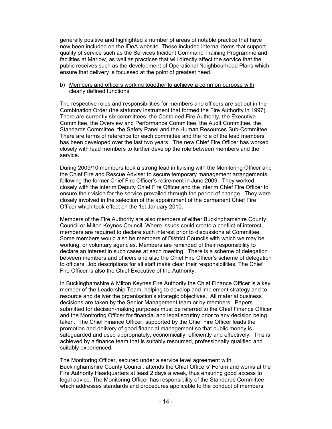generally positive and highlighted a number of areas of notable practice that have now been included on the IDeA website. These included internal items that support quality of service such as the Services Incident Command Training Programme and facilities at Marlow, as well as practices that will directly affect the service that the public receives such as the development of Operational Neighbourhood Plans which ensure that delivery is focussed at the point of greatest need.

#### b) Members and officers working together to achieve a common purpose with clearly defined functions

The respective roles and responsibilities for members and officers are set out in the Combination Order (the statutory instrument that formed the Fire Authority in 1997). There are currently six committees: the Combined Fire Authority, the Executive Committee, the Overview and Performance Committee, the Audit Committee, the Standards Committee, the Safety Panel and the Human Resources Sub-Committee. There are terms of reference for each committee and the role of the lead members has been developed over the last two years. The new Chief Fire Officer has worked closely with lead members to further develop the role between members and the service.

During 2009/10 members took a strong lead in liaising with the Monitoring Officer and the Chief Fire and Rescue Adviser to secure temporary management arrangements following the former Chief Fire Officer's retirement in June 2009. They worked closely with the interim Deputy Chief Fire Officer and the interim Chief Fire Officer to ensure their vision for the service prevailed through the period of change. They were closely involved in the selection of the appointment of the permanent Chief Fire Officer which took effect on the 1st January 2010.

Members of the Fire Authority are also members of either Buckinghamshire County Council or Milton Keynes Council. Where issues could create a conflict of interest, members are required to declare such interest prior to discussions at Committee. Some members would also be members of District Councils with which we may be working, or voluntary agencies. Members are reminded of their responsibility to declare an interest in such cases at each meeting. There is a scheme of delegation between members and officers and also the Chief Fire Officer's scheme of delegation to officers. Job descriptions for all staff make clear their responsibilities. The Chief Fire Officer is also the Chief Executive of the Authority.

In Buckinghamshire & Milton Keynes Fire Authority the Chief Finance Officer is a key member of the Leadership Team, helping to develop and implement strategy and to resource and deliver the organisation's strategic objectives. All material business decisions are taken by the Senior Management team or by members. Papers submitted for decision-making purposes must be referred to the Chief Finance Officer and the Monitoring Officer for financial and legal scrutiny prior to any decision being taken. The Chief Finance Officer, supported by the Chief Fire Officer leads the promotion and delivery of good financial management so that public money is safeguarded and used appropriately, economically, efficiently and effectively. This is achieved by a finance team that is suitably resourced, professionally qualified and suitably experienced.

The Monitoring Officer, secured under a service level agreement with Buckinghamshire County Council, attends the Chief Officers' Forum and works at the Fire Authority Headquarters at least 2 days a week, thus ensuring good access to legal advice. The Monitoring Officer has responsibility of the Standards Committee which addresses standards and procedures applicable to the conduct of members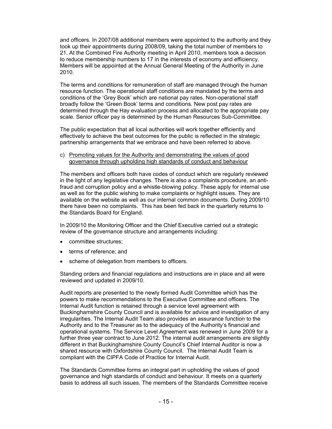and officers. In 2007/08 additional members were appointed to the authority and they took up their appointments during 2008/09, taking the total number of members to 21. At the Combined Fire Authority meeting in April 2010, members took a decision to reduce membership numbers to 17 in the interests of economy and efficiency. Members will be appointed at the Annual General Meeting of the Authority in June 2010.

The terms and conditions for remuneration of staff are managed through the human resource function. The operational staff conditions are mandated by the terms and conditions of the 'Grey Book' which are national pay rates. Non-operational staff broadly follow the 'Green Book' terms and conditions. New post pay rates are determined through the Hay evaluation process and allocated to the appropriate pay scale. Senior officer pay is determined by the Human Resources Sub-Committee.

The public expectation that all local authorities will work together efficiently and effectively to achieve the best outcomes for the public is reflected in the strategic partnership arrangements that we embrace and have been referred to above.

c) Promoting values for the Authority and demonstrating the values of good governance through upholding high standards of conduct and behaviour

The members and officers both have codes of conduct which are regularly reviewed in the light of any legislative changes. There is also a complaints procedure, an antifraud and corruption policy and a whistle-blowing policy. These apply for internal use as well as for the public wishing to make complaints or highlight issues. They are available on the website as well as our internal common documents. During 2009/10 there have been no complaints. This has been fed back in the quarterly returns to the Standards Board for England.

In 2009/10 the Monitoring Officer and the Chief Executive carried out a strategic review of the governance structure and arrangements including:

- committee structures;
- terms of reference; and
- scheme of delegation from members to officers.

Standing orders and financial regulations and instructions are in place and all were reviewed and updated in 2009/10.

Audit reports are presented to the newly formed Audit Committee which has the powers to make recommendations to the Executive Committee and officers. The Internal Audit function is retained through a service level agreement with Buckinghamshire County Council and is available for advice and investigation of any irregularities. The Internal Audit Team also provides an assurance function to the Authority and to the Treasurer as to the adequacy of the Authority's financial and operational systems. The Service Level Agreement was renewed in June 2009 for a further three year contract to June 2012. The internal audit arrangements are slightly different in that Buckinghamshire County Council's Chief Internal Auditor is now a shared resource with Oxfordshire County Council. The Internal Audit Team is compliant with the CIPFA Code of Practice for Internal Audit.

The Standards Committee forms an integral part in upholding the values of good governance and high standards of conduct and behaviour. It meets on a quarterly basis to address all such issues. The members of the Standards Committee receive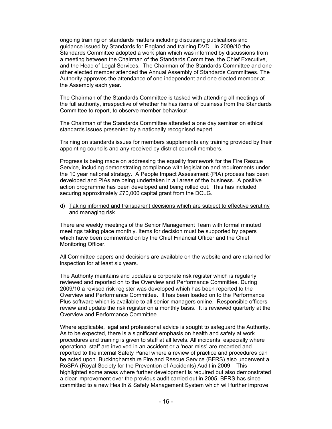ongoing training on standards matters including discussing publications and guidance issued by Standards for England and training DVD. In 2009/10 the Standards Committee adopted a work plan which was informed by discussions from a meeting between the Chairman of the Standards Committee, the Chief Executive, and the Head of Legal Services. The Chairman of the Standards Committee and one other elected member attended the Annual Assembly of Standards Committees. The Authority approves the attendance of one independent and one elected member at the Assembly each year.

The Chairman of the Standards Committee is tasked with attending all meetings of the full authority, irrespective of whether he has items of business from the Standards Committee to report, to observe member behaviour.

The Chairman of the Standards Committee attended a one day seminar on ethical standards issues presented by a nationally recognised expert.

Training on standards issues for members supplements any training provided by their appointing councils and any received by district council members.

Progress is being made on addressing the equality framework for the Fire Rescue Service, including demonstrating compliance with legislation and requirements under the 10 year national strategy. A People Impact Assessment (PIA) process has been developed and PIAs are being undertaken in all areas of the business. A positive action programme has been developed and being rolled out. This has included securing approximately £70,000 capital grant from the DCLG.

#### d) Taking informed and transparent decisions which are subject to effective scrutiny and managing risk

There are weekly meetings of the Senior Management Team with formal minuted meetings taking place monthly. Items for decision must be supported by papers which have been commented on by the Chief Financial Officer and the Chief Monitoring Officer.

All Committee papers and decisions are available on the website and are retained for inspection for at least six years.

The Authority maintains and updates a corporate risk register which is regularly reviewed and reported on to the Overview and Performance Committee. During 2009/10 a revised risk register was developed which has been reported to the Overview and Performance Committee. It has been loaded on to the Performance Plus software which is available to all senior managers online. Responsible officers review and update the risk register on a monthly basis. It is reviewed quarterly at the Overview and Performance Committee.

Where applicable, legal and professional advice is sought to safeguard the Authority. As to be expected, there is a significant emphasis on health and safety at work procedures and training is given to staff at all levels. All incidents, especially where operational staff are involved in an accident or a 'near miss' are recorded and reported to the internal Safety Panel where a review of practice and procedures can be acted upon. Buckinghamshire Fire and Rescue Service (BFRS) also underwent a RoSPA (Royal Society for the Prevention of Accidents) Audit in 2009. This highlighted some areas where further development is required but also demonstrated a clear improvement over the previous audit carried out in 2005. BFRS has since committed to a new Health & Safety Management System which will further improve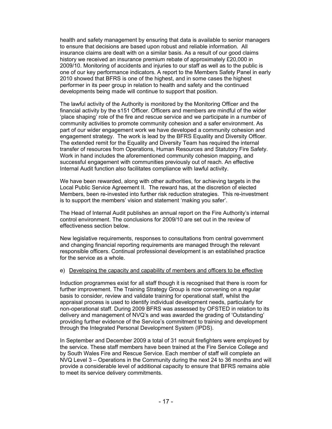health and safety management by ensuring that data is available to senior managers to ensure that decisions are based upon robust and reliable information. All insurance claims are dealt with on a similar basis. As a result of our good claims history we received an insurance premium rebate of approximately £20,000 in 2009/10. Monitoring of accidents and injuries to our staff as well as to the public is one of our key performance indicators. A report to the Members Safety Panel in early 2010 showed that BFRS is one of the highest, and in some cases the highest performer in its peer group in relation to health and safety and the continued developments being made will continue to support that position.

The lawful activity of the Authority is monitored by the Monitoring Officer and the financial activity by the s151 Officer. Officers and members are mindful of the wider 'place shaping' role of the fire and rescue service and we participate in a number of community activities to promote community cohesion and a safer environment. As part of our wider engagement work we have developed a community cohesion and engagement strategy. The work is lead by the BFRS Equality and Diversity Officer. The extended remit for the Equality and Diversity Team has required the internal transfer of resources from Operations, Human Resources and Statutory Fire Safety. Work in hand includes the aforementioned community cohesion mapping, and successful engagement with communities previously out of reach. An effective Internal Audit function also facilitates compliance with lawful activity.

We have been rewarded, along with other authorities, for achieving targets in the Local Public Service Agreement II. The reward has, at the discretion of elected Members, been re-invested into further risk reduction strategies. This re-investment is to support the members' vision and statement 'making you safer'.

The Head of Internal Audit publishes an annual report on the Fire Authority's internal control environment. The conclusions for 2009/10 are set out in the review of effectiveness section below.

New legislative requirements, responses to consultations from central government and changing financial reporting requirements are managed through the relevant responsible officers. Continual professional development is an established practice for the service as a whole.

#### e) Developing the capacity and capability of members and officers to be effective

Induction programmes exist for all staff though it is recognised that there is room for further improvement. The Training Strategy Group is now convening on a regular basis to consider, review and validate training for operational staff, whilst the appraisal process is used to identify individual development needs, particularly for non-operational staff. During 2009 BFRS was assessed by OFSTED in relation to its delivery and management of NVQ's and was awarded the grading of 'Outstanding' providing further evidence of the Service's commitment to training and development through the Integrated Personal Development System (IPDS).

In September and December 2009 a total of 31 recruit firefighters were employed by the service. These staff members have been trained at the Fire Service College and by South Wales Fire and Rescue Service. Each member of staff will complete an NVQ Level 3 – Operations in the Community during the next 24 to 36 months and will provide a considerable level of additional capacity to ensure that BFRS remains able to meet its service delivery commitments.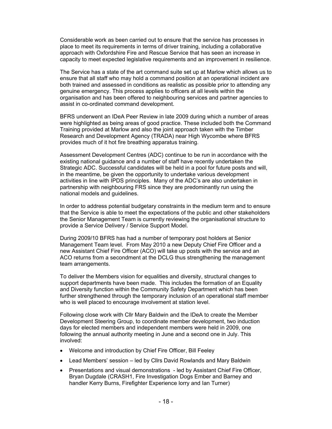Considerable work as been carried out to ensure that the service has processes in place to meet its requirements in terms of driver training, including a collaborative approach with Oxfordshire Fire and Rescue Service that has seen an increase in capacity to meet expected legislative requirements and an improvement in resilience.

The Service has a state of the art command suite set up at Marlow which allows us to ensure that all staff who may hold a command position at an operational incident are both trained and assessed in conditions as realistic as possible prior to attending any genuine emergency. This process applies to officers at all levels within the organisation and has been offered to neighbouring services and partner agencies to assist in co-ordinated command development.

BFRS underwent an IDeA Peer Review in late 2009 during which a number of areas were highlighted as being areas of good practice. These included both the Command Training provided at Marlow and also the joint approach taken with the Timber Research and Development Agency (TRADA) near High Wycombe where BFRS provides much of it hot fire breathing apparatus training.

Assessment Development Centres (ADC) continue to be run in accordance with the existing national guidance and a number of staff have recently undertaken the Strategic ADC. Successful candidates will be held in a pool for future posts and will, in the meantime, be given the opportunity to undertake various development activities in line with IPDS principles. Many of the ADC's are also undertaken in partnership with neighbouring FRS since they are predominantly run using the national models and guidelines.

In order to address potential budgetary constraints in the medium term and to ensure that the Service is able to meet the expectations of the public and other stakeholders the Senior Management Team is currently reviewing the organisational structure to provide a Service Delivery / Service Support Model.

During 2009/10 BFRS has had a number of temporary post holders at Senior Management Team level. From May 2010 a new Deputy Chief Fire Officer and a new Assistant Chief Fire Officer (ACO) will take up posts with the service and an ACO returns from a secondment at the DCLG thus strengthening the management team arrangements.

To deliver the Members vision for equalities and diversity, structural changes to support departments have been made. This includes the formation of an Equality and Diversity function within the Community Safety Department which has been further strengthened through the temporary inclusion of an operational staff member who is well placed to encourage involvement at station level.

Following close work with Cllr Mary Baldwin and the IDeA to create the Member Development Steering Group, to coordinate member development, two induction days for elected members and independent members were held in 2009, one following the annual authority meeting in June and a second one in July. This involved:

- Welcome and introduction by Chief Fire Officer, Bill Feeley
- Lead Members' session led by Cllrs David Rowlands and Mary Baldwin
- Presentations and visual demonstrations led by Assistant Chief Fire Officer, Bryan Dugdale (CRASH1, Fire Investigation Dogs Ember and Barney and handler Kerry Burns, Firefighter Experience lorry and Ian Turner)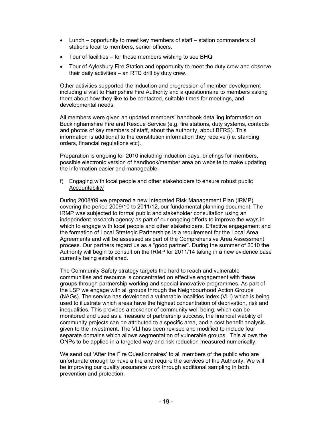- Lunch opportunity to meet key members of staff station commanders of stations local to members, senior officers.
- Tour of facilities for those members wishing to see BHQ
- Tour of Aylesbury Fire Station and opportunity to meet the duty crew and observe their daily activities – an RTC drill by duty crew.

Other activities supported the induction and progression of member development including a visit to Hampshire Fire Authority and a questionnaire to members asking them about how they like to be contacted, suitable times for meetings, and developmental needs.

All members were given an updated members' handbook detailing information on Buckinghamshire Fire and Rescue Service (e.g. fire stations, duty systems, contacts and photos of key members of staff, about the authority, about BFRS). This information is additional to the constitution information they receive (i.e. standing orders, financial regulations etc).

Preparation is ongoing for 2010 including induction days, briefings for members, possible electronic version of handbook/member area on website to make updating the information easier and manageable.

#### f) Engaging with local people and other stakeholders to ensure robust public Accountability

During 2008/09 we prepared a new Integrated Risk Management Plan (IRMP) covering the period 2009/10 to 2011/12, our fundamental planning document. The IRMP was subjected to formal public and stakeholder consultation using an independent research agency as part of our ongoing efforts to improve the ways in which to engage with local people and other stakeholders. Effective engagement and the formation of Local Strategic Partnerships is a requirement for the Local Area Agreements and will be assessed as part of the Comprehensive Area Assessment process. Our partners regard us as a "good partner". During the summer of 2010 the Authority will begin to consult on the IRMP for 2011/14 taking in a new evidence base currently being established.

The Community Safety strategy targets the hard to reach and vulnerable communities and resource is concentrated on effective engagement with these groups through partnership working and special innovative programmes. As part of the LSP we engage with all groups through the Neighbourhood Action Groups (NAGs). The service has developed a vulnerable localities index (VLI) which is being used to illustrate which areas have the highest concentration of deprivation, risk and inequalities. This provides a reckoner of community well being, which can be monitored and used as a measure of partnership success, the financial viability of community projects can be attributed to a specific area, and a cost benefit analysis given to the investment. The VLI has been revised and modified to include four separate domains which allows segmentation of vulnerable groups. This allows the ONPs to be applied in a targeted way and risk reduction measured numerically.

We send out 'After the Fire Questionnaires' to all members of the public who are unfortunate enough to have a fire and require the services of the Authority. We will be improving our quality assurance work through additional sampling in both prevention and protection.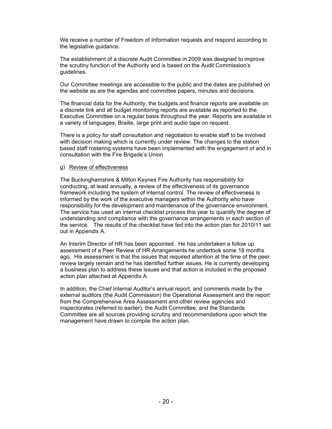We receive a number of Freedom of Information requests and respond according to the legislative guidance.

The establishment of a discrete Audit Committee in 2009 was designed to improve the scrutiny function of the Authority and is based on the Audit Commission's guidelines.

Our Committee meetings are accessible to the public and the dates are published on the website as are the agendas and committee papers, minutes and decisions.

The financial data for the Authority, the budgets and finance reports are available on a discrete link and all budget monitoring reports are available as reported to the Executive Committee on a regular basis throughout the year. Reports are available in a variety of languages, Braille, large print and audio tape on request.

There is a policy for staff consultation and negotiation to enable staff to be involved with decision making which is currently under review. The changes to the station based staff rostering systems have been implemented with the engagement of and in consultation with the Fire Brigade's Union

#### g) Review of effectiveness

The Buckinghamshire & Milton Keynes Fire Authority has responsibility for conducting, at least annually, a review of the effectiveness of its governance framework including the system of internal control. The review of effectiveness is informed by the work of the executive managers within the Authority who have responsibility for the development and maintenance of the governance environment. The service has used an internal checklist process this year to quantify the degree of understanding and compliance with the governance arrangements in each section of the service. The results of the checklist have fed into the action plan for 2010/11 set out in Appendix A.

An Interim Director of HR has been appointed. He has undertaken a follow up assessment of a Peer Review of HR Arrangements he undertook some 18 months ago. His assessment is that the issues that required attention at the time of the peer review largely remain and he has identified further issues. He is currently developing a business plan to address these issues and that action is included in the proposed action plan attached at Appendix A.

In addition, the Chief Internal Auditor's annual report, and comments made by the external auditors (the Audit Commission) the Operational Assessment and the report from the Comprehensive Area Assessment and other review agencies and inspectorates (referred to earlier), the Audit Committee, and the Standards Committee are all sources providing scrutiny and recommendations upon which the management have drawn to compile the action plan.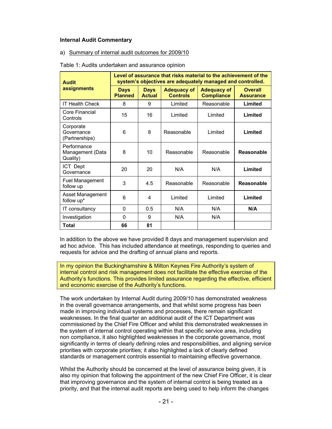#### **Internal Audit Commentary**

#### a) Summary of internal audit outcomes for 2009/10

| Table 1: Audits undertaken and assurance opinion |
|--------------------------------------------------|
|--------------------------------------------------|

| <b>Audit</b>                                | Level of assurance that risks material to the achievement of the<br>system's objectives are adequately managed and controlled. |                              |                                       |                                         |                                    |
|---------------------------------------------|--------------------------------------------------------------------------------------------------------------------------------|------------------------------|---------------------------------------|-----------------------------------------|------------------------------------|
| assignments                                 | <b>Days</b><br><b>Planned</b>                                                                                                  | <b>Days</b><br><b>Actual</b> | <b>Adequacy of</b><br><b>Controls</b> | <b>Adequacy of</b><br><b>Compliance</b> | <b>Overall</b><br><b>Assurance</b> |
| <b>IT Health Check</b>                      | 8                                                                                                                              | 9                            | Limited                               | Reasonable                              | Limited                            |
| Core Financial<br>Controls                  | 15                                                                                                                             | 16                           | Limited                               | Limited                                 | Limited                            |
| Corporate<br>Governance<br>(Partnerships)   | 6                                                                                                                              | 8                            | Reasonable                            | Limited                                 | Limited                            |
| Performance<br>Management (Data<br>Quality) | 8                                                                                                                              | 10                           | Reasonable                            | Reasonable                              | Reasonable                         |
| ICT Dept<br>Governance                      | 20                                                                                                                             | 20                           | N/A                                   | N/A                                     | Limited                            |
| <b>Fuel Management</b><br>follow up         | 3                                                                                                                              | 4.5                          | Reasonable                            | Reasonable                              | Reasonable                         |
| Asset Management<br>follow up*              | 6                                                                                                                              | 4                            | Limited                               | Limited                                 | Limited                            |
| IT consultancy                              | 0                                                                                                                              | 0.5                          | N/A                                   | N/A                                     | N/A                                |
| Investigation                               | $\Omega$                                                                                                                       | 9                            | N/A                                   | N/A                                     |                                    |
| Total                                       | 66                                                                                                                             | 81                           |                                       |                                         |                                    |

In addition to the above we have provided 8 days and management supervision and ad hoc advice. This has included attendance at meetings, responding to queries and requests for advice and the drafting of annual plans and reports.

In my opinion the Buckinghamshire & Milton Keynes Fire Authority's system of internal control and risk management does not facilitate the effective exercise of the Authority's functions. This provides limited assurance regarding the effective, efficient and economic exercise of the Authority's functions.

The work undertaken by Internal Audit during 2009/10 has demonstrated weakness in the overall governance arrangements, and that whilst some progress has been made in improving individual systems and processes, there remain significant weaknesses. In the final quarter an additional audit of the ICT Department was commissioned by the Chief Fire Officer and whilst this demonstrated weaknesses in the system of internal control operating within that specific service area, including non compliance, it also highlighted weaknesses in the corporate governance, most significantly in terms of clearly defining roles and responsibilities, and aligning service priorities with corporate priorities; it also highlighted a lack of clearly defined standards or management controls essential to maintaining effective governance.

Whilst the Authority should be concerned at the level of assurance being given, it is also my opinion that following the appointment of the new Chief Fire Officer, it is clear that improving governance and the system of internal control is being treated as a priority, and that the internal audit reports are being used to help inform the changes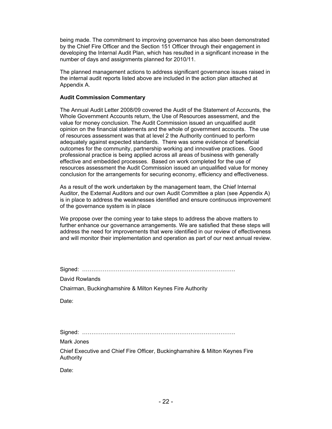being made. The commitment to improving governance has also been demonstrated by the Chief Fire Officer and the Section 151 Officer through their engagement in developing the Internal Audit Plan, which has resulted in a significant increase in the number of days and assignments planned for 2010/11.

The planned management actions to address significant governance issues raised in the internal audit reports listed above are included in the action plan attached at Appendix A.

#### **Audit Commission Commentary**

The Annual Audit Letter 2008/09 covered the Audit of the Statement of Accounts, the Whole Government Accounts return, the Use of Resources assessment, and the value for money conclusion. The Audit Commission issued an unqualified audit opinion on the financial statements and the whole of government accounts. The use of resources assessment was that at level 2 the Authority continued to perform adequately against expected standards. There was some evidence of beneficial outcomes for the community, partnership working and innovative practices. Good professional practice is being applied across all areas of business with generally effective and embedded processes. Based on work completed for the use of resources assessment the Audit Commission issued an unqualified value for money conclusion for the arrangements for securing economy, efficiency and effectiveness.

As a result of the work undertaken by the management team, the Chief Internal Auditor, the External Auditors and our own Audit Committee a plan (see Appendix A) is in place to address the weaknesses identified and ensure continuous improvement of the governance system is in place

We propose over the coming year to take steps to address the above matters to further enhance our governance arrangements. We are satisfied that these steps will address the need for improvements that were identified in our review of effectiveness and will monitor their implementation and operation as part of our next annual review.

Signed: ……………………………………………………………………….

David Rowlands

Chairman, Buckinghamshire & Milton Keynes Fire Authority

Date:

Signed: ……………………………………………………………………….

Mark Jones

Chief Executive and Chief Fire Officer, Buckinghamshire & Milton Keynes Fire Authority

Date: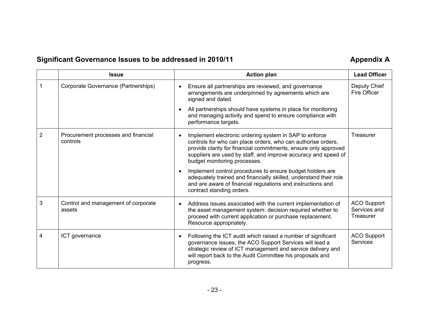## Significant Governance Issues to be addressed in 2010/11 **All and Strutter A and Appendix A Appendix A**

|                | <b>Issue</b>                                    | <b>Action plan</b>                                                                                                                                                                                                                                                                                       | <b>Lead Officer</b>                             |
|----------------|-------------------------------------------------|----------------------------------------------------------------------------------------------------------------------------------------------------------------------------------------------------------------------------------------------------------------------------------------------------------|-------------------------------------------------|
|                | Corporate Governance (Partnerships)             | Ensure all partnerships are reviewed, and governance<br>arrangements are underpinned by agreements which are<br>signed and dated.                                                                                                                                                                        | Deputy Chief<br>Fire Officer                    |
|                |                                                 | All partnerships should have systems in place for monitoring<br>and managing activity and spend to ensure compliance with<br>performance targets.                                                                                                                                                        |                                                 |
| $\overline{2}$ | Procurement processes and financial<br>controls | Implement electronic ordering system in SAP to enforce<br>$\bullet$<br>controls for who can place orders, who can authorise orders,<br>provide clarity for financial commitments, ensure only approved<br>suppliers are used by staff, and improve accuracy and speed of<br>budget monitoring processes. | Treasurer                                       |
|                |                                                 | Implement control procedures to ensure budget holders are<br>adequately trained and financially skilled, understand their role<br>and are aware of financial regulations and instructions and<br>contract standing orders.                                                                               |                                                 |
| 3              | Control and management of corporate<br>assets   | Address issues associated with the current implementation of<br>$\bullet$<br>the asset management system: decision required whether to<br>proceed with current application or purchase replacement.<br>Resource appropriately.                                                                           | <b>ACO Support</b><br>Services and<br>Treasurer |
| 4              | ICT governance                                  | Following the ICT audit which raised a number of significant<br>governance issues, the ACO Support Services will lead a<br>strategic review of ICT management and service delivery and<br>will report back to the Audit Committee his proposals and<br>progress.                                         | <b>ACO Support</b><br><b>Services</b>           |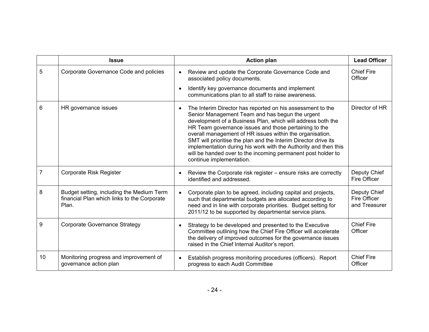|    | <b>Issue</b>                                                                                      | <b>Action plan</b>                                                                                                                                                                                                                                                                                                                                                                                                                                                                                                                               | <b>Lead Officer</b>                           |
|----|---------------------------------------------------------------------------------------------------|--------------------------------------------------------------------------------------------------------------------------------------------------------------------------------------------------------------------------------------------------------------------------------------------------------------------------------------------------------------------------------------------------------------------------------------------------------------------------------------------------------------------------------------------------|-----------------------------------------------|
| 5  | Corporate Governance Code and policies                                                            | Review and update the Corporate Governance Code and<br>$\bullet$<br>associated policy documents.                                                                                                                                                                                                                                                                                                                                                                                                                                                 | <b>Chief Fire</b><br>Officer                  |
|    |                                                                                                   | Identify key governance documents and implement<br>communications plan to all staff to raise awareness.                                                                                                                                                                                                                                                                                                                                                                                                                                          |                                               |
| 6  | HR governance issues                                                                              | The Interim Director has reported on his assessment to the<br>$\bullet$<br>Senior Management Team and has begun the urgent<br>development of a Business Plan, which will address both the<br>HR Team governance issues and those pertaining to the<br>overall management of HR issues within the organisation.<br>SMT will prioritise the plan and the Interim Director drive its<br>implementation during his work with the Authority and then this<br>will be handed over to the incoming permanent post holder to<br>continue implementation. | Director of HR                                |
| 7  | Corporate Risk Register                                                                           | Review the Corporate risk register – ensure risks are correctly<br>$\bullet$<br>identified and addressed.                                                                                                                                                                                                                                                                                                                                                                                                                                        | Deputy Chief<br>Fire Officer                  |
| 8  | Budget setting, including the Medium Term<br>financial Plan which links to the Corporate<br>Plan. | Corporate plan to be agreed, including capital and projects,<br>$\bullet$<br>such that departmental budgets are allocated according to<br>need and in line with corporate priorities. Budget setting for<br>2011/12 to be supported by departmental service plans.                                                                                                                                                                                                                                                                               | Deputy Chief<br>Fire Officer<br>and Treasurer |
| 9  | <b>Corporate Governance Strategy</b>                                                              | Strategy to be developed and presented to the Executive<br>$\bullet$<br>Committee outlining how the Chief Fire Officer will accelerate<br>the delivery of improved outcomes for the governance issues<br>raised in the Chief Internal Auditor's report.                                                                                                                                                                                                                                                                                          | <b>Chief Fire</b><br>Officer                  |
| 10 | Monitoring progress and improvement of<br>governance action plan                                  | Establish progress monitoring procedures (officers). Report<br>$\bullet$<br>progress to each Audit Committee                                                                                                                                                                                                                                                                                                                                                                                                                                     | <b>Chief Fire</b><br>Officer                  |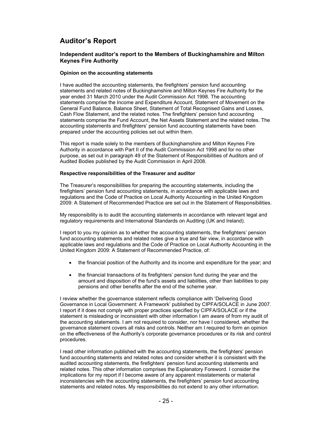## **Auditor's Report**

#### **Independent auditor's report to the Members of Buckinghamshire and Milton Keynes Fire Authority**

#### **Opinion on the accounting statements**

I have audited the accounting statements, the firefighters' pension fund accounting statements and related notes of Buckinghamshire and Milton Keynes Fire Authority for the year ended 31 March 2010 under the Audit Commission Act 1998. The accounting statements comprise the Income and Expenditure Account, Statement of Movement on the General Fund Balance, Balance Sheet, Statement of Total Recognised Gains and Losses, Cash Flow Statement, and the related notes. The firefighters' pension fund accounting statements comprise the Fund Account, the Net Assets Statement and the related notes. The accounting statements and firefighters' pension fund accounting statements have been prepared under the accounting policies set out within them.

This report is made solely to the members of Buckinghamshire and Milton Keynes Fire Authority in accordance with Part II of the Audit Commission Act 1998 and for no other purpose, as set out in paragraph 49 of the Statement of Responsibilities of Auditors and of Audited Bodies published by the Audit Commission in April 2008.

#### **Respective responsibilities of the Treasurer and auditor**

The Treasurer's responsibilities for preparing the accounting statements, including the firefighters' pension fund accounting statements, in accordance with applicable laws and regulations and the Code of Practice on Local Authority Accounting in the United Kingdom 2009: A Statement of Recommended Practice are set out in the Statement of Responsibilities.

My responsibility is to audit the accounting statements in accordance with relevant legal and regulatory requirements and International Standards on Auditing (UK and Ireland).

I report to you my opinion as to whether the accounting statements, the firefighters' pension fund accounting statements and related notes give a true and fair view, in accordance with applicable laws and regulations and the Code of Practice on Local Authority Accounting in the United Kingdom 2009: A Statement of Recommended Practice, of:

- the financial position of the Authority and its income and expenditure for the year; and
- the financial transactions of its firefighters' pension fund during the year and the amount and disposition of the fund's assets and liabilities, other than liabilities to pay pensions and other benefits after the end of the scheme year.

I review whether the governance statement reflects compliance with 'Delivering Good Governance in Local Government: A Framework' published by CIPFA/SOLACE in June 2007. I report if it does not comply with proper practices specified by CIPFA/SOLACE or if the statement is misleading or inconsistent with other information I am aware of from my audit of the accounting statements. I am not required to consider, nor have I considered, whether the governance statement covers all risks and controls. Neither am I required to form an opinion on the effectiveness of the Authority's corporate governance procedures or its risk and control procedures.

I read other information published with the accounting statements, the firefighters' pension fund accounting statements and related notes and consider whether it is consistent with the audited accounting statements, the firefighters' pension fund accounting statements and related notes. This other information comprises the Explanatory Foreword. I consider the implications for my report if I become aware of any apparent misstatements or material inconsistencies with the accounting statements, the firefighters' pension fund accounting statements and related notes. My responsibilities do not extend to any other information.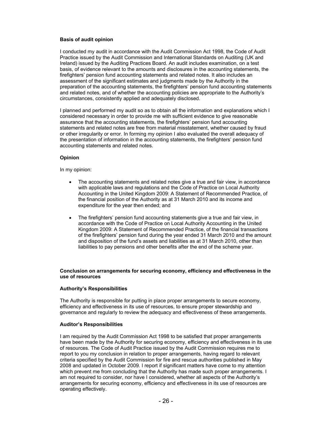#### **Basis of audit opinion**

I conducted my audit in accordance with the Audit Commission Act 1998, the Code of Audit Practice issued by the Audit Commission and International Standards on Auditing (UK and Ireland) issued by the Auditing Practices Board. An audit includes examination, on a test basis, of evidence relevant to the amounts and disclosures in the accounting statements, the firefighters' pension fund accounting statements and related notes. It also includes an assessment of the significant estimates and judgments made by the Authority in the preparation of the accounting statements, the firefighters' pension fund accounting statements and related notes, and of whether the accounting policies are appropriate to the Authority's circumstances, consistently applied and adequately disclosed.

I planned and performed my audit so as to obtain all the information and explanations which I considered necessary in order to provide me with sufficient evidence to give reasonable assurance that the accounting statements, the firefighters' pension fund accounting statements and related notes are free from material misstatement, whether caused by fraud or other irregularity or error. In forming my opinion I also evaluated the overall adequacy of the presentation of information in the accounting statements, the firefighters' pension fund accounting statements and related notes.

#### **Opinion**

In my opinion:

- The accounting statements and related notes give a true and fair view, in accordance with applicable laws and regulations and the Code of Practice on Local Authority Accounting in the United Kingdom 2009: A Statement of Recommended Practice, of the financial position of the Authority as at 31 March 2010 and its income and expenditure for the year then ended; and
- The firefighters' pension fund accounting statements give a true and fair view, in accordance with the Code of Practice on Local Authority Accounting in the United Kingdom 2009: A Statement of Recommended Practice, of the financial transactions of the firefighters' pension fund during the year ended 31 March 2010 and the amount and disposition of the fund's assets and liabilities as at 31 March 2010, other than liabilities to pay pensions and other benefits after the end of the scheme year.

#### **Conclusion on arrangements for securing economy, efficiency and effectiveness in the use of resources**

#### **Authority's Responsibilities**

The Authority is responsible for putting in place proper arrangements to secure economy, efficiency and effectiveness in its use of resources, to ensure proper stewardship and governance and regularly to review the adequacy and effectiveness of these arrangements.

#### **Auditor's Responsibilities**

I am required by the Audit Commission Act 1998 to be satisfied that proper arrangements have been made by the Authority for securing economy, efficiency and effectiveness in its use of resources. The Code of Audit Practice issued by the Audit Commission requires me to report to you my conclusion in relation to proper arrangements, having regard to relevant criteria specified by the Audit Commission for fire and rescue authorities published in May 2008 and updated in October 2009. I report if significant matters have come to my attention which prevent me from concluding that the Authority has made such proper arrangements. I am not required to consider, nor have I considered, whether all aspects of the Authority's arrangements for securing economy, efficiency and effectiveness in its use of resources are operating effectively.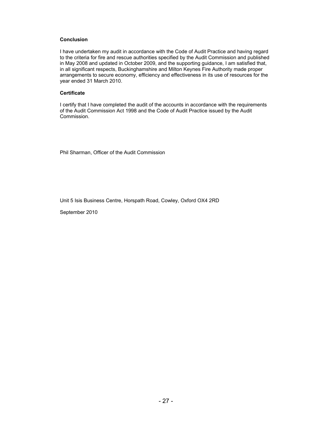#### **Conclusion**

I have undertaken my audit in accordance with the Code of Audit Practice and having regard to the criteria for fire and rescue authorities specified by the Audit Commission and published in May 2008 and updated in October 2009, and the supporting guidance, I am satisfied that, in all significant respects, Buckinghamshire and Milton Keynes Fire Authority made proper arrangements to secure economy, efficiency and effectiveness in its use of resources for the year ended 31 March 2010.

#### **Certificate**

I certify that I have completed the audit of the accounts in accordance with the requirements of the Audit Commission Act 1998 and the Code of Audit Practice issued by the Audit Commission.

Phil Sharman, Officer of the Audit Commission

Unit 5 Isis Business Centre, Horspath Road, Cowley, Oxford OX4 2RD

September 2010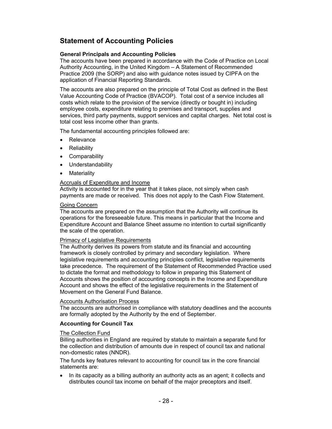## **Statement of Accounting Policies**

#### **General Principals and Accounting Policies**

The accounts have been prepared in accordance with the Code of Practice on Local Authority Accounting, in the United Kingdom – A Statement of Recommended Practice 2009 (the SORP) and also with guidance notes issued by CIPFA on the application of Financial Reporting Standards.

The accounts are also prepared on the principle of Total Cost as defined in the Best Value Accounting Code of Practice (BVACOP). Total cost of a service includes all costs which relate to the provision of the service (directly or bought in) including employee costs, expenditure relating to premises and transport, supplies and services, third party payments, support services and capital charges. Net total cost is total cost less income other than grants.

The fundamental accounting principles followed are:

- Relevance
- Reliability
- Comparability
- Understandability
- **Materiality**

#### Accruals of Expenditure and Income

Activity is accounted for in the year that it takes place, not simply when cash payments are made or received. This does not apply to the Cash Flow Statement.

#### Going Concern

The accounts are prepared on the assumption that the Authority will continue its operations for the foreseeable future. This means in particular that the Income and Expenditure Account and Balance Sheet assume no intention to curtail significantly the scale of the operation.

#### Primacy of Legislative Requirements

The Authority derives its powers from statute and its financial and accounting framework is closely controlled by primary and secondary legislation. Where legislative requirements and accounting principles conflict, legislative requirements take precedence. The requirement of the Statement of Recommended Practice used to dictate the format and methodology to follow in preparing this Statement of Accounts shows the position of accounting concepts in the Income and Expenditure Account and shows the effect of the legislative requirements in the Statement of Movement on the General Fund Balance.

#### Accounts Authorisation Process

The accounts are authorised in compliance with statutory deadlines and the accounts are formally adopted by the Authority by the end of September.

#### **Accounting for Council Tax**

#### The Collection Fund

Billing authorities in England are required by statute to maintain a separate fund for the collection and distribution of amounts due in respect of council tax and national non-domestic rates (NNDR).

The funds key features relevant to accounting for council tax in the core financial statements are:

• In its capacity as a billing authority an authority acts as an agent; it collects and distributes council tax income on behalf of the major preceptors and itself.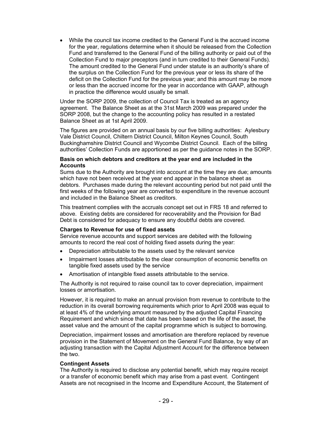• While the council tax income credited to the General Fund is the accrued income for the year, regulations determine when it should be released from the Collection Fund and transferred to the General Fund of the billing authority or paid out of the Collection Fund to major preceptors (and in turn credited to their General Funds). The amount credited to the General Fund under statute is an authority's share of the surplus on the Collection Fund for the previous year or less its share of the deficit on the Collection Fund for the previous year; and this amount may be more or less than the accrued income for the year in accordance with GAAP, although in practice the difference would usually be small.

Under the SORP 2009, the collection of Council Tax is treated as an agency agreement. The Balance Sheet as at the 31st March 2009 was prepared under the SORP 2008, but the change to the accounting policy has resulted in a restated Balance Sheet as at 1st April 2009.

The figures are provided on an annual basis by our five billing authorities: Aylesbury Vale District Council, Chiltern District Council, Milton Keynes Council, South Buckinghamshire District Council and Wycombe District Council. Each of the billing authorities' Collection Funds are apportioned as per the guidance notes in the SORP.

#### **Basis on which debtors and creditors at the year end are included in the Accounts**

Sums due to the Authority are brought into account at the time they are due; amounts which have not been received at the year end appear in the balance sheet as debtors. Purchases made during the relevant accounting period but not paid until the first weeks of the following year are converted to expenditure in the revenue account and included in the Balance Sheet as creditors.

This treatment complies with the accruals concept set out in FRS 18 and referred to above. Existing debts are considered for recoverability and the Provision for Bad Debt is considered for adequacy to ensure any doubtful debts are covered.

#### **Charges to Revenue for use of fixed assets**

Service revenue accounts and support services are debited with the following amounts to record the real cost of holding fixed assets during the year:

- Depreciation attributable to the assets used by the relevant service
- Impairment losses attributable to the clear consumption of economic benefits on tangible fixed assets used by the service
- Amortisation of intangible fixed assets attributable to the service.

The Authority is not required to raise council tax to cover depreciation, impairment losses or amortisation.

However, it is required to make an annual provision from revenue to contribute to the reduction in its overall borrowing requirements which prior to April 2008 was equal to at least 4% of the underlying amount measured by the adjusted Capital Financing Requirement and which since that date has been based on the life of the asset, the asset value and the amount of the capital programme which is subject to borrowing.

Depreciation, impairment losses and amortisation are therefore replaced by revenue provision in the Statement of Movement on the General Fund Balance, by way of an adjusting transaction with the Capital Adjustment Account for the difference between the two.

#### **Contingent Assets**

The Authority is required to disclose any potential benefit, which may require receipt or a transfer of economic benefit which may arise from a past event. Contingent Assets are not recognised in the Income and Expenditure Account, the Statement of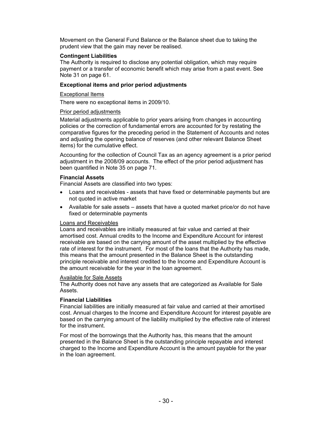Movement on the General Fund Balance or the Balance sheet due to taking the prudent view that the gain may never be realised.

#### **Contingent Liabilities**

The Authority is required to disclose any potential obligation, which may require payment or a transfer of economic benefit which may arise from a past event. See Note 31 on page 61.

#### **Exceptional items and prior period adjustments**

#### Exceptional Items

There were no exceptional items in 2009/10.

#### Prior period adjustments

Material adjustments applicable to prior years arising from changes in accounting policies or the correction of fundamental errors are accounted for by restating the comparative figures for the preceding period in the Statement of Accounts and notes and adjusting the opening balance of reserves (and other relevant Balance Sheet items) for the cumulative effect.

Accounting for the collection of Council Tax as an agency agreement is a prior period adjustment in the 2008/09 accounts. The effect of the prior period adjustment has been quantified in Note 35 on page 71.

#### **Financial Assets**

Financial Assets are classified into two types:

- Loans and receivables assets that have fixed or determinable payments but are not quoted in active market
- Available for sale assets assets that have a quoted market price/or do not have fixed or determinable payments

#### Loans and Receivables

Loans and receivables are initially measured at fair value and carried at their amortised cost. Annual credits to the Income and Expenditure Account for interest receivable are based on the carrying amount of the asset multiplied by the effective rate of interest for the instrument. For most of the loans that the Authority has made, this means that the amount presented in the Balance Sheet is the outstanding principle receivable and interest credited to the Income and Expenditure Account is the amount receivable for the year in the loan agreement.

#### Available for Sale Assets

The Authority does not have any assets that are categorized as Available for Sale Assets.

### **Financial Liabilities**

Financial liabilities are initially measured at fair value and carried at their amortised cost. Annual charges to the Income and Expenditure Account for interest payable are based on the carrying amount of the liability multiplied by the effective rate of interest for the instrument.

For most of the borrowings that the Authority has, this means that the amount presented in the Balance Sheet is the outstanding principle repayable and interest charged to the Income and Expenditure Account is the amount payable for the year in the loan agreement.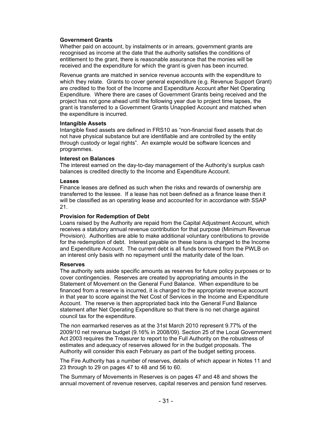#### **Government Grants**

Whether paid on account, by instalments or in arrears, government grants are recognised as income at the date that the authority satisfies the conditions of entitlement to the grant, there is reasonable assurance that the monies will be received and the expenditure for which the grant is given has been incurred.

Revenue grants are matched in service revenue accounts with the expenditure to which they relate. Grants to cover general expenditure (e.g. Revenue Support Grant) are credited to the foot of the Income and Expenditure Account after Net Operating Expenditure. Where there are cases of Government Grants being received and the project has not gone ahead until the following year due to project time lapses, the grant is transferred to a Government Grants Unapplied Account and matched when the expenditure is incurred.

#### **Intangible Assets**

Intangible fixed assets are defined in FRS10 as "non-financial fixed assets that do not have physical substance but are identifiable and are controlled by the entity through custody or legal rights"*.* An example would be software licences and programmes.

#### **Interest on Balances**

The interest earned on the day-to-day management of the Authority's surplus cash balances is credited directly to the Income and Expenditure Account.

#### **Leases**

Finance leases are defined as such when the risks and rewards of ownership are transferred to the lessee. If a lease has not been defined as a finance lease then it will be classified as an operating lease and accounted for in accordance with SSAP 21.

#### **Provision for Redemption of Debt**

Loans raised by the Authority are repaid from the Capital Adjustment Account, which receives a statutory annual revenue contribution for that purpose (Minimum Revenue Provision). Authorities are able to make additional voluntary contributions to provide for the redemption of debt. Interest payable on these loans is charged to the Income and Expenditure Account. The current debt is all funds borrowed from the PWLB on an interest only basis with no repayment until the maturity date of the loan.

#### **Reserves**

The authority sets aside specific amounts as reserves for future policy purposes or to cover contingencies. Reserves are created by appropriating amounts in the Statement of Movement on the General Fund Balance. When expenditure to be financed from a reserve is incurred, it is charged to the appropriate revenue account in that year to score against the Net Cost of Services in the Income and Expenditure Account. The reserve is then appropriated back into the General Fund Balance statement after Net Operating Expenditure so that there is no net charge against council tax for the expenditure.

The non earmarked reserves as at the 31st March 2010 represent 9.77% of the 2009/10 net revenue budget (9.16% in 2008/09). Section 25 of the Local Government Act 2003 requires the Treasurer to report to the Full Authority on the robustness of estimates and adequacy of reserves allowed for in the budget proposals. The Authority will consider this each February as part of the budget setting process.

The Fire Authority has a number of reserves, details of which appear in Notes 11 and 23 through to 29 on pages 47 to 48 and 56 to 60.

The Summary of Movements in Reserves is on pages 47 and 48 and shows the annual movement of revenue reserves, capital reserves and pension fund reserves.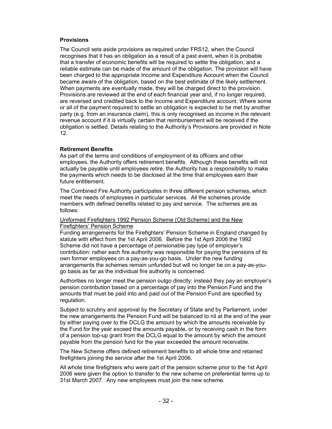#### **Provisions**

The Council sets aside provisions as required under FRS12, when the Council recognises that it has an obligation as a result of a past event, when it is probable that a transfer of economic benefits will be required to settle the obligation, and a reliable estimate can be made of the amount of the obligation. The provision will have been charged to the appropriate Income and Expenditure Account when the Council became aware of the obligation, based on the best estimate of the likely settlement. When payments are eventually made, they will be charged direct to the provision. Provisions are reviewed at the end of each financial year and, if no longer required, are reversed and credited back to the Income and Expenditure account. Where some or all of the payment required to settle an obligation is expected to be met by another party (e.g. from an insurance claim), this is only recognised as income in the relevant revenue account if it is virtually certain that reimbursement will be received if the obligation is settled. Details relating to the Authority's Provisions are provided in Note 12.

#### **Retirement Benefits**

As part of the terms and conditions of employment of its officers and other employees, the Authority offers retirement benefits. Although these benefits will not actually be payable until employees retire, the Authority has a responsibility to make the payments which needs to be disclosed at the time that employees earn their future entitlement.

The Combined Fire Authority participates in three different pension schemes, which meet the needs of employees in particular services. All the schemes provide members with defined benefits related to pay and service. The schemes are as follows:

#### Uniformed Firefighters 1992 Pension Scheme (Old Scheme) and the New Firefighters' Pension Scheme

Funding arrangements for the Firefighters' Pension Scheme in England changed by statute with effect from the 1st April 2006. Before the 1st April 2006 the 1992 Scheme did not have a percentage of pensionable pay type of employer's contribution: rather each fire authority was responsible for paying the pensions of its own former employees on a pay-as-you-go basis. Under the new funding arrangements the schemes remain unfunded but will no longer be on a pay-as-yougo basis as far as the individual fire authority is concerned.

Authorities no longer meet the pension outgo directly; instead they pay an employer's pension contribution based on a percentage of pay into the Pension Fund and the amounts that must be paid into and paid out of the Pension Fund are specified by regulation.

Subject to scrutiny and approval by the Secretary of State and by Parliament, under the new arrangements the Pension Fund will be balanced to nil at the end of the year by either paying over to the DCLG the amount by which the amounts receivable by the Fund for the year exceed the amounts payable, or by receiving cash in the form of a pension top-up grant from the DCLG equal to the amount by which the amount payable from the pension fund for the year exceeded the amount receivable.

The New Scheme offers defined retirement benefits to all whole time and retained firefighters joining the service after the 1st April 2006.

All whole time firefighters who were part of the pension scheme prior to the 1st April 2006 were given the option to transfer to the new scheme on preferential terms up to 31st March 2007. Any new employees must join the new scheme.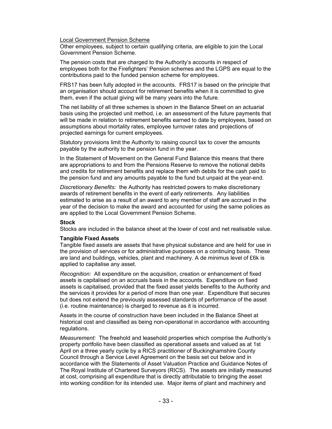Local Government Pension Scheme

Other employees, subject to certain qualifying criteria, are eligible to join the Local Government Pension Scheme.

The pension costs that are charged to the Authority's accounts in respect of employees both for the Firefighters' Pension schemes and the LGPS are equal to the contributions paid to the funded pension scheme for employees.

FRS17 has been fully adopted in the accounts. FRS17 is based on the principle that an organisation should account for retirement benefits when it is committed to give them, even if the actual giving will be many years into the future.

The net liability of all three schemes is shown in the Balance Sheet on an actuarial basis using the projected unit method, i.e. an assessment of the future payments that will be made in relation to retirement benefits earned to date by employees, based on assumptions about mortality rates, employee turnover rates and projections of projected earnings for current employees.

Statutory provisions limit the Authority to raising council tax to cover the amounts payable by the authority to the pension fund in the year.

In the Statement of Movement on the General Fund Balance this means that there are appropriations to and from the Pensions Reserve to remove the notional debits and credits for retirement benefits and replace them with debits for the cash paid to the pension fund and any amounts payable to the fund but unpaid at the year-end.

*Discretionary Benefits:* the Authority has restricted powers to make discretionary awards of retirement benefits in the event of early retirements. Any liabilities estimated to arise as a result of an award to any member of staff are accrued in the year of the decision to make the award and accounted for using the same policies as are applied to the Local Government Pension Scheme.

#### **Stock**

Stocks are included in the balance sheet at the lower of cost and net realisable value.

#### **Tangible Fixed Assets**

Tangible fixed assets are assets that have physical substance and are held for use in the provision of services or for administrative purposes on a continuing basis. These are land and buildings, vehicles, plant and machinery. A de minimus level of £6k is applied to capitalise any asset.

*Recognition:* All expenditure on the acquisition, creation or enhancement of fixed assets is capitalised on an accruals basis in the accounts. Expenditure on fixed assets is capitalised, provided that the fixed asset yields benefits to the Authority and the services it provides for a period of more than one year. Expenditure that secures but does not extend the previously assessed standards of performance of the asset (i.e. routine maintenance) is charged to revenue as it is incurred.

Assets in the course of construction have been included in the Balance Sheet at historical cost and classified as being non-operational in accordance with accounting regulations.

*Measurement:* The freehold and leasehold properties which comprise the Authority's property portfolio have been classified as operational assets and valued as at 1st April on a three yearly cycle by a RICS practitioner of Buckinghamshire County Council through a Service Level Agreement on the basis set out below and in accordance with the Statements of Asset Valuation Practice and Guidance Notes of The Royal Institute of Chartered Surveyors (RICS). The assets are initially measured at cost, comprising all expenditure that is directly attributable to bringing the asset into working condition for its intended use. Major items of plant and machinery and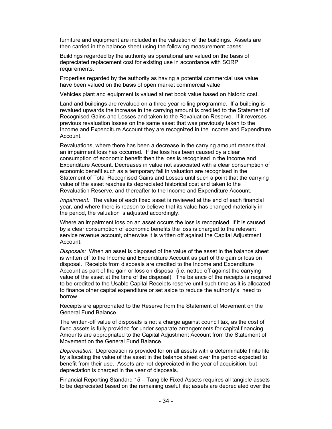furniture and equipment are included in the valuation of the buildings. Assets are then carried in the balance sheet using the following measurement bases:

Buildings regarded by the authority as operational are valued on the basis of depreciated replacement cost for existing use in accordance with SORP requirements.

Properties regarded by the authority as having a potential commercial use value have been valued on the basis of open market commercial value.

Vehicles plant and equipment is valued at net book value based on historic cost.

Land and buildings are revalued on a three year rolling programme. If a building is revalued upwards the increase in the carrying amount is credited to the Statement of Recognised Gains and Losses and taken to the Revaluation Reserve. If it reverses previous revaluation losses on the same asset that was previously taken to the Income and Expenditure Account they are recognized in the Income and Expenditure Account.

Revaluations, where there has been a decrease in the carrying amount means that an impairment loss has occurred. If the loss has been caused by a clear consumption of economic benefit then the loss is recognised in the Income and Expenditure Account. Decreases in value not associated with a clear consumption of economic benefit such as a temporary fall in valuation are recognised in the Statement of Total Recognised Gains and Losses until such a point that the carrying value of the asset reaches its depreciated historical cost and taken to the Revaluation Reserve, and thereafter to the Income and Expenditure Account.

*Impairment:* The value of each fixed asset is reviewed at the end of each financial year, and where there is reason to believe that its value has changed materially in the period, the valuation is adjusted accordingly.

Where an impairment loss on an asset occurs the loss is recognised. If it is caused by a clear consumption of economic benefits the loss is charged to the relevant service revenue account, otherwise it is written off against the Capital Adjustment Account.

*Disposals:* When an asset is disposed of the value of the asset in the balance sheet is written off to the Income and Expenditure Account as part of the gain or loss on disposal. Receipts from disposals are credited to the Income and Expenditure Account as part of the gain or loss on disposal (i.e. netted off against the carrying value of the asset at the time of the disposal). The balance of the receipts is required to be credited to the Usable Capital Receipts reserve until such time as it is allocated to finance other capital expenditure or set aside to reduce the authority's need to borrow.

Receipts are appropriated to the Reserve from the Statement of Movement on the General Fund Balance.

The written-off value of disposals is not a charge against council tax, as the cost of fixed assets is fully provided for under separate arrangements for capital financing. Amounts are appropriated to the Capital Adjustment Account from the Statement of Movement on the General Fund Balance.

*Depreciation:* Depreciation is provided for on all assets with a determinable finite life by allocating the value of the asset in the balance sheet over the period expected to benefit from their use. Assets are not depreciated in the year of acquisition, but depreciation is charged in the year of disposals.

Financial Reporting Standard 15 – Tangible Fixed Assets requires all tangible assets to be depreciated based on the remaining useful life; assets are depreciated over the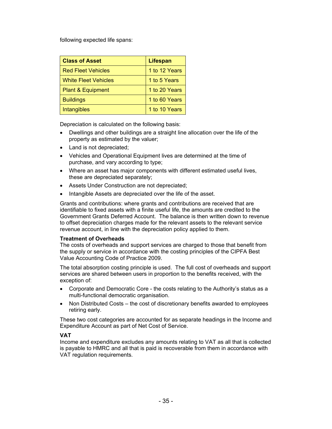following expected life spans:

| <b>Class of Asset</b>        | <b>Lifespan</b> |
|------------------------------|-----------------|
| <b>Red Fleet Vehicles</b>    | 1 to 12 Years   |
| <b>White Fleet Vehicles</b>  | 1 to 5 Years    |
| <b>Plant &amp; Equipment</b> | 1 to 20 Years   |
| <b>Buildings</b>             | 1 to 60 Years   |
| <b>Intangibles</b>           | 1 to 10 Years   |

Depreciation is calculated on the following basis:

- Dwellings and other buildings are a straight line allocation over the life of the property as estimated by the valuer;
- Land is not depreciated;
- Vehicles and Operational Equipment lives are determined at the time of purchase, and vary according to type;
- Where an asset has major components with different estimated useful lives, these are depreciated separately;
- Assets Under Construction are not depreciated;
- Intangible Assets are depreciated over the life of the asset.

Grants and contributions: where grants and contributions are received that are identifiable to fixed assets with a finite useful life, the amounts are credited to the Government Grants Deferred Account. The balance is then written down to revenue to offset depreciation charges made for the relevant assets to the relevant service revenue account, in line with the depreciation policy applied to them.

### **Treatment of Overheads**

The costs of overheads and support services are charged to those that benefit from the supply or service in accordance with the costing principles of the CIPFA Best Value Accounting Code of Practice 2009.

The total absorption costing principle is used. The full cost of overheads and support services are shared between users in proportion to the benefits received, with the exception of:

- Corporate and Democratic Core the costs relating to the Authority's status as a multi-functional democratic organisation.
- Non Distributed Costs the cost of discretionary benefits awarded to employees retiring early.

These two cost categories are accounted for as separate headings in the Income and Expenditure Account as part of Net Cost of Service.

### **VAT**

Income and expenditure excludes any amounts relating to VAT as all that is collected is payable to HMRC and all that is paid is recoverable from them in accordance with VAT regulation requirements.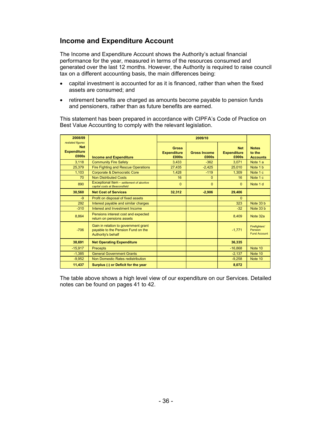# **Income and Expenditure Account**

The Income and Expenditure Account shows the Authority's actual financial performance for the year, measured in terms of the resources consumed and generated over the last 12 months. However, the Authority is required to raise council tax on a different accounting basis, the main differences being:

- capital investment is accounted for as it is financed, rather than when the fixed assets are consumed; and
- retirement benefits are charged as amounts become payable to pension funds and pensioners, rather than as future benefits are earned.

This statement has been prepared in accordance with CIPFA's Code of Practice on Best Value Accounting to comply with the relevant legislation.

| 2008/09                                                       |                                                                                                  |                                             | 2009/10                      |                                           |                                                        |
|---------------------------------------------------------------|--------------------------------------------------------------------------------------------------|---------------------------------------------|------------------------------|-------------------------------------------|--------------------------------------------------------|
| restated figures<br><b>Net</b><br><b>Expenditure</b><br>£000s | <b>Income and Expenditure</b>                                                                    | <b>Gross</b><br><b>Expenditure</b><br>£000s | <b>Gross Income</b><br>£000s | <b>Net</b><br><b>Expenditure</b><br>£000s | <b>Notes</b><br>to the<br><b>Accounts</b>              |
| 3.118                                                         | <b>Community Fire Safety</b>                                                                     | 3,433                                       | $-362$                       | 3.071                                     | Note 1 a                                               |
| 25,379                                                        | <b>Fire Fighting and Rescue Operations</b>                                                       | 27,435                                      | $-2,425$                     | 25,010                                    | Note 1 b                                               |
| 1.103                                                         | <b>Corporate &amp; Democratic Core</b>                                                           | 1,428                                       | $-119$                       | 1.309                                     | Note 1 c                                               |
| 70                                                            | <b>Non Distributed Costs</b>                                                                     | 16                                          | $\Omega$                     | 16                                        | Note 1 c                                               |
| 890                                                           | Exceptional Item - settlement of abortive<br>capital costs at Beaconsfield                       | $\overline{0}$                              | $\Omega$                     | $\Omega$                                  | Note 1 d                                               |
| 30,560                                                        | <b>Net Cost of Services</b>                                                                      | 32,312                                      | $-2.906$                     | 29,406                                    |                                                        |
| $-9$                                                          | Profit on disposal of fixed assets                                                               |                                             |                              | $\Omega$                                  |                                                        |
| 292                                                           | Interest payable and similar charges                                                             |                                             |                              | 323                                       | Note 33 b                                              |
| $-310$                                                        | Interest and Investment Income                                                                   |                                             |                              | $-32$                                     | Note 33 b                                              |
| 8,864                                                         | Pensions interest cost and expected<br>return on pensions assets                                 |                                             |                              | 8,409                                     | Note 32a                                               |
| $-706$                                                        | Gain in relation to government grant<br>payable to the Pension Fund on the<br>Authority's behalf |                                             |                              | $-1,771$                                  | <b>Firefighters'</b><br>Pension<br><b>Fund Account</b> |
| 38,691                                                        | <b>Net Operating Expenditure</b>                                                                 |                                             |                              | 36,335                                    |                                                        |
| $-15,917$                                                     | <b>Precepts</b>                                                                                  |                                             |                              | $-16,868$                                 | Note 10                                                |
| $-1,385$                                                      | <b>General Government Grants</b>                                                                 |                                             |                              | $-2,137$                                  | Note 10                                                |
| $-9.952$                                                      | Non Domestic Rates redistribution                                                                |                                             |                              | $-9.258$                                  | Note 10                                                |
| 11,437                                                        | Surplus (-) or Deficit for the year                                                              |                                             |                              | 8,072                                     |                                                        |

The table above shows a high level view of our expenditure on our Services. Detailed notes can be found on pages 41 to 42.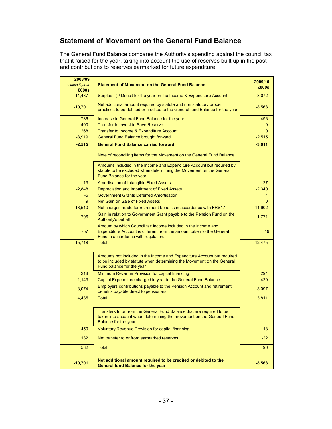# **Statement of Movement on the General Fund Balance**

The General Fund Balance compares the Authority's spending against the council tax that it raised for the year, taking into account the use of reserves built up in the past and contributions to reserves earmarked for future expenditure.

| 2008/09                   |                                                                                                                                                                                | 2009/10   |
|---------------------------|--------------------------------------------------------------------------------------------------------------------------------------------------------------------------------|-----------|
| restated figures<br>£000s | <b>Statement of Movement on the General Fund Balance</b>                                                                                                                       | £000s     |
| 11.437                    | Surplus (-) / Deficit for the year on the Income & Expenditure Account                                                                                                         | 8,072     |
| $-10,701$                 | Net additional amount required by statute and non statutory proper<br>practices to be debited or credited to the General fund Balance for the year                             | $-8,568$  |
| 736                       | Increase in General Fund Balance for the year                                                                                                                                  | $-496$    |
| 400                       | <b>Transfer to Invest to Save Reserve</b>                                                                                                                                      | 0         |
| 268                       | Transfer to Income & Expenditure Account                                                                                                                                       | $\Omega$  |
| $-3,919$                  | General Fund Balance brought forward                                                                                                                                           | $-2,515$  |
| $-2,515$                  | <b>General Fund Balance carried forward</b>                                                                                                                                    | $-3,011$  |
|                           | Note of reconciling items for the Movement on the General Fund Balance                                                                                                         |           |
|                           | Amounts included in the Income and Expenditure Account but required by<br>statute to be excluded when determining the Movement on the General<br>Fund Balance for the year     |           |
| $-13$                     | Amortisation of Intangible Fixed Assets                                                                                                                                        | $-27$     |
| $-2,848$                  | Depreciation and impairment of Fixed Assets                                                                                                                                    | $-2,340$  |
| -5                        | <b>Government Grants Deferred Amortisation</b>                                                                                                                                 | 4         |
| 9                         | Net Gain on Sale of Fixed Assets                                                                                                                                               | $\Omega$  |
| $-13,510$                 | Net charges made for retirement benefits in accordance with FRS17                                                                                                              | $-11,902$ |
| 706                       | Gain in relation to Government Grant payable to the Pension Fund on the<br>Authority's behalf                                                                                  | 1,771     |
| $-57$                     | Amount by which Council tax income included in the Income and<br>Expenditure Account is different from the amount taken to the General<br>Fund in accordance with regulation.  | 19        |
| $-15,718$                 | <b>Total</b>                                                                                                                                                                   | $-12,475$ |
|                           | Amounts not included in the Income and Expenditure Account but required<br>to be included by statute when determining the Movement on the General<br>Fund balance for the year |           |
| 218                       | Minimum Revenue Provision for capital financing                                                                                                                                | 294       |
| 1,143                     | Capital Expenditure charged in-year to the General Fund Balance                                                                                                                | 420       |
| 3,074                     | Employers contributions payable to the Pension Account and retirement<br>benefits payable direct to pensioners                                                                 | 3,097     |
| 4,435                     | <b>Total</b>                                                                                                                                                                   | 3,811     |
|                           | Transfers to or from the General Fund Balance that are required to be<br>taken into account when determining the movement on the General Fund<br>Balance for the year          |           |
| 450                       | <b>Voluntary Revenue Provision for capital financing</b>                                                                                                                       | 118       |
| 132                       | Net transfer to or from earmarked reserves                                                                                                                                     | $-22$     |
| 582                       | <b>Total</b>                                                                                                                                                                   | 96        |
| $-10,701$                 | Net additional amount required to be credited or debited to the<br><b>General fund Balance for the year</b>                                                                    | $-8,568$  |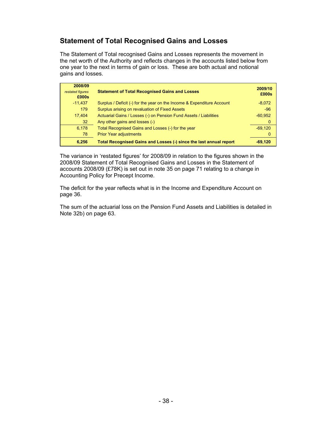# **Statement of Total Recognised Gains and Losses**

The Statement of Total recognised Gains and Losses represents the movement in the net worth of the Authority and reflects changes in the accounts listed below from one year to the next in terms of gain or loss. These are both actual and notional gains and losses.

| 2008/09<br>restated figures<br>£000s | <b>Statement of Total Recognised Gains and Losses</b>                  | 2009/10<br>£000s |
|--------------------------------------|------------------------------------------------------------------------|------------------|
| $-11,437$                            | Surplus / Deficit (-) for the year on the Income & Expenditure Account | $-8,072$         |
| 179                                  | Surplus arising on revaluation of Fixed Assets                         | $-96$            |
| 17.404                               | Actuarial Gains / Losses (-) on Pension Fund Assets / Liabilities      | $-60,952$        |
| 32 <sup>2</sup>                      | Any other gains and losses (-)                                         | 0                |
| 6,178                                | Total Recognised Gains and Losses (-) for the year                     | $-69.120$        |
| 78                                   | <b>Prior Year adjustments</b>                                          | O                |
| 6,256                                | Total Recognised Gains and Losses (-) since the last annual report     | -69.120          |

The variance in 'restated figures' for 2008/09 in relation to the figures shown in the 2008/09 Statement of Total Recognised Gains and Losses in the Statement of accounts 2008/09 (£78K) is set out in note 35 on page 71 relating to a change in Accounting Policy for Precept Income.

The deficit for the year reflects what is in the Income and Expenditure Account on page 36.

The sum of the actuarial loss on the Pension Fund Assets and Liabilities is detailed in Note 32b) on page 63.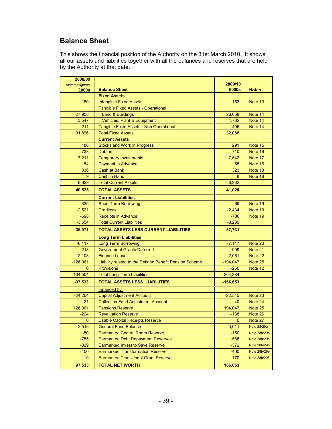# **Balance Sheet**

This shows the financial position of the Authority on the 31st March 2010. It shows all our assets and liabilities together with all the balances and reserves that are held by the Authority at that date.

| 2008/09                 |                                                         |                         |              |
|-------------------------|---------------------------------------------------------|-------------------------|--------------|
| restated figures        |                                                         | 2009/10                 |              |
| £000s                   | <b>Balance Sheet</b>                                    | £000s                   | <b>Notes</b> |
|                         | <b>Fixed Assets</b>                                     |                         |              |
| 180                     | <b>Intangible Fixed Assets</b>                          | 153                     | Note 13      |
|                         | Tangible Fixed Assets - Operational                     |                         |              |
| 27,958                  | <b>Land &amp; Buildings</b>                             | 26,658                  | Note 14      |
| 3,547                   | Vehicles, Plant & Equipment                             | 4,782                   | Note 14      |
| 211                     | Tangible Fixed Assets - Non Operational                 | 495                     | Note 14      |
| 31,896                  | <b>Total Fixed Assets</b>                               | 32,088                  |              |
|                         | <b>Current Assets</b>                                   |                         |              |
| 186                     | <b>Stocks and Work in Progress</b>                      | 291                     | Note 15      |
| 733                     | <b>Debtors</b>                                          | 710                     | Note 16      |
| 7,211                   | <b>Temporary Investments</b>                            | 7,542                   | Note 17      |
| 154                     | <b>Payment in Advance</b>                               | 58                      | Note 16      |
| 336                     | <b>Cash at Bank</b>                                     | 323                     | Note 18      |
| 9                       | Cash in Hand                                            | 8                       | Note 18      |
| 8,629                   | <b>Total Current Assets</b>                             | 8,932                   |              |
| 40,525                  | <b>TOTAL ASSETS</b>                                     | 41,020                  |              |
|                         | <b>Current Liabilities</b>                              |                         |              |
| $-335$                  | <b>Short Term Borrowing</b>                             | $-69$                   | Note 19      |
| $-2,521$                | <b>Creditors</b>                                        | $-2,434$                | Note 19      |
| $-698$                  | <b>Receipts in Advance</b>                              | $-786$                  | Note 19      |
| $-3,554$                | <b>Total Current Liabilities</b>                        | $-3,289$                |              |
| 36,971                  | <b>TOTAL ASSETS LESS CURRENT LIABILITIES</b>            | 37,731                  |              |
|                         | <b>Long Term Liabilities</b>                            |                         |              |
| $-6,117$                | <b>Long Term Borrowing</b>                              | $-7,117$                | Note 20      |
| $-218$                  | <b>Government Grants Deferred</b>                       | $-909$                  | Note 21      |
| $-2,108$                | <b>Finance Lease</b>                                    | $-2,061$                | Note 22      |
| $-126,061$              | Liability related to the Defined Benefit Pension Scheme | $-194,047$              | Note 25      |
| $\mathbf{0}$            | <b>Provisions</b>                                       | $-250$                  | Note 12      |
| $-134,504$              | <b>Total Long Term Liabilities</b>                      | $-204,384$              |              |
| $-97,533$               | <b>TOTAL ASSETS LESS LIABILITIES</b>                    | $-166,653$              |              |
|                         | Financed by:                                            |                         |              |
| $-24,204$               | <b>Capital Adjustment Account</b>                       | $-22,545$               | Note 23      |
| $-21$                   | <b>Collection Fund Adjustment Account</b>               | $-40$                   | Note 24      |
| 126,061                 | <b>Pensions Reserve</b>                                 | 194,047                 | Note 25      |
| $-224$                  | <b>Revaluation Reserve</b>                              | $-138$                  | Note 26      |
| $\overline{\mathbf{0}}$ | <b>Usable Capital Receipts Reserve</b>                  | $\overline{\mathbf{0}}$ | Note 27      |
| $-2,515$                | <b>General Fund Balance</b>                             | $-3,011$                | Note 28/29a  |
| $-50$                   | <b>Earmarked Control Room Reserve</b>                   | $-150$                  | Note 28b/29b |
| $-785$                  | <b>Earmarked Debt Repayment Reserves</b>                | $-568$                  | Note 28b/29c |
| $-329$                  | <b>Earmarked Invest to Save Reserve</b>                 | $-372$                  | Note 28b/29d |
| $-400$                  | <b>Earmarked Transformation Reserve</b>                 | $-400$                  | Note 28b/29e |
| 0                       | <b>Earmarked Transitional Grant Reserve</b>             | $-170$                  | Note 28b/29f |
| 97,533                  | <b>TOTAL NET WORTH</b>                                  | 166,653                 |              |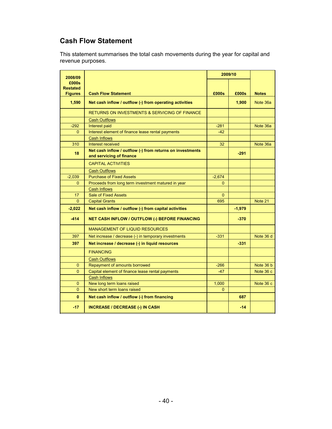# **Cash Flow Statement**

This statement summarises the total cash movements during the year for capital and revenue purposes.

| 2008/09                           |                                                                                       |              | 2009/10  |              |
|-----------------------------------|---------------------------------------------------------------------------------------|--------------|----------|--------------|
| £000s                             |                                                                                       |              |          |              |
| <b>Restated</b><br><b>Figures</b> | <b>Cash Flow Statement</b>                                                            | £000s        | £000s    | <b>Notes</b> |
| 1,590                             | Net cash inflow / outflow (-) from operating activities                               |              | 1,900    | Note 36a     |
|                                   | RETURNS ON INVESTMENTS & SERVICING OF FINANCE                                         |              |          |              |
|                                   | <b>Cash Outflows</b>                                                                  |              |          |              |
| $-292$                            | Interest paid                                                                         | $-281$       |          | Note 36a     |
| 0                                 | Interest element of finance lease rental payments                                     | $-42$        |          |              |
|                                   | <b>Cash Inflows</b>                                                                   |              |          |              |
| 310                               | Interest received                                                                     | 32           |          | Note 36a     |
| 18                                | Net cash inflow / outflow (-) from returns on investments<br>and servicing of finance |              | $-291$   |              |
|                                   | <b>CAPITAL ACTIVITIES</b>                                                             |              |          |              |
|                                   | <b>Cash Outflows</b>                                                                  |              |          |              |
| $-2,039$                          | <b>Purchase of Fixed Assets</b>                                                       | $-2,674$     |          |              |
| $\Omega$                          | Proceeds from long term investment matured in year                                    | $\Omega$     |          |              |
|                                   | <b>Cash Inflows</b>                                                                   |              |          |              |
| 17                                | <b>Sale of Fixed Assets</b>                                                           | $\mathbf{0}$ |          |              |
| $\mathbf{0}$                      | <b>Capital Grants</b>                                                                 | 695          |          | Note 21      |
| $-2,022$                          | Net cash inflow / outflow (-) from capital activities                                 |              | $-1,979$ |              |
| $-414$                            | <b>NET CASH INFLOW / OUTFLOW (-) BEFORE FINANCING</b>                                 |              | $-370$   |              |
|                                   | <b>MANAGEMENT OF LIQUID RESOURCES</b>                                                 |              |          |              |
| 397                               | Net increase / decrease (-) in temporary investments                                  | $-331$       |          | Note 36 d    |
| 397                               | Net increase / decrease (-) in liquid resources                                       |              | $-331$   |              |
|                                   | <b>FINANCING</b>                                                                      |              |          |              |
|                                   | <b>Cash Outflows</b>                                                                  |              |          |              |
| 0                                 | Repayment of amounts borrowed                                                         | $-266$       |          | Note 36 b    |
| $\mathbf{0}$                      | Capital element of finance lease rental payments                                      | $-47$        |          | Note 36 c    |
|                                   | <b>Cash Inflows</b>                                                                   |              |          |              |
| $\mathbf{0}$                      | New long term loans raised                                                            | 1,000        |          | Note 36 c    |
| $\mathbf{0}$                      | New short term loans raised                                                           | $\Omega$     |          |              |
| $\mathbf{0}$                      | Net cash inflow / outflow (-) from financing                                          |              | 687      |              |
| $-17$                             | <b>INCREASE / DECREASE (-) IN CASH</b>                                                |              | $-14$    |              |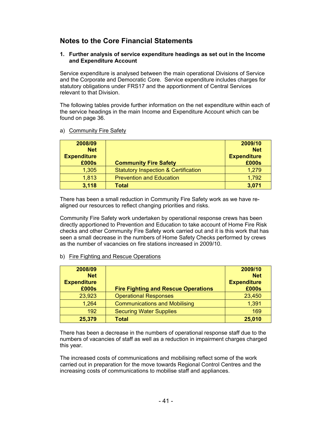# **Notes to the Core Financial Statements**

#### **1. Further analysis of service expenditure headings as set out in the Income and Expenditure Account**

Service expenditure is analysed between the main operational Divisions of Service and the Corporate and Democratic Core. Service expenditure includes charges for statutory obligations under FRS17 and the apportionment of Central Services relevant to that Division.

The following tables provide further information on the net expenditure within each of the service headings in the main Income and Expenditure Account which can be found on page 36.

| 2008/09                          |                                                 | 2009/10                          |
|----------------------------------|-------------------------------------------------|----------------------------------|
| <b>Net</b><br><b>Expenditure</b> |                                                 | <b>Net</b><br><b>Expenditure</b> |
| £000s                            | <b>Community Fire Safety</b>                    | £000s                            |
| 1,305                            | <b>Statutory Inspection &amp; Certification</b> | 1,279                            |
| 1,813                            | <b>Prevention and Education</b>                 | 1,792                            |
| 3,118                            | <b>Total</b>                                    | 3,071                            |

a) Community Fire Safety

There has been a small reduction in Community Fire Safety work as we have realigned our resources to reflect changing priorities and risks.

Community Fire Safety work undertaken by operational response crews has been directly apportioned to Prevention and Education to take account of Home Fire Risk checks and other Community Fire Safety work carried out and it is this work that has seen a small decrease in the numbers of Home Safety Checks performed by crews as the number of vacancies on fire stations increased in 2009/10.

b) Fire Fighting and Rescue Operations

| 2008/09<br><b>Net</b><br><b>Expenditure</b> |                                            | 2009/10<br><b>Net</b><br><b>Expenditure</b> |
|---------------------------------------------|--------------------------------------------|---------------------------------------------|
| £000s                                       | <b>Fire Fighting and Rescue Operations</b> | £000s                                       |
| 23,923                                      | <b>Operational Responses</b>               | 23,450                                      |
| 1,264                                       | <b>Communications and Mobilising</b>       | 1,391                                       |
| 192                                         | <b>Securing Water Supplies</b>             | 169                                         |
| 25,379                                      | <b>Total</b>                               | 25,010                                      |

There has been a decrease in the numbers of operational response staff due to the numbers of vacancies of staff as well as a reduction in impairment charges charged this year.

The increased costs of communications and mobilising reflect some of the work carried out in preparation for the move towards Regional Control Centres and the increasing costs of communications to mobilise staff and appliances.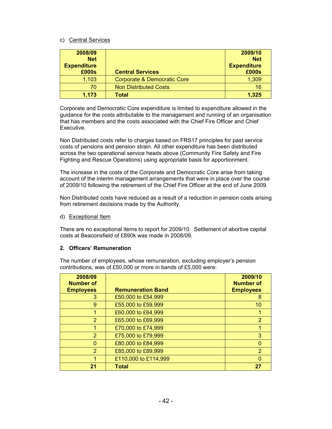### c) Central Services

| 2008/09            |                                        | 2009/10            |
|--------------------|----------------------------------------|--------------------|
| <b>Net</b>         |                                        | <b>Net</b>         |
| <b>Expenditure</b> |                                        | <b>Expenditure</b> |
| £000s              | <b>Central Services</b>                | £000s              |
| 1,103              | <b>Corporate &amp; Democratic Core</b> | 1,309              |
| 70                 | <b>Non Distributed Costs</b>           | 16                 |
| 1,173              | Total                                  | 1,325              |

Corporate and Democratic Core expenditure is limited to expenditure allowed in the guidance for the costs attributable to the management and running of an organisation that has members and the costs associated with the Chief Fire Officer and Chief **Executive.** 

Non Distributed costs refer to charges based on FRS17 principles for past service costs of pensions and pension strain. All other expenditure has been distributed across the two operational service heads above (Community Fire Safety and Fire Fighting and Rescue Operations) using appropriate basis for apportionment.

The increase in the costs of the Corporate and Democratic Core arise from taking account of the interim management arrangements that were in place over the course of 2009/10 following the retirement of the Chief Fire Officer at the end of June 2009.

Non Distributed costs have reduced as a result of a reduction in pension costs arising from retirement decisions made by the Authority.

d) Exceptional Item

There are no exceptional items to report for 2009/10. Settlement of abortive capital costs at Beaconsfield of £890k was made in 2008/09.

### **2. Officers' Remuneration**

The number of employees, whose remuneration, excluding employer's pension contributions, was of £50,000 or more in bands of £5,000 were:

| 2008/09          |                          | 2009/10          |
|------------------|--------------------------|------------------|
| <b>Number of</b> |                          | <b>Number of</b> |
| <b>Employees</b> | <b>Remuneration Band</b> | <b>Employees</b> |
| 3                | £50,000 to £54,999       | 8                |
| 9                | £55,000 to £59,999       | 10               |
|                  | £60,000 to £64,999       |                  |
| 2                | £65,000 to £69,999       | 2                |
|                  | £70,000 to £74,999       |                  |
| $\overline{2}$   | £75,000 to £79,999       | 3                |
| O                | £80,000 to £84,999       |                  |
| 2                | £85,000 to £89,999       | 2                |
|                  | £110,000 to £114,999     |                  |
| 21               | <b>Total</b>             | 27               |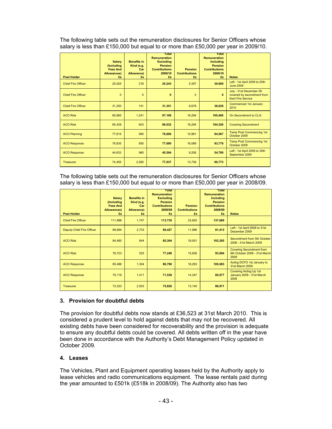The following table sets out the remuneration disclosures for Senior Officers whose salary is less than £150,000 but equal to or more than £50,000 per year in 2009/10.

| <b>Post Holder</b>        | <b>Salary</b><br>(Including<br><b>Fees And</b><br><b>Allowances</b> )<br>£s | <b>Benefits in</b><br>Kind (e.g.<br>Car<br>Allowance)<br>£s | Total<br><b>Remuneration</b><br><b>Excluding</b><br><b>Pension</b><br><b>Contributions</b><br>2009/10<br>£s | <b>Pension</b><br><b>Contributions</b><br>£s | Total<br><b>Remuneration</b><br><b>Including</b><br><b>Pension</b><br><b>Contributions</b><br>2009/10<br>£s | <b>Notes</b>                                                                      |
|---------------------------|-----------------------------------------------------------------------------|-------------------------------------------------------------|-------------------------------------------------------------------------------------------------------------|----------------------------------------------|-------------------------------------------------------------------------------------------------------------|-----------------------------------------------------------------------------------|
| <b>Chief Fire Officer</b> | 25,025                                                                      | 218                                                         | 25,243                                                                                                      | 5.357                                        | 30,600                                                                                                      | Left - 1st April 2009 to 20th<br><b>June 2009</b>                                 |
| <b>Chief Fire Officer</b> | $\Omega$                                                                    | $\Omega$                                                    | $\mathbf{0}$                                                                                                | $\mathbf{0}$                                 | $\mathbf{0}$                                                                                                | July - 31st December 09<br>covered by secondment from<br><b>Kent Fire Service</b> |
| <b>Chief Fire Officer</b> | 31.250                                                                      | 101                                                         | 31,351                                                                                                      | 6.678                                        | 38,028                                                                                                      | Commenced 1st January<br>2010                                                     |
| <b>ACO Risk</b>           | 85,865                                                                      | 1,241                                                       | 87,106                                                                                                      | 18,294                                       | 105,400                                                                                                     | On Secondment to CLG                                                              |
| <b>ACO Risk</b>           | 85.428                                                                      | 603                                                         | 86,032                                                                                                      | 18,294                                       | 104,326                                                                                                     | <b>Covering Secondment</b>                                                        |
| <b>ACO Planning</b>       | 77,615                                                                      | 990                                                         | 78,606                                                                                                      | 15.961                                       | 94,567                                                                                                      | <b>Temp Post Commencing 1st</b><br>October 2009                                   |
| <b>ACO Response</b>       | 76,835                                                                      | 855                                                         | 77,690                                                                                                      | 16,089                                       | 93,779                                                                                                      | <b>Temp Post Commencing 1st</b><br>October 2009                                   |
| <b>ACO Response</b>       | 44,633                                                                      | 960                                                         | 45,594                                                                                                      | 9,206                                        | 54,799                                                                                                      | Left - 1st April 2009 to 30th<br>September 2009                                   |
| Treasurer                 | 74,455                                                                      | 2,582                                                       | 77,037                                                                                                      | 13,736                                       | 90.773                                                                                                      |                                                                                   |

The following table sets out the remuneration disclosures for Senior Officers whose salary is less than £150,000 but equal to or more than £50,000 per year in 2008/09.

| <b>Post Holder</b>               | <b>Salary</b><br>(Including<br><b>Fees And</b><br>Allowances)<br>£s | <b>Benefits in</b><br>Kind (e.g.<br>Car<br>Allowance)<br>£s | Total<br><b>Remuneration</b><br><b>Excluding</b><br><b>Pension</b><br><b>Contributions</b><br>2008/09<br>£s | <b>Pension</b><br><b>Contributions</b><br>£s | Total<br><b>Remuneration</b><br><b>Including</b><br><b>Pension</b><br><b>Contributions</b><br>2008/09<br>£s | <b>Notes</b>                                                             |
|----------------------------------|---------------------------------------------------------------------|-------------------------------------------------------------|-------------------------------------------------------------------------------------------------------------|----------------------------------------------|-------------------------------------------------------------------------------------------------------------|--------------------------------------------------------------------------|
| <b>Chief Fire Officer</b>        | 111,988                                                             | 1,747                                                       | 113,735                                                                                                     | 23,925                                       | 137,660                                                                                                     |                                                                          |
| <b>Deputy Chief Fire Officer</b> | 66,694                                                              | 2,733                                                       | 69,427                                                                                                      | 11,986                                       | 81,413                                                                                                      | Left - 1st April 2008 to 31st<br>December 2009                           |
| <b>ACO Risk</b>                  | 84,460                                                              | 844                                                         | 85,304                                                                                                      | 18,001                                       | 103,305                                                                                                     | Secondment from 5th October<br>2008 - 31st March 2009                    |
| <b>ACO Risk</b>                  | 76,723                                                              | 525                                                         | 77,248                                                                                                      | 15,836                                       | 93,084                                                                                                      | <b>Covering Secondment from</b><br>6th October 2008 - 31st March<br>2009 |
| <b>ACO Response</b>              | 85,486                                                              | 1,304                                                       | 86,790                                                                                                      | 18,293                                       | 105,083                                                                                                     | Acting DCFO 1st January to<br><b>31st March 2009</b>                     |
| <b>ACO Response</b>              | 70,119                                                              | 1,411                                                       | 71,530                                                                                                      | 14,347                                       | 85,877                                                                                                      | <b>Covering Acting Up 1st</b><br>January 2008 - 31st March<br>2009       |
| <b>Treasurer</b>                 | 73,323                                                              | 2,503                                                       | 75,826                                                                                                      | 13,145                                       | 88,971                                                                                                      |                                                                          |

# **3. Provision for doubtful debts**

The provision for doubtful debts now stands at £36,523 at 31st March 2010. This is considered a prudent level to hold against debts that may not be recovered. All existing debts have been considered for recoverability and the provision is adequate to ensure any doubtful debts could be covered. All debts written off in the year have been done in accordance with the Authority's Debt Management Policy updated in October 2009.

### **4. Leases**

The Vehicles, Plant and Equipment operating leases held by the Authority apply to lease vehicles and radio communications equipment. The lease rentals paid during the year amounted to £501k (£518k in 2008/09). The Authority also has two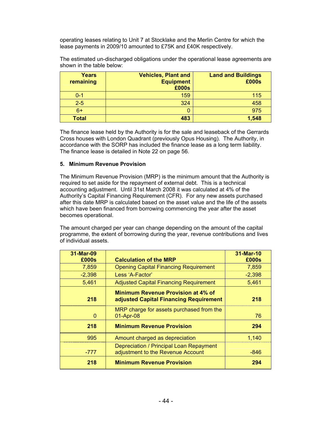operating leases relating to Unit 7 at Stocklake and the Merlin Centre for which the lease payments in 2009/10 amounted to £75K and £40K respectively.

The estimated un-discharged obligations under the operational lease agreements are shown in the table below:

| <b>Years</b><br>remaining | <b>Vehicles, Plant and</b><br><b>Equipment</b><br>£000s | <b>Land and Buildings</b><br>£000s |
|---------------------------|---------------------------------------------------------|------------------------------------|
| $0 - 1$                   | 159                                                     | 115                                |
| $2-5$                     | 324                                                     | 458                                |
| $6+$                      |                                                         | 975                                |
| <b>Total</b>              | 483                                                     | 1,548                              |

The finance lease held by the Authority is for the sale and leaseback of the Gerrards Cross houses with London Quadrant (previously Opus Housing). The Authority, in accordance with the SORP has included the finance lease as a long term liability. The finance lease is detailed in Note 22 on page 56.

#### **5. Minimum Revenue Provision**

The Minimum Revenue Provision (MRP) is the minimum amount that the Authority is required to set aside for the repayment of external debt. This is a technical accounting adjustment. Until 31st March 2008 it was calculated at 4% of the Authority's Capital Financing Requirement (CFR). For any new assets purchased after this date MRP is calculated based on the asset value and the life of the assets which have been financed from borrowing commencing the year after the asset becomes operational.

The amount charged per year can change depending on the amount of the capital programme, the extent of borrowing during the year, revenue contributions and lives of individual assets.

| 31-Mar-09<br>£000s | <b>Calculation of the MRP</b>                                                       | 31-Mar-10<br>£000s |
|--------------------|-------------------------------------------------------------------------------------|--------------------|
| 7,859              | <b>Opening Capital Financing Requirement</b>                                        | 7,859              |
| $-2,398$           | Less 'A-Factor'                                                                     | $-2,398$           |
| 5,461              | <b>Adjusted Capital Financing Requirement</b>                                       | 5,461              |
| 218                | <b>Minimum Revenue Provision at 4% of</b><br>adjusted Capital Financing Requirement | 218                |
| $\Omega$           | MRP charge for assets purchased from the<br>01-Apr-08                               | 76                 |
| 218                | <b>Minimum Revenue Provision</b>                                                    | 294                |
| 995                | Amount charged as depreciation                                                      | 1,140              |
| -777               | Depreciation / Principal Loan Repayment<br>adjustment to the Revenue Account        | -846               |
| 218                | <b>Minimum Revenue Provision</b>                                                    | 294                |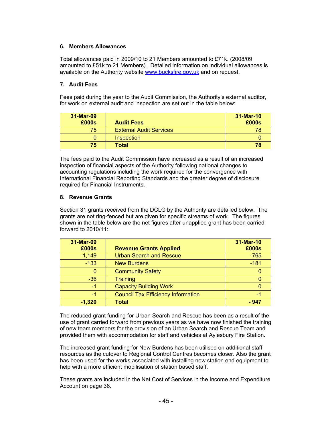# **6. Members Allowances**

Total allowances paid in 2009/10 to 21 Members amounted to £71k. (2008/09 amounted to £51k to 21 Members). Detailed information on individual allowances is available on the Authority website www.bucksfire.gov.uk and on request.

# **7. Audit Fees**

Fees paid during the year to the Audit Commission, the Authority's external auditor, for work on external audit and inspection are set out in the table below:

| 31-Mar-09<br>£000s | <b>Audit Fees</b>              | 31-Mar-10<br>£000s |
|--------------------|--------------------------------|--------------------|
| 75                 | <b>External Audit Services</b> | 78                 |
|                    | Inspection                     |                    |
| 75                 | Total                          | 78                 |

The fees paid to the Audit Commission have increased as a result of an increased inspection of financial aspects of the Authority following national changes to accounting regulations including the work required for the convergence with International Financial Reporting Standards and the greater degree of disclosure required for Financial Instruments.

### **8. Revenue Grants**

Section 31 grants received from the DCLG by the Authority are detailed below. The grants are not ring-fenced but are given for specific streams of work. The figures shown in the table below are the net figures after unapplied grant has been carried forward to 2010/11:

| 31-Mar-09 |                                           | 31-Mar-10 |
|-----------|-------------------------------------------|-----------|
| £000s     | <b>Revenue Grants Applied</b>             | £000s     |
| $-1,149$  | <b>Urban Search and Rescue</b>            | $-765$    |
| $-133$    | <b>New Burdens</b>                        | $-181$    |
|           | <b>Community Safety</b>                   |           |
| $-36$     | <b>Training</b>                           |           |
| $-1$      | <b>Capacity Building Work</b>             |           |
| $-1$      | <b>Council Tax Efficiency Information</b> | -1        |
| $-1,320$  | <b>Total</b>                              | - 947     |

The reduced grant funding for Urban Search and Rescue has been as a result of the use of grant carried forward from previous years as we have now finished the training of new team members for the provision of an Urban Search and Rescue Team and provided them with accommodation for staff and vehicles at Aylesbury Fire Station.

The increased grant funding for New Burdens has been utilised on additional staff resources as the cutover to Regional Control Centres becomes closer. Also the grant has been used for the works associated with installing new station end equipment to help with a more efficient mobilisation of station based staff.

These grants are included in the Net Cost of Services in the Income and Expenditure Account on page 36.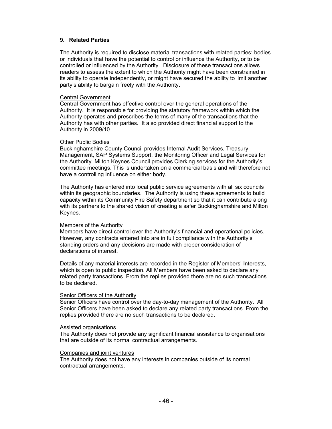#### **9. Related Parties**

The Authority is required to disclose material transactions with related parties: bodies or individuals that have the potential to control or influence the Authority, or to be controlled or influenced by the Authority. Disclosure of these transactions allows readers to assess the extent to which the Authority might have been constrained in its ability to operate independently, or might have secured the ability to limit another party's ability to bargain freely with the Authority.

#### Central Government

Central Government has effective control over the general operations of the Authority. It is responsible for providing the statutory framework within which the Authority operates and prescribes the terms of many of the transactions that the Authority has with other parties. It also provided direct financial support to the Authority in 2009/10.

#### Other Public Bodies

Buckinghamshire County Council provides Internal Audit Services, Treasury Management, SAP Systems Support, the Monitoring Officer and Legal Services for the Authority. Milton Keynes Council provides Clerking services for the Authority's committee meetings. This is undertaken on a commercial basis and will therefore not have a controlling influence on either body.

The Authority has entered into local public service agreements with all six councils within its geographic boundaries. The Authority is using these agreements to build capacity within its Community Fire Safety department so that it can contribute along with its partners to the shared vision of creating a safer Buckinghamshire and Milton Keynes.

#### Members of the Authority

Members have direct control over the Authority's financial and operational policies. However, any contracts entered into are in full compliance with the Authority's standing orders and any decisions are made with proper consideration of declarations of interest.

Details of any material interests are recorded in the Register of Members' Interests, which is open to public inspection. All Members have been asked to declare any related party transactions. From the replies provided there are no such transactions to be declared.

### Senior Officers of the Authority

Senior Officers have control over the day-to-day management of the Authority. All Senior Officers have been asked to declare any related party transactions. From the replies provided there are no such transactions to be declared.

#### Assisted organisations

The Authority does not provide any significant financial assistance to organisations that are outside of its normal contractual arrangements.

#### Companies and joint ventures

The Authority does not have any interests in companies outside of its normal contractual arrangements.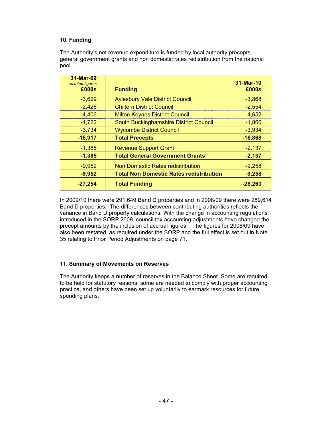# **10. Funding**

The Authority's net revenue expenditure is funded by local authority precepts, general government grants and non domestic rates redistribution from the national pool.

| 31-Mar-09<br>restated figures |                                                | 31-Mar-10 |
|-------------------------------|------------------------------------------------|-----------|
| £000s                         | <b>Funding</b>                                 | £000s     |
| $-3,629$                      | <b>Aylesbury Vale District Council</b>         | $-3,868$  |
| $-2,426$                      | <b>Chiltern District Council</b>               | $-2,554$  |
| $-4,406$                      | <b>Milton Keynes District Council</b>          | $-4,652$  |
| $-1,722$                      | South Buckinghamshire District Council         | $-1,860$  |
| $-3,734$                      | <b>Wycombe District Council</b>                | $-3,934$  |
| $-15,917$                     | <b>Total Precepts</b>                          | $-16,868$ |
| $-1,385$                      | <b>Revenue Support Grant</b>                   | $-2,137$  |
| $-1,385$                      | <b>Total General Government Grants</b>         | $-2,137$  |
| $-9,952$                      | Non Domestic Rates redistribution              | $-9,258$  |
| $-9,952$                      | <b>Total Non Domestic Rates redistribution</b> | $-9,258$  |
| $-27,254$                     | <b>Total Funding</b>                           | $-28,263$ |

In 2009/10 there were 291,649 Band D properties and in 2008/09 there were 289,614 Band D properties. The differences between contributing authorities reflects the variance in Band D property calculations. With the change in accounting regulations introduced in the SORP 2009, council tax accounting adjustments have changed the precept amounts by the inclusion of accrual figures. The figures for 2008/09 have also been restated, as required under the SORP and the full effect is set out in Note 35 relating to Prior Period Adjustments on page 71.

### **11. Summary of Movements on Reserves**

The Authority keeps a number of reserves in the Balance Sheet. Some are required to be held for statutory reasons, some are needed to comply with proper accounting practice, and others have been set up voluntarily to earmark resources for future spending plans.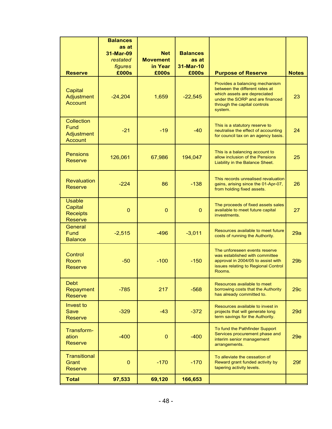|                                                               | <b>Balances</b><br>as at<br>31-Mar-09<br>restated | <b>Net</b><br><b>Movement</b> | <b>Balances</b><br>as at |                                                                                                                                                                                |                 |
|---------------------------------------------------------------|---------------------------------------------------|-------------------------------|--------------------------|--------------------------------------------------------------------------------------------------------------------------------------------------------------------------------|-----------------|
| <b>Reserve</b>                                                | figures<br>£000s                                  | in Year<br>£000s              | 31-Mar-10<br>£000s       | <b>Purpose of Reserve</b>                                                                                                                                                      | <b>Notes</b>    |
| Capital<br><b>Adjustment</b><br><b>Account</b>                | $-24,204$                                         | 1,659                         | $-22,545$                | Provides a balancing mechanism<br>between the different rates at<br>which assets are depreciated<br>under the SORP and are financed<br>through the capital controls<br>system. | 23              |
| Collection<br>Fund<br>Adjustment<br><b>Account</b>            | $-21$                                             | $-19$                         | $-40$                    | This is a statutory reserve to<br>neutralise the effect of accounting<br>for council tax on an agency basis.                                                                   | 24              |
| <b>Pensions</b><br><b>Reserve</b>                             | 126,061                                           | 67,986                        | 194,047                  | This is a balancing account to<br>allow inclusion of the Pensions<br>Liability in the Balance Sheet.                                                                           | 25              |
| <b>Revaluation</b><br><b>Reserve</b>                          | $-224$                                            | 86                            | $-138$                   | This records unrealised revaluation<br>gains, arising since the 01-Apr-07,<br>from holding fixed assets.                                                                       | 26              |
| <b>Usable</b><br>Capital<br><b>Receipts</b><br><b>Reserve</b> | $\mathbf 0$                                       | $\mathbf 0$                   | $\mathbf 0$              | The proceeds of fixed assets sales<br>available to meet future capital<br>investments.                                                                                         | 27              |
| General<br><b>Fund</b><br><b>Balance</b>                      | $-2,515$                                          | $-496$                        | $-3,011$                 | Resources available to meet future<br>costs of running the Authority.                                                                                                          | 29a             |
| Control<br>Room<br>Reserve                                    | $-50$                                             | $-100$                        | $-150$                   | The unforeseen events reserve<br>was established with committee<br>approval in 2004/05 to assist with<br>issues relating to Regional Control<br>Rooms.                         | 29 <sub>b</sub> |
| <b>Debt</b><br>Repayment<br><b>Reserve</b>                    | $-785$                                            | 217                           | $-568$                   | Resources available to meet<br>borrowing costs that the Authority<br>has already committed to.                                                                                 | 29c             |
| <b>Invest to</b><br>Save<br><b>Reserve</b>                    | $-329$                                            | $-43$                         | $-372$                   | Resources available to invest in<br>projects that will generate long<br>term savings for the Authority.                                                                        | 29d             |
| Transform-<br>ation<br>Reserve                                | $-400$                                            | $\mathbf 0$                   | $-400$                   | To fund the Pathfinder Support<br>Services procurement phase and<br>interim senior management<br>arrangements.                                                                 | <b>29e</b>      |
| <b>Transitional</b><br>Grant<br><b>Reserve</b>                | $\mathbf 0$                                       | $-170$                        | $-170$                   | To alleviate the cessation of<br>Reward grant funded activity by<br>tapering activity levels.                                                                                  | 29f             |
| <b>Total</b>                                                  | 97,533                                            | 69,120                        | 166,653                  |                                                                                                                                                                                |                 |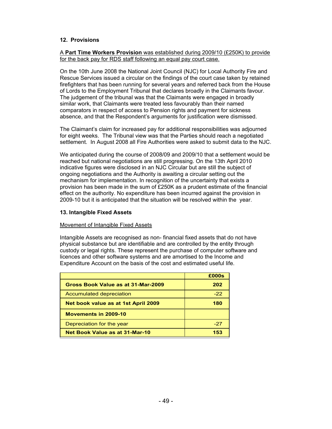## **12. Provisions**

### A **Part Time Workers Provision** was established during 2009/10 (£250K) to provide for the back pay for RDS staff following an equal pay court case.

On the 10th June 2008 the National Joint Council (NJC) for Local Authority Fire and Rescue Services issued a circular on the findings of the court case taken by retained firefighters that has been running for several years and referred back from the House of Lords to the Employment Tribunal that declares broadly in the Claimants favour. The judgement of the tribunal was that the Claimants were engaged in broadly similar work, that Claimants were treated less favourably than their named comparators in respect of access to Pension rights and payment for sickness absence, and that the Respondent's arguments for justification were dismissed.

The Claimant's claim for increased pay for additional responsibilities was adjourned for eight weeks. The Tribunal view was that the Parties should reach a negotiated settlement. In August 2008 all Fire Authorities were asked to submit data to the NJC.

We anticipated during the course of 2008/09 and 2009/10 that a settlement would be reached but national negotiations are still progressing. On the 13th April 2010 indicative figures were disclosed in an NJC Circular but are still the subject of ongoing negotiations and the Authority is awaiting a circular setting out the mechanism for implementation. In recognition of the uncertainty that exists a provision has been made in the sum of £250K as a prudent estimate of the financial effect on the authority. No expenditure has been incurred against the provision in 2009-10 but it is anticipated that the situation will be resolved within the year.

### **13. Intangible Fixed Assets**

### Movement of Intangible Fixed Assets

Intangible Assets are recognised as non- financial fixed assets that do not have physical substance but are identifiable and are controlled by the entity through custody or legal rights. These represent the purchase of computer software and licences and other software systems and are amortised to the Income and Expenditure Account on the basis of the cost and estimated useful life.

|                                       | £000s |
|---------------------------------------|-------|
| Gross Book Value as at 31-Mar-2009    | 202   |
| Accumulated depreciation              | $-22$ |
| Net book value as at 1st April 2009   | 180   |
| Movements in 2009-10                  |       |
| Depreciation for the year             | -27   |
| <b>Net Book Value as at 31-Mar-10</b> | 153   |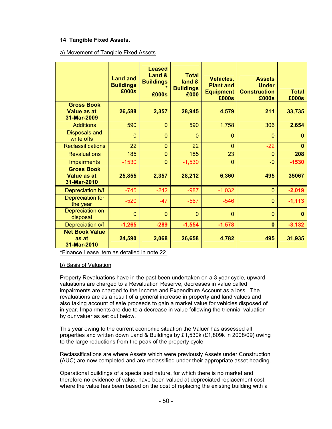# **14 Tangible Fixed Assets.**

## a) Movement of Tangible Fixed Assets

|                                                        | <b>Land and</b><br><b>Buildings</b><br>£000s | <b>Leased</b><br>Land &<br><b>Buildings</b><br>£000s | <b>Total</b><br>land &<br><b>Buildings</b><br>£000 | Vehicles,<br><b>Plant and</b><br><b>Equipment</b><br>£000s | <b>Assets</b><br><b>Under</b><br><b>Construction</b><br>£000s | <b>Total</b><br>£000s |
|--------------------------------------------------------|----------------------------------------------|------------------------------------------------------|----------------------------------------------------|------------------------------------------------------------|---------------------------------------------------------------|-----------------------|
| <b>Gross Book</b><br>Value as at<br>31-Mar-2009        | 26,588                                       | 2,357                                                | 28,945                                             | 4,579                                                      | 211                                                           | 33,735                |
| <b>Additions</b>                                       | 590                                          | $\mathbf{0}$                                         | 590                                                | 1,758                                                      | 306                                                           | 2,654                 |
| <b>Disposals and</b><br>write offs                     | $\overline{0}$                               | $\overline{0}$                                       | $\overline{0}$                                     | $\mathbf 0$                                                | $\mathbf 0$                                                   | $\bf{0}$              |
| <b>Reclassifications</b>                               | 22                                           | $\overline{0}$                                       | 22                                                 | $\overline{0}$                                             | $-22$                                                         | $\bf{0}$              |
| <b>Revaluations</b>                                    | 185                                          | $\overline{0}$                                       | 185                                                | 23                                                         | $\mathbf 0$                                                   | 208                   |
| <b>Impairments</b>                                     | $-1530$                                      | $\overline{0}$                                       | $-1,530$                                           | $\mathbf 0$                                                | $-0$                                                          | $-1530$               |
| <b>Gross Book</b><br><b>Value as at</b><br>31-Mar-2010 | 25,855                                       | 2,357                                                | 28,212                                             | 6,360                                                      | 495                                                           | 35067                 |
| Depreciation b/f                                       | $-745$                                       | $-242$                                               | $-987$                                             | $-1,032$                                                   | $\mathbf 0$                                                   | $-2,019$              |
| Depreciation for<br>the year                           | $-520$                                       | $-47$                                                | $-567$                                             | $-546$                                                     | $\mathbf 0$                                                   | $-1, 113$             |
| Depreciation on<br>disposal                            | $\mathbf{0}$                                 | $\Omega$                                             | $\Omega$                                           | $\mathbf 0$                                                | $\Omega$                                                      | $\bf{0}$              |
| Depreciation c/f                                       | $-1,265$                                     | $-289$                                               | $-1,554$                                           | $-1,578$                                                   | $\mathbf{0}$                                                  | $-3,132$              |
| <b>Net Book Value</b><br>as at<br>31-Mar-2010          | 24,590                                       | 2,068                                                | 26,658                                             | 4,782                                                      | 495                                                           | 31,935                |

\*Finance Lease item as detailed in note 22.

### b) Basis of Valuation

Property Revaluations have in the past been undertaken on a 3 year cycle, upward valuations are charged to a Revaluation Reserve, decreases in value called impairments are charged to the Income and Expenditure Account as a loss. The revaluations are as a result of a general increase in property and land values and also taking account of sale proceeds to gain a market value for vehicles disposed of in year. Impairments are due to a decrease in value following the triennial valuation by our valuer as set out below.

This year owing to the current economic situation the Valuer has assessed all properties and written down Land & Buildings by £1,530k (£1,809k in 2008/09) owing to the large reductions from the peak of the property cycle.

Reclassifications are where Assets which were previously Assets under Construction (AUC) are now completed and are reclassified under their appropriate asset heading.

Operational buildings of a specialised nature, for which there is no market and therefore no evidence of value, have been valued at depreciated replacement cost, where the value has been based on the cost of replacing the existing building with a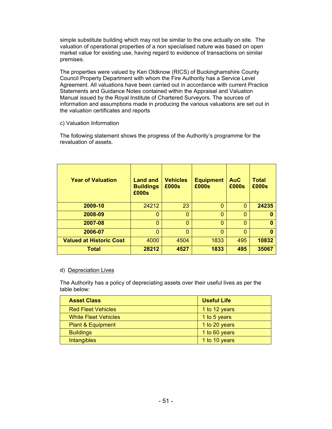simple substitute building which may not be similar to the one actually on site. The valuation of operational properties of a non specialised nature was based on open market value for existing use, having regard to evidence of transactions on similar premises.

The properties were valued by Ken Oldknow (RICS) of Buckinghamshire County Council Property Department with whom the Fire Authority has a Service Level Agreement. All valuations have been carried out in accordance with current Practice Statements and Guidance Notes contained within the Appraisal and Valuation Manual issued by the Royal Institute of Chartered Surveyors. The sources of information and assumptions made in producing the various valuations are set out in the valuation certificates and reports

### c) Valuation Information

The following statement shows the progress of the Authority's programme for the revaluation of assets.

| <b>Year of Valuation</b>       | <b>Land and</b><br><b>Buildings</b><br>£000s | <b>Vehicles</b><br>£000s | <b>Equipment</b><br>£000s | <b>AuC</b><br>£000s | Total<br>£000s |
|--------------------------------|----------------------------------------------|--------------------------|---------------------------|---------------------|----------------|
| 2009-10                        | 24212                                        | 23                       | 0                         | $\mathbf 0$         | 24235          |
| 2008-09                        | 0                                            | $\Omega$                 | $\overline{0}$            | $\Omega$            |                |
| 2007-08                        | 0                                            | $\Omega$                 | $\Omega$                  | $\Omega$            | o              |
| 2006-07                        | 0                                            | $\Omega$                 | 0                         | $\mathbf 0$         |                |
| <b>Valued at Historic Cost</b> | 4000                                         | 4504                     | 1833                      | 495                 | 10832          |
| <b>Total</b>                   | 28212                                        | 4527                     | 1833                      | 495                 | 35067          |

# d) Depreciation Lives

The Authority has a policy of depreciating assets over their useful lives as per the table below:

| <b>Asset Class</b>           | <b>Useful Life</b> |
|------------------------------|--------------------|
| <b>Red Fleet Vehicles</b>    | 1 to 12 years      |
| <b>White Fleet Vehicles</b>  | 1 to 5 years       |
| <b>Plant &amp; Equipment</b> | 1 to 20 years      |
| <b>Buildings</b>             | 1 to 60 years      |
| <b>Intangibles</b>           | 1 to 10 years      |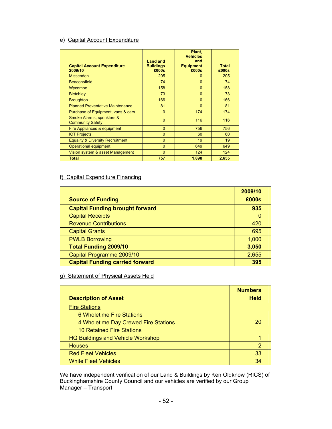# e) Capital Account Expenditure

| <b>Capital Account Expenditure</b><br>2009/10         | <b>Land and</b><br><b>Buildings</b><br>£000s | Plant,<br><b>Vehicles</b><br>and<br><b>Equipment</b><br>£000s | <b>Total</b><br>£000s |
|-------------------------------------------------------|----------------------------------------------|---------------------------------------------------------------|-----------------------|
| <b>Missenden</b>                                      | 205                                          | $\Omega$                                                      | 205                   |
| <b>Beaconsfield</b>                                   | 74                                           | $\Omega$                                                      | 74                    |
| Wycombe                                               | 158                                          | $\Omega$                                                      | 158                   |
| <b>Bletchley</b>                                      | 73                                           | $\Omega$                                                      | 73                    |
| <b>Broughton</b>                                      | 166                                          | $\Omega$                                                      | 166                   |
| <b>Planned Preventative Maintenance</b>               | 81                                           | $\Omega$                                                      | 81                    |
| Purchase of Equipment, vans & cars                    | $\Omega$                                     | 174                                                           | 174                   |
| Smoke Alarms, sprinklers &<br><b>Community Safety</b> | $\mathbf{0}$                                 | 116                                                           | 116                   |
| Fire Appliances & equipment                           | $\Omega$                                     | 756                                                           | 756                   |
| <b>ICT Projects</b>                                   | $\Omega$                                     | 60                                                            | 60                    |
| <b>Equality &amp; Diversity Recruitment</b>           | $\Omega$                                     | 19                                                            | 19                    |
| Operational equipment                                 | $\Omega$                                     | 649                                                           | 649                   |
| Vision system & asset Management                      | $\Omega$                                     | 124                                                           | 124                   |
| <b>Total</b>                                          | 757                                          | 1.898                                                         | 2.655                 |

# f) Capital Expenditure Financing

|                                        | 2009/10 |
|----------------------------------------|---------|
| <b>Source of Funding</b>               | £000s   |
| <b>Capital Funding brought forward</b> | 935     |
| <b>Capital Receipts</b>                |         |
| <b>Revenue Contributions</b>           | 420     |
| <b>Capital Grants</b>                  | 695     |
| <b>PWLB Borrowing</b>                  | 1,000   |
| <b>Total Funding 2009/10</b>           | 3,050   |
| Capital Programme 2009/10              | 2,655   |
| <b>Capital Funding carried forward</b> | 395     |

g) Statement of Physical Assets Held

| <b>Description of Asset</b>              | <b>Numbers</b><br><b>Held</b> |
|------------------------------------------|-------------------------------|
| <b>Fire Stations</b>                     |                               |
| 6 Wholetime Fire Stations                |                               |
| 4 Wholetime Day Crewed Fire Stations     | 20                            |
| <b>10 Retained Fire Stations</b>         |                               |
| <b>HQ Buildings and Vehicle Workshop</b> |                               |
| <b>Houses</b>                            | $\mathcal{P}$                 |
| <b>Red Fleet Vehicles</b>                | 33                            |
| <b>White Fleet Vehicles</b>              | 34                            |

We have independent verification of our Land & Buildings by Ken Oldknow (RICS) of Buckinghamshire County Council and our vehicles are verified by our Group Manager – Transport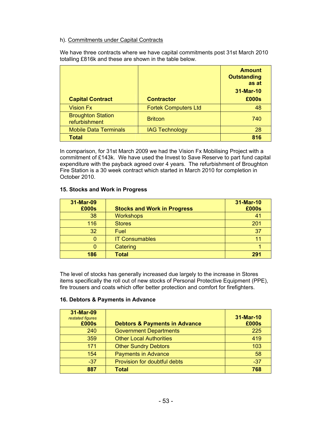## h). Commitments under Capital Contracts

We have three contracts where we have capital commitments post 31st March 2010 totalling £816k and these are shown in the table below.

| <b>Capital Contract</b>                   | <b>Contractor</b>           | <b>Amount</b><br><b>Outstanding</b><br>as at<br>31-Mar-10<br>£000s |
|-------------------------------------------|-----------------------------|--------------------------------------------------------------------|
| <b>Vision Fx</b>                          | <b>Fortek Computers Ltd</b> | 48                                                                 |
| <b>Broughton Station</b><br>refurbishment | <b>Britcon</b>              | 740                                                                |
| <b>Mobile Data Terminals</b>              | <b>IAG Technology</b>       | 28                                                                 |
| Total                                     |                             | 816                                                                |

In comparison, for 31st March 2009 we had the Vision Fx Mobilising Project with a commitment of £143k. We have used the Invest to Save Reserve to part fund capital expenditure with the payback agreed over 4 years. The refurbishment of Broughton Fire Station is a 30 week contract which started in March 2010 for completion in October 2010.

### **15. Stocks and Work in Progress**

| 31-Mar-09<br>£000s | <b>Stocks and Work in Progress</b> | 31-Mar-10<br>£000s |
|--------------------|------------------------------------|--------------------|
| 38                 | <b>Workshops</b>                   | 41                 |
| 116                | <b>Stores</b>                      | 201                |
| 32                 | Fuel                               | 37                 |
| O                  | <b>IT Consumables</b>              | 11                 |
| 0                  | Catering                           |                    |
| 186                | <b>Total</b>                       | 291                |

The level of stocks has generally increased due largely to the increase in Stores items specifically the roll out of new stocks of Personal Protective Equipment (PPE), fire trousers and coats which offer better protection and comfort for firefighters.

### **16. Debtors & Payments in Advance**

| 31-Mar-09<br>restated figures<br>£000s | <b>Debtors &amp; Payments in Advance</b> | 31-Mar-10<br>£000s |
|----------------------------------------|------------------------------------------|--------------------|
| 240                                    | <b>Government Departments</b>            | 225                |
| 359                                    | <b>Other Local Authorities</b>           | 419                |
| 171                                    | <b>Other Sundry Debtors</b>              | 103                |
| 154                                    | <b>Payments in Advance</b>               | 58                 |
| $-37$                                  | Provision for doubtful debts             | $-37$              |
| 887                                    | <b>Total</b>                             | 768                |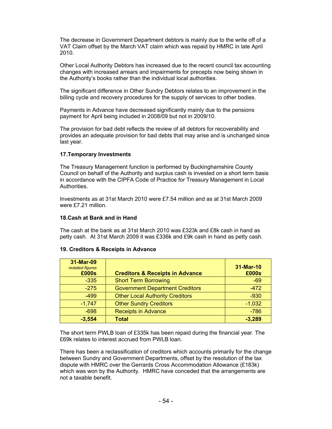The decrease in Government Department debtors is mainly due to the write off of a VAT Claim offset by the March VAT claim which was repaid by HMRC in late April 2010.

Other Local Authority Debtors has increased due to the recent council tax accounting changes with increased arrears and impairments for precepts now being shown in the Authority's books rather than the individual local authorities.

The significant difference in Other Sundry Debtors relates to an improvement in the billing cycle and recovery procedures for the supply of services to other bodies.

Payments in Advance have decreased significantly mainly due to the pensions payment for April being included in 2008/09 but not in 2009/10.

The provision for bad debt reflects the review of all debtors for recoverability and provides an adequate provision for bad debts that may arise and is unchanged since last year.

#### **17.Temporary Investments**

The Treasury Management function is performed by Buckinghamshire County Council on behalf of the Authority and surplus cash is invested on a short term basis in accordance with the CIPFA Code of Practice for Treasury Management in Local **Authorities** 

Investments as at 31st March 2010 were £7.54 million and as at 31st March 2009 were £7.21 million.

#### **18.Cash at Bank and in Hand**

The cash at the bank as at 31st March 2010 was £323k and £8k cash in hand as petty cash. At 31st March 2009 it was £336k and £9k cash in hand as petty cash.

#### **19. Creditors & Receipts in Advance**

| 31-Mar-09<br>restated figures<br>£000s | <b>Creditors &amp; Receipts in Advance</b> | 31-Mar-10<br>£000s |
|----------------------------------------|--------------------------------------------|--------------------|
| $-335$                                 | <b>Short Term Borrowing</b>                | $-69$              |
| $-275$                                 | <b>Government Department Creditors</b>     | $-472$             |
| $-499$                                 | <b>Other Local Authority Creditors</b>     | $-930$             |
| $-1,747$                               | <b>Other Sundry Creditors</b>              | $-1,032$           |
| $-698$                                 | <b>Receipts in Advance</b>                 | $-786$             |
| $-3,554$                               | <b>Total</b>                               | $-3,289$           |

The short term PWLB loan of £335k has been repaid during the financial year. The £69k relates to interest accrued from PWLB loan.

There has been a reclassification of creditors which accounts primarily for the change between Sundry and Government Departments, offset by the resolution of the tax dispute with HMRC over the Gerrards Cross Accommodation Allowance (£183k) which was won by the Authority. HMRC have conceded that the arrangements are not a taxable benefit.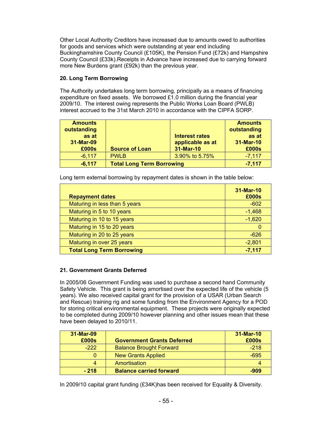Other Local Authority Creditors have increased due to amounts owed to authorities for goods and services which were outstanding at year end including Buckinghamshire County Council (£105K), the Pension Fund (£72k) and Hampshire County Council (£33k).Receipts in Advance have increased due to carrying forward more New Burdens grant (£92k) than the previous year.

# **20. Long Term Borrowing**

The Authority undertakes long term borrowing, principally as a means of financing expenditure on fixed assets. We borrowed £1.0 million during the financial year 2009/10. The interest owing represents the Public Works Loan Board (PWLB) interest accrued to the 31st March 2010 in accordance with the CIPFA SORP.

| <b>Amounts</b> |                                  |                       | <b>Amounts</b> |
|----------------|----------------------------------|-----------------------|----------------|
| outstanding    |                                  |                       | outstanding    |
| as at          |                                  | <b>Interest rates</b> | as at          |
| 31-Mar-09      |                                  | applicable as at      | 31-Mar-10      |
| £000s          | <b>Source of Loan</b>            | 31-Mar-10             | £000s          |
| $-6,117$       | <b>PWLB</b>                      | 3.90% to 5.75%        | $-7,117$       |
| $-6,117$       | <b>Total Long Term Borrowing</b> |                       | $-7,117$       |

Long term external borrowing by repayment dates is shown in the table below:

| <b>Repayment dates</b>           | 31-Mar-10<br>£000s |
|----------------------------------|--------------------|
| Maturing in less than 5 years    | $-602$             |
| Maturing in 5 to 10 years        | $-1,468$           |
| Maturing in 10 to 15 years       | $-1,620$           |
| Maturing in 15 to 20 years       | Ю                  |
| Maturing in 20 to 25 years       | $-626$             |
| Maturing in over 25 years        | $-2,801$           |
| <b>Total Long Term Borrowing</b> | $-7,117$           |

### **21. Government Grants Deferred**

In 2005/06 Government Funding was used to purchase a second hand Community Safety Vehicle. This grant is being amortised over the expected life of the vehicle (5 years). We also received capital grant for the provision of a USAR (Urban Search and Rescue) training rig and some funding from the Environment Agency for a POD for storing critical environmental equipment. These projects were originally expected to be completed during 2009/10 however planning and other issues mean that these have been delayed to 2010/11.

| 31-Mar-09 |                                   | 31-Mar-10 |
|-----------|-----------------------------------|-----------|
| £000s     | <b>Government Grants Deferred</b> | £000s     |
| $-222$    | <b>Balance Brought Forward</b>    | $-218$    |
|           | <b>New Grants Applied</b>         | $-695$    |
| 4         | Amortisation                      |           |
| $-218$    | <b>Balance carried forward</b>    | -909      |

In 2009/10 capital grant funding (£34K)has been received for Equality & Diversity.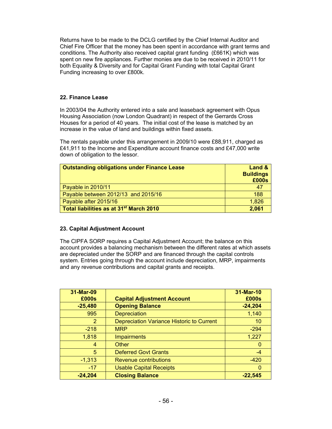Returns have to be made to the DCLG certified by the Chief Internal Auditor and Chief Fire Officer that the money has been spent in accordance with grant terms and conditions. The Authority also received capital grant funding (£661K) which was spent on new fire appliances. Further monies are due to be received in 2010/11 for both Equality & Diversity and for Capital Grant Funding with total Capital Grant Funding increasing to over £800k.

# **22. Finance Lease**

In 2003/04 the Authority entered into a sale and leaseback agreement with Opus Housing Association (now London Quadrant) in respect of the Gerrards Cross Houses for a period of 40 years. The initial cost of the lease is matched by an increase in the value of land and buildings within fixed assets.

The rentals payable under this arrangement in 2009/10 were £88,911, charged as £41,911 to the Income and Expenditure account finance costs and £47,000 write down of obligation to the lessor.

| <b>Outstanding obligations under Finance Lease</b>  | Land &<br><b>Buildings</b><br>£000s |
|-----------------------------------------------------|-------------------------------------|
| Payable in 2010/11                                  | 47                                  |
| Payable between 2012/13 and 2015/16                 | 188                                 |
| Payable after 2015/16                               | 1,826                               |
| Total liabilities as at 31 <sup>st</sup> March 2010 | 2,061                               |

### **23. Capital Adjustment Account**

The CIPFA SORP requires a Capital Adjustment Account; the balance on this account provides a balancing mechanism between the different rates at which assets are depreciated under the SORP and are financed through the capital controls system. Entries going through the account include depreciation, MRP, impairments and any revenue contributions and capital grants and receipts.

| 31-Mar-09<br>£000s | <b>Capital Adjustment Account</b>         | 31-Mar-10<br>£000s |
|--------------------|-------------------------------------------|--------------------|
| $-25,480$          | <b>Opening Balance</b>                    | $-24,204$          |
| 995                | <b>Depreciation</b>                       | 1,140              |
| 2                  | Depreciation Variance Historic to Current | 10                 |
| $-218$             | <b>MRP</b>                                | $-294$             |
| 1,818              | <b>Impairments</b>                        | 1,227              |
| 4                  | Other                                     | $\Omega$           |
| 5                  | <b>Deferred Govt Grants</b>               | $-4$               |
| $-1,313$           | <b>Revenue contributions</b>              | $-420$             |
| $-17$              | <b>Usable Capital Receipts</b>            | $\Omega$           |
| $-24,204$          | <b>Closing Balance</b>                    | $-22.545$          |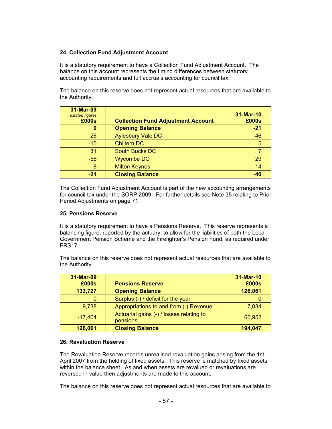# **24. Collection Fund Adjustment Account**

It is a statutory requirement to have a Collection Fund Adjustment Account. The balance on this account represents the timing differences between statutory accounting requirements and full accruals accounting for council tax.

The balance on this reserve does not represent actual resources that are available to the Authority.

| 31-Mar-09<br>restated figures<br>£000s | <b>Collection Fund Adjustment Account</b> | 31-Mar-10<br>£000s |
|----------------------------------------|-------------------------------------------|--------------------|
| 0                                      | <b>Opening Balance</b>                    | $-21$              |
| 26                                     | <b>Aylesbury Vale DC</b>                  | $-46$              |
| $-15$                                  | <b>Chiltern DC</b>                        | 5                  |
| 31                                     | <b>South Bucks DC</b>                     |                    |
| $-55$                                  | <b>Wycombe DC</b>                         | 29                 |
| -8                                     | <b>Milton Keynes</b>                      | $-14$              |
| $-21$                                  | <b>Closing Balance</b>                    | $-40$              |

The Collection Fund Adjustment Account is part of the new accounting arrangements for council tax under the SORP 2009. For further details see Note 35 relating to Prior Period Adjustments on page 71.

#### **25. Pensions Reserve**

It is a statutory requirement to have a Pensions Reserve. This reserve represents a balancing figure, reported by the actuary, to allow for the liabilities of both the Local Government Pension Scheme and the Firefighter's Pension Fund, as required under FRS17.

The balance on this reserve does not represent actual resources that are available to the Authority.

| 31-Mar-09<br>£000s | <b>Pensions Reserve</b>                              | 31-Mar-10<br>£000s |
|--------------------|------------------------------------------------------|--------------------|
| 133,727            | <b>Opening Balance</b>                               | 126,061            |
|                    | Surplus (-) / deficit for the year                   |                    |
| 9,738              | Appropriations to and from (-) Revenue               | 7,034              |
| $-17,404$          | Actuarial gains (-) / losses relating to<br>pensions | 60,952             |
| 126,061            | <b>Closing Balance</b>                               | 194,047            |

#### **26. Revaluation Reserve**

The Revaluation Reserve records unrealised revaluation gains arising from the 1st April 2007 from the holding of fixed assets. This reserve is matched by fixed assets within the balance sheet. As and when assets are revalued or revaluations are reversed in value then adjustments are made to this account.

The balance on this reserve does not represent actual resources that are available to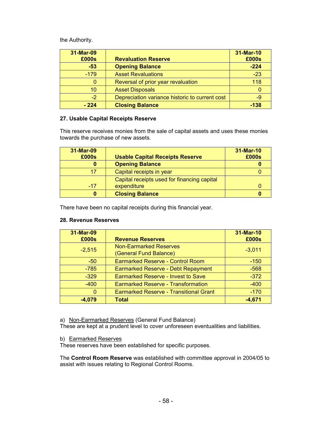the Authority.

| 31-Mar-09<br>£000s | <b>Revaluation Reserve</b>                     | 31-Mar-10<br>£000s |
|--------------------|------------------------------------------------|--------------------|
| $-53$              | <b>Opening Balance</b>                         | $-224$             |
| $-179$             | <b>Asset Revaluations</b>                      | $-23$              |
| 0                  | Reversal of prior year revaluation             | 118                |
| 10                 | <b>Asset Disposals</b>                         | 0                  |
| $-2$               | Depreciation variance historic to current cost | -9                 |
| $-224$             | <b>Closing Balance</b>                         | $-138$             |

# **27. Usable Capital Receipts Reserve**

This reserve receives monies from the sale of capital assets and uses these monies towards the purchase of new assets.

| 31-Mar-09<br>£000s | <b>Usable Capital Receipts Reserve</b>      | 31-Mar-10<br>£000s |
|--------------------|---------------------------------------------|--------------------|
| 0                  | <b>Opening Balance</b>                      |                    |
| 17                 | Capital receipts in year                    |                    |
|                    | Capital receipts used for financing capital |                    |
| $-17$              | expenditure                                 |                    |
| 0                  | <b>Closing Balance</b>                      |                    |

There have been no capital receipts during this financial year.

### **28. Revenue Reserves**

| 31-Mar-09 |                                                         | 31-Mar-10 |
|-----------|---------------------------------------------------------|-----------|
| £000s     | <b>Revenue Reserves</b>                                 | £000s     |
| $-2,515$  | <b>Non-Earmarked Reserves</b><br>(General Fund Balance) | $-3,011$  |
| $-50$     | <b>Earmarked Reserve - Control Room</b>                 | $-150$    |
| $-785$    | <b>Earmarked Reserve - Debt Repayment</b>               | $-568$    |
| $-329$    | <b>Earmarked Reserve - Invest to Save</b>               | $-372$    |
| $-400$    | <b>Earmarked Reserve - Transformation</b>               | $-400$    |
| $\Omega$  | <b>Earmarked Reserve - Transitional Grant</b>           | $-170$    |
| $-4,079$  | <b>Total</b>                                            | $-4,671$  |

a) Non-Earmarked Reserves (General Fund Balance)

These are kept at a prudent level to cover unforeseen eventualities and liabilities.

b) Earmarked Reserves

These reserves have been established for specific purposes.

The **Control Room Reserve** was established with committee approval in 2004/05 to assist with issues relating to Regional Control Rooms.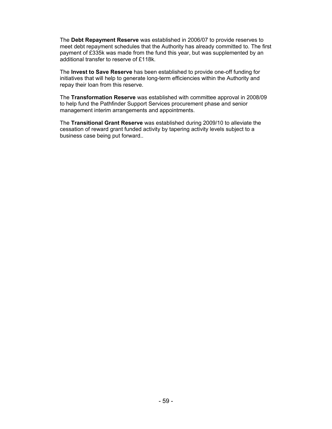The **Debt Repayment Reserve** was established in 2006/07 to provide reserves to meet debt repayment schedules that the Authority has already committed to. The first payment of £335k was made from the fund this year, but was supplemented by an additional transfer to reserve of £118k.

The **Invest to Save Reserve** has been established to provide one-off funding for initiatives that will help to generate long-term efficiencies within the Authority and repay their loan from this reserve.

The **Transformation Reserve** was established with committee approval in 2008/09 to help fund the Pathfinder Support Services procurement phase and senior management interim arrangements and appointments.

The **Transitional Grant Reserve** was established during 2009/10 to alleviate the cessation of reward grant funded activity by tapering activity levels subject to a business case being put forward..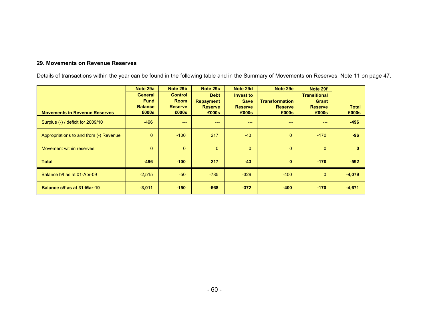#### **29. Movements on Revenue Reserves**

Details of transactions within the year can be found in the following table and in the Summary of Movements on Reserves, Note 11 on page 47.

|                                        | Note 29a       | Note 29b       | Note 29c         | Note 29d       | Note 29e              | Note 29f            |              |
|----------------------------------------|----------------|----------------|------------------|----------------|-----------------------|---------------------|--------------|
|                                        | <b>General</b> | <b>Control</b> | <b>Debt</b>      | Invest to      |                       | <b>Transitional</b> |              |
|                                        | <b>Fund</b>    | <b>Room</b>    | <b>Repayment</b> | <b>Save</b>    | <b>Transformation</b> | <b>Grant</b>        |              |
|                                        | <b>Balance</b> | <b>Reserve</b> | <b>Reserve</b>   | <b>Reserve</b> | <b>Reserve</b>        | <b>Reserve</b>      | <b>Total</b> |
| <b>Movements in Revenue Reserves</b>   | £000s          | £000s          | £000s            | £000s          | £000s                 | £000s               | £000s        |
| Surplus (-) / deficit for 2009/10      | $-496$         | ---            | ---              | $---$          | ---                   | $---$               | $-496$       |
| Appropriations to and from (-) Revenue | $\mathbf{0}$   | $-100$         | 217              | $-43$          | $\Omega$              | $-170$              | $-96$        |
| Movement within reserves               | $\mathbf{0}$   | $\overline{0}$ | $\mathbf{0}$     | $\mathbf 0$    | $\mathbf{0}$          | $\mathbf{0}$        | $\mathbf{0}$ |
| Total                                  | $-496$         | $-100$         | 217              | $-43$          | $\mathbf{0}$          | $-170$              | $-592$       |
| Balance b/f as at 01-Apr-09            | $-2,515$       | $-50$          | $-785$           | $-329$         | $-400$                | $\mathbf{0}$        | $-4,079$     |
| Balance c/f as at 31-Mar-10            | $-3,011$       | $-150$         | $-568$           | $-372$         | $-400$                | $-170$              | $-4,671$     |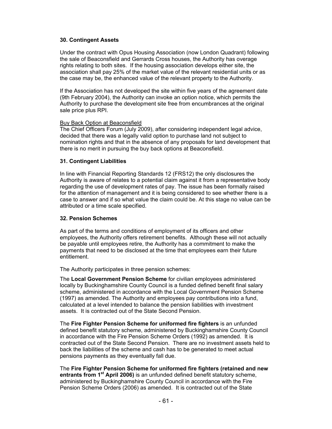#### **30. Contingent Assets**

Under the contract with Opus Housing Association (now London Quadrant) following the sale of Beaconsfield and Gerrards Cross houses, the Authority has overage rights relating to both sites. If the housing association develops either site, the association shall pay 25% of the market value of the relevant residential units or as the case may be, the enhanced value of the relevant property to the Authority.

If the Association has not developed the site within five years of the agreement date (9th February 2004), the Authority can invoke an option notice, which permits the Authority to purchase the development site free from encumbrances at the original sale price plus RPI.

#### Buy Back Option at Beaconsfield

The Chief Officers Forum (July 2009), after considering independent legal advice, decided that there was a legally valid option to purchase land not subject to nomination rights and that in the absence of any proposals for land development that there is no merit in pursuing the buy back options at Beaconsfield.

### **31. Contingent Liabilities**

In line with Financial Reporting Standards 12 (FRS12) the only disclosures the Authority is aware of relates to a potential claim against it from a representative body regarding the use of development rates of pay. The issue has been formally raised for the attention of management and it is being considered to see whether there is a case to answer and if so what value the claim could be. At this stage no value can be attributed or a time scale specified.

### **32. Pension Schemes**

As part of the terms and conditions of employment of its officers and other employees, the Authority offers retirement benefits. Although these will not actually be payable until employees retire, the Authority has a commitment to make the payments that need to be disclosed at the time that employees earn their future entitlement.

The Authority participates in three pension schemes:

The **Local Government Pension Scheme** for civilian employees administered locally by Buckinghamshire County Council is a funded defined benefit final salary scheme, administered in accordance with the Local Government Pension Scheme (1997) as amended. The Authority and employees pay contributions into a fund, calculated at a level intended to balance the pension liabilities with investment assets. It is contracted out of the State Second Pension.

The **Fire Fighter Pension Scheme for uniformed fire fighters** is an unfunded defined benefit statutory scheme, administered by Buckinghamshire County Council in accordance with the Fire Pension Scheme Orders (1992) as amended. It is contracted out of the State Second Pension. There are no investment assets held to back the liabilities of the scheme and cash has to be generated to meet actual pensions payments as they eventually fall due.

The **Fire Fighter Pension Scheme for uniformed fire fighters (retained and new entrants from 1st April 2006)** is an unfunded defined benefit statutory scheme, administered by Buckinghamshire County Council in accordance with the Fire Pension Scheme Orders (2006) as amended. It is contracted out of the State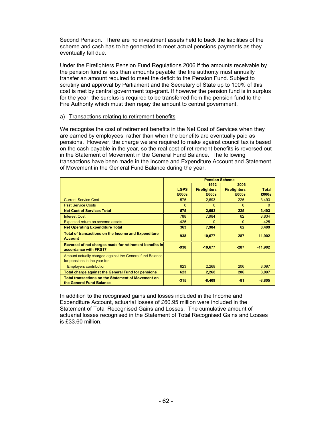Second Pension. There are no investment assets held to back the liabilities of the scheme and cash has to be generated to meet actual pensions payments as they eventually fall due.

Under the Firefighters Pension Fund Regulations 2006 if the amounts receivable by the pension fund is less than amounts payable, the fire authority must annually transfer an amount required to meet the deficit to the Pension Fund. Subject to scrutiny and approval by Parliament and the Secretary of State up to 100% of this cost is met by central government top-grant. If however the pension fund is in surplus for the year, the surplus is required to be transferred from the pension fund to the Fire Authority which must then repay the amount to central government.

### a) Transactions relating to retirement benefits

We recognise the cost of retirement benefits in the Net Cost of Services when they are earned by employees, rather than when the benefits are eventually paid as pensions. However, the charge we are required to make against council tax is based on the cash payable in the year, so the real cost of retirement benefits is reversed out in the Statement of Movement in the General Fund Balance. The following transactions have been made in the Income and Expenditure Account and Statement of Movement in the General Fund Balance during the year.

|                                                                                           | <b>Pension Scheme</b> |                                      |                                      |                       |  |
|-------------------------------------------------------------------------------------------|-----------------------|--------------------------------------|--------------------------------------|-----------------------|--|
|                                                                                           | <b>LGPS</b><br>£000s  | 1992<br><b>Firefighters</b><br>£000s | 2006<br><b>Firefighters</b><br>£000s | <b>Total</b><br>£000s |  |
| <b>Current Service Cost</b>                                                               | 575                   | 2.693                                | 225                                  | 3,493                 |  |
| <b>Past Service Costs</b>                                                                 | $\Omega$              | $\Omega$                             | $\Omega$                             | 0                     |  |
| <b>Net Cost of Services Total</b>                                                         | 575                   | 2,693                                | 225                                  | 3,493                 |  |
| <b>Interest Cost</b>                                                                      | 788                   | 7,984                                | 62                                   | 8,834                 |  |
| Expected return on scheme assets                                                          | $-425$                | $\Omega$                             | $\Omega$                             | $-425$                |  |
| <b>Net Operating Expenditure Total</b>                                                    | 363                   | 7,984                                | 62                                   | 8,409                 |  |
| Total of transactions on the Income and Expenditure<br><b>Account</b>                     | 938                   | 10,677                               | 287                                  | 11,902                |  |
| Reversal of net charges made for retirement benefits in<br>accordance with FRS17          | $-938$                | $-10,677$                            | $-287$                               | $-11,902$             |  |
| Amount actually charged against the General fund Balance<br>for pensions in the year for: |                       |                                      |                                      |                       |  |
| <b>Employers contribution</b>                                                             | 623                   | 2,268                                | 206                                  | 3,097                 |  |
| <b>Total charge against the General Fund for pensions</b>                                 | 623                   | 2,268                                | 206                                  | 3,097                 |  |
| <b>Total transactions on the Statement of Movement on</b><br>the General Fund Balance     | $-315$                | $-8,409$                             | $-81$                                | $-8,805$              |  |

In addition to the recognised gains and losses included in the Income and Expenditure Account, actuarial losses of £60.95 million were included in the Statement of Total Recognised Gains and Losses. The cumulative amount of actuarial losses recognised in the Statement of Total Recognised Gains and Losses is £33.60 million.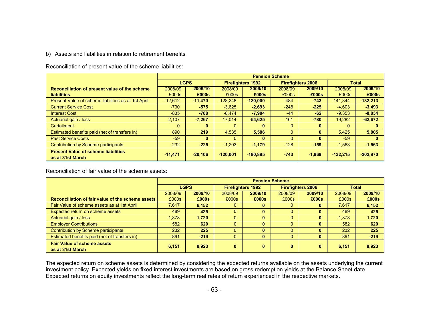#### b) Assets and liabilities in relation to retirement benefits

Reconciliation of present value of the scheme liabilities:

|                                                                | <b>Pension Scheme</b> |             |              |                          |          |                          |              |            |
|----------------------------------------------------------------|-----------------------|-------------|--------------|--------------------------|----------|--------------------------|--------------|------------|
|                                                                |                       | <b>LGPS</b> |              | <b>Firefighters 1992</b> |          | <b>Firefighters 2006</b> | <b>Total</b> |            |
| Reconciliation of present value of the scheme                  | 2008/09               | 2009/10     | 2008/09      | 2009/10                  | 2008/09  | 2009/10                  | 2008/09      | 2009/10    |
| <b>liabilities</b>                                             | £000s                 | £000s       | £000s        | £000s                    | £000s    | £000s                    | £000s        | £000s      |
| Present Value of scheme liabilities as at 1st April            | $-12.612$             | $-11,470$   | $-128.248$   | $-120.000$               | $-484$   | 743                      | $-141.344$   | $-132,213$ |
| <b>Current Service Cost</b>                                    | $-730$                | $-575$      | $-3.625$     | $-2.693$                 | $-248$   | $-225$                   | $-4.603$     | $-3,493$   |
| <b>Interest Cost</b>                                           | $-835$                | $-788$      | $-8.474$     | $-7.984$                 | $-44$    | $-62$                    | $-9.353$     | $-8.834$   |
| Actuarial gain / loss                                          | 2.107                 | $-7,267$    | 17.014       | $-54.625$                | 161      | -780                     | 19.282       | $-62,672$  |
| Curtailment                                                    |                       | 0           | 0            | $\bf{0}$                 | $\Omega$ | $\bf{0}$                 | $\Omega$     |            |
| Estimated benefits paid (net of transfers in)                  | 890                   | 219         | 4.535        | 5,586                    | $\Omega$ | $\mathbf{0}$             | 5.425        | 5.805      |
| <b>Past Service Costs</b>                                      | $-59$                 | $\bf{0}$    | $\mathbf{0}$ | $\mathbf{0}$             | $\Omega$ | $\bf{0}$                 | $-59$        |            |
| Contribution by Scheme participants                            | $-232$                | $-225$      | $-1.203$     | $-1,179$                 | $-128$   | $-159$                   | $-1.563$     | $-1,563$   |
| <b>Present Value of scheme liabilities</b><br>as at 31st March | $-11,471$             | $-20,106$   | $-120,001$   | $-180.895$               | $-743$   | $-1,969$                 | $-132,215$   | $-202,970$ |

Reconciliation of fair value of the scheme assets:

|                                                        | <b>Pension Scheme</b> |             |                          |              |                          |              |              |         |
|--------------------------------------------------------|-----------------------|-------------|--------------------------|--------------|--------------------------|--------------|--------------|---------|
|                                                        |                       | <b>LGPS</b> | <b>Firefighters 1992</b> |              | <b>Firefighters 2006</b> |              | <b>Total</b> |         |
|                                                        | 2008/09               | 2009/10     | 2008/09                  | 2009/10      | 2008/09                  | 2009/10      | 2008/09      | 2009/10 |
| Reconciliation of fair value of the scheme assets      | £000s                 | £000s       | £000s                    | £000s        | £000s                    | £000s        | £000s        | £000s   |
| Fair Value of scheme assets as at 1st April            | 7.617                 | 6,152       | 0                        | $\mathbf{0}$ | $\Omega$                 | $\bf{0}$     | 7.617        | 6,152   |
| Expected return on scheme assets                       | 489                   | 425         | 0                        | $\mathbf{0}$ | $\Omega$                 | $\mathbf{0}$ | 489          | 425     |
| Actuarial gain / loss                                  | $-1.878$              | 1.720       | 0                        | $\mathbf{0}$ | $\Omega$                 | $\mathbf{0}$ | $-1.878$     | 1,720   |
| <b>Employer Contributions</b>                          | 582                   | 620         | 0                        | $\mathbf{0}$ | $\Omega$                 | $\mathbf{0}$ | 582          | 620     |
| Contribution by Scheme participants                    | 232                   | 225         | $\Omega$                 | $\mathbf{0}$ | $\Omega$                 | $\mathbf{0}$ | 232          | 225     |
| Estimated benefits paid (net of transfers in)          | $-891$                | $-219$      | $\mathbf{0}$             | $\mathbf{0}$ | $\Omega$                 | $\mathbf{0}$ | $-891$       | $-219$  |
| <b>Fair Value of scheme assets</b><br>as at 31st March | 6,151                 | 8,923       | $\bf{0}$                 | 0            | $\bf{0}$                 | $\mathbf{0}$ | 6.151        | 8,923   |

The expected return on scheme assets is determined by considering the expected returns available on the assets underlying the current investment policy. Expected yields on fixed interest investments are based on gross redemption yields at the Balance Sheet date. Expected returns on equity investments reflect the long-term real rates of return experienced in the respective markets.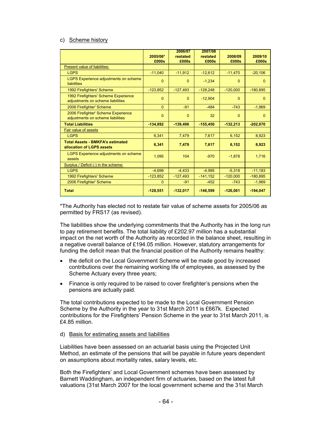#### c) Scheme history

|                                                                           | 2005/06*       | 2006/07<br>restated | 2007/08<br>restated | 2008/09    | 2009/10    |
|---------------------------------------------------------------------------|----------------|---------------------|---------------------|------------|------------|
|                                                                           | £000s          | £000s               | £000s               | £000s      | £000s      |
| Present value of liabilities:                                             |                |                     |                     |            |            |
| <b>LGPS</b>                                                               | $-11.040$      | $-11,912$           | $-12.612$           | $-11.470$  | $-20,106$  |
| <b>LGPS Experience adjustments on scheme</b><br><b>liabilities</b>        | $\Omega$       | $\Omega$            | $-1,234$            | $\Omega$   | $\Omega$   |
| 1992 Firefighters' Scheme                                                 | $-123,852$     | $-127,493$          | $-128,248$          | $-120,000$ | $-180,895$ |
| 1992 Firefighters' Scheme Experience<br>adjustments on scheme liabilities | $\Omega$       | $\Omega$            | $-12.904$           | $\Omega$   | $\Omega$   |
| 2006 Firefighter' Scheme                                                  | $\Omega$       | $-91$               | $-484$              | $-743$     | $-1,969$   |
| 2006 Firefighter' Scheme Experience<br>adjustments on scheme liabilities  | $\overline{0}$ | $\Omega$            | 32                  | $\Omega$   | $\Omega$   |
| <b>Total Liabilities</b>                                                  | $-134,892$     | $-139,496$          | $-155,450$          | $-132,213$ | $-202,970$ |
| <b>Fair value of assets</b>                                               |                |                     |                     |            |            |
| <b>LGPS</b>                                                               | 6,341          | 7,479               | 7,617               | 6,152      | 8,923      |
| <b>Total Assets - BMKFA's estimated</b><br>allocation of LGPS assets      | 6.341          | 7,479               | 7,617               | 6,152      | 8,923      |
| <b>LGPS Experience adjustments on scheme</b><br>assets                    | 1,095          | 104                 | $-970$              | $-1,878$   | 1,716      |
| Surplus / Deficit (-) in the scheme:                                      |                |                     |                     |            |            |
| <b>LGPS</b>                                                               | $-4,699$       | $-4,433$            | $-4,995$            | $-5,318$   | $-11,183$  |
| 1992 Firefighters' Scheme                                                 | $-123,852$     | $-127,493$          | $-141,152$          | $-120,000$ | $-180,895$ |
| 2006 Firefighter' Scheme                                                  | $\mathbf{0}$   | $-91$               | $-452$              | $-743$     | $-1,969$   |
| <b>Total</b>                                                              | $-128,551$     | $-132,017$          | $-146,599$          | $-126,061$ | $-194,047$ |

\*The Authority has elected not to restate fair value of scheme assets for 2005/06 as permitted by FRS17 (as revised).

The liabilities show the underlying commitments that the Authority has in the long run to pay retirement benefits. The total liability of £202.97 million has a substantial impact on the net worth of the Authority as recorded in the balance sheet, resulting in a negative overall balance of £194.05 million. However, statutory arrangements for funding the deficit mean that the financial position of the Authority remains healthy:

- the deficit on the Local Government Scheme will be made good by increased contributions over the remaining working life of employees, as assessed by the Scheme Actuary every three years;
- Finance is only required to be raised to cover firefighter's pensions when the pensions are actually paid.

The total contributions expected to be made to the Local Government Pension Scheme by the Authority in the year to 31st March 2011 is £667k. Expected contributions for the Firefighters' Pension Scheme in the year to 31st March 2011, is £4.85 million.

#### d) Basis for estimating assets and liabilities

Liabilities have been assessed on an actuarial basis using the Projected Unit Method, an estimate of the pensions that will be payable in future years dependent on assumptions about mortality rates, salary levels, etc.

Both the Firefighters' and Local Government schemes have been assessed by Barnett Waddingham, an independent firm of actuaries, based on the latest full valuations (31st March 2007 for the local government scheme and the 31st March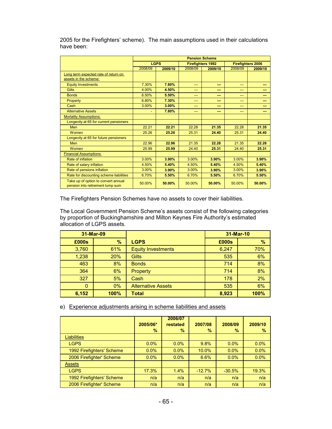|                                                                         | <b>Pension Scheme</b> |             |         |                          |         |                          |
|-------------------------------------------------------------------------|-----------------------|-------------|---------|--------------------------|---------|--------------------------|
|                                                                         |                       | <b>LGPS</b> |         | <b>Firefighters 1992</b> |         | <b>Firefighters 2006</b> |
|                                                                         | 2008/09               | 2009/10     | 2008/09 | 2009/10                  | 2008/09 | 2009/10                  |
| Long term expected rate of return on<br>assets in the scheme:           |                       |             |         |                          |         |                          |
| <b>Equity Investments</b>                                               | 7.30%                 | 7.80%       | $---$   | ---                      | $---$   | ---                      |
| <b>Gilts</b>                                                            | 4.00%                 | 4.50%       | $---$   | ---                      | $---$   | ---                      |
| <b>Bonds</b>                                                            | 6.50%                 | 5.50%       | ---     | ---                      | ---     | ---                      |
| Property                                                                | 6.80%                 | 7.30%       | ---     | ---                      | ---     | ---                      |
| Cash                                                                    | 3.00%                 | 3.00%       | ---     | ---                      | $---$   | ---                      |
| <b>Alternative Assets</b>                                               |                       | 7.80%       | ---     | ---                      | ---     | ---                      |
| <b>Mortality Assumptions:</b>                                           |                       |             |         |                          |         |                          |
| Longevity at 65 for current pensioners                                  |                       |             |         |                          |         |                          |
| <b>Men</b>                                                              | 22.21                 | 22.21       | 22.28   | 21.35                    | 22.28   | 21.35                    |
| Women                                                                   | 25.26                 | 25.26       | 25.31   | 24.40                    | 25.31   | 24.40                    |
| Longevity at 65 for future pensioners                                   |                       |             |         |                          |         |                          |
| <b>Men</b>                                                              | 22.96                 | 22.96       | 21.35   | 22.28                    | 21.35   | 22.28                    |
| Women                                                                   | 25.99                 | 25.99       | 24.40   | 25.31                    | 24.40   | 25.31                    |
| <b>Financial Assumptions:</b>                                           |                       |             |         |                          |         |                          |
| Rate of inflation                                                       | 3.00%                 | 3.90%       | 3.00%   | 3.90%                    | 3.00%   | 3.90%                    |
| Rate of salary inflation                                                | 4.50%                 | 5.40%       | 4.50%   | 5.40%                    | 4.50%   | 5.40%                    |
| Rate of pensions inflation                                              | 3.00%                 | 3.90%       | 3.00%   | 3.90%                    | 3.00%   | 3.90%                    |
| Rate for discounting scheme liabilities                                 | 6.70%                 | 5.50%       | 6.70%   | 5.50%                    | 6.70%   | 5.50%                    |
| Take up of option to convert annual<br>pension into retirement lump sum | 50.00%                | 50.00%      | 50.00%  | 50.00%                   | 50.00%  | 50.00%                   |

2005 for the Firefighters' scheme). The main assumptions used in their calculations have been:

The Firefighters Pension Schemes have no assets to cover their liabilities.

The Local Government Pension Scheme's assets consist of the following categories by proportion of Buckinghamshire and Milton Keynes Fire Authority's estimated allocation of LGPS assets.

| 31-Mar-09    |      |                           | 31-Mar-10 |      |  |
|--------------|------|---------------------------|-----------|------|--|
| £000s        | $\%$ | <b>LGPS</b>               | £000s     | %    |  |
| 3,760        | 61%  | <b>Equity Investments</b> | 6,247     | 70%  |  |
| 1,238        | 20%  | <b>Gilts</b>              | 535       | 6%   |  |
| 463          | 8%   | <b>Bonds</b>              | 714       | 8%   |  |
| 364          | 6%   | Property                  | 714       | 8%   |  |
| 327          | 5%   | Cash                      | 178       | 2%   |  |
| $\mathbf{0}$ | 0%   | <b>Alternative Assets</b> | 535       | 6%   |  |
| 6,152        | 100% | <b>Total</b>              | 8,923     | 100% |  |

e) Experience adjustments arising in scheme liabilities and assets

|                           | 2005/06*<br>% | 2006/07<br>restated<br>% | 2007/08<br>% | 2008/09<br>$\%$ | 2009/10<br>$\%$ |
|---------------------------|---------------|--------------------------|--------------|-----------------|-----------------|
| <b>Liabilities</b>        |               |                          |              |                 |                 |
| <b>LGPS</b>               | $0.0\%$       | $0.0\%$                  | 9.8%         | $0.0\%$         | 0.0%            |
| 1992 Firefighters' Scheme | 0.0%          | 0.0%                     | 10.0%        | 0.0%            | 0.0%            |
| 2006 Firefighter' Scheme  | 0.0%          | $0.0\%$                  | 6.6%         | $0.0\%$         | 0.0%            |
| <b>Assets</b>             |               |                          |              |                 |                 |
| <b>LGPS</b>               | 17.3%         | 1.4%                     | $-12.7%$     | $-30.5%$        | 19.3%           |
| 1992 Firefighters' Scheme | n/a           | n/a                      | n/a          | n/a             | n/a             |
| 2006 Firefighter' Scheme  | n/a           | n/a                      | n/a          | n/a             | n/a             |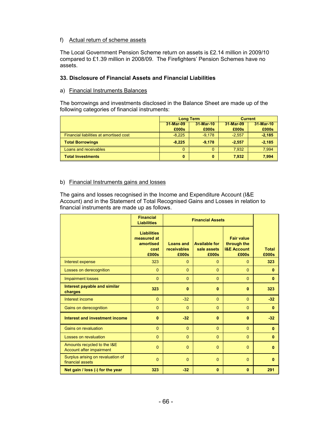#### f) Actual return of scheme assets

The Local Government Pension Scheme return on assets is £2.14 million in 2009/10 compared to £1.39 million in 2008/09. The Firefighters' Pension Schemes have no assets.

# **33. Disclosure of Financial Assets and Financial Liabilities**

#### a) Financial Instruments Balances

The borrowings and investments disclosed in the Balance Sheet are made up of the following categories of financial instruments:

|                                         |           | <b>Long Term</b> | <b>Current</b> |           |  |
|-----------------------------------------|-----------|------------------|----------------|-----------|--|
|                                         | 31-Mar-09 | 31-Mar-10        |                | 31-Mar-10 |  |
|                                         | £000s     | £000s            | £000s          | £000s     |  |
| Financial liabilities at amortised cost | $-8.225$  | $-9.178$         | $-2.557$       | $-2,185$  |  |
| <b>Total Borrowings</b>                 | $-8.225$  | $-9.178$         | $-2.557$       | $-2,185$  |  |
| Loans and receivables                   | O         | 0                | 7.932          | 7,994     |  |
| <b>Total Investments</b>                | 0         | 0                | 7,932          | 7,994     |  |

#### b) Financial Instruments gains and losses

The gains and losses recognised in the Income and Expenditure Account (I&E Account) and in the Statement of Total Recognised Gains and Losses in relation to financial instruments are made up as follows.

|                                                         | <b>Financial</b><br><b>Liabilities</b>                          | <b>Financial Assets</b>                  |                                              |                                                                     |                       |
|---------------------------------------------------------|-----------------------------------------------------------------|------------------------------------------|----------------------------------------------|---------------------------------------------------------------------|-----------------------|
|                                                         | <b>Liabilities</b><br>measured at<br>amortised<br>cost<br>£000s | <b>Loans and</b><br>receivables<br>£000s | <b>Available for</b><br>sale assets<br>£000s | <b>Fair value</b><br>through the<br><b>I&amp;E Account</b><br>£000s | <b>Total</b><br>£000s |
| Interest expense                                        | 323                                                             | $\Omega$                                 | $\Omega$                                     | $\Omega$                                                            | 323                   |
| Losses on derecognition                                 | $\Omega$                                                        | $\Omega$                                 | $\Omega$                                     | $\Omega$                                                            | $\bf{0}$              |
| <b>Impairment losses</b>                                | $\Omega$                                                        | $\Omega$                                 | $\Omega$                                     | $\mathbf{0}$                                                        | 0                     |
| Interest payable and similar<br>charges                 | 323                                                             | $\bf{0}$                                 | $\mathbf{0}$                                 | $\mathbf{0}$                                                        | 323                   |
| Interest income                                         | $\Omega$                                                        | $-32$                                    | $\Omega$                                     | $\Omega$                                                            | $-32$                 |
| Gains on derecognition                                  | $\mathbf{0}$                                                    | $\Omega$                                 | $\Omega$                                     | $\mathbf{0}$                                                        | $\mathbf{0}$          |
| Interest and investment income                          | $\mathbf{0}$                                                    | $-32$                                    | $\bf{0}$                                     | $\mathbf{0}$                                                        | $-32$                 |
| <b>Gains on revaluation</b>                             | $\Omega$                                                        | $\Omega$                                 | $\Omega$                                     | $\Omega$                                                            | $\mathbf{0}$          |
| <b>Losses on revaluation</b>                            | $\Omega$                                                        | $\Omega$                                 | $\Omega$                                     | $\overline{0}$                                                      | 0                     |
| Amounts recycled to the I&E<br>Account after impairment | $\Omega$                                                        | $\Omega$                                 | $\Omega$                                     | $\Omega$                                                            | $\bf{0}$              |
| Surplus arising on revaluation of<br>financial assets   | $\mathbf{0}$                                                    | $\Omega$                                 | $\mathbf{0}$                                 | $\mathbf{0}$                                                        | $\bf{0}$              |
| Net gain / loss (-) for the year                        | 323                                                             | $-32$                                    | $\mathbf{0}$                                 | $\mathbf{0}$                                                        | 291                   |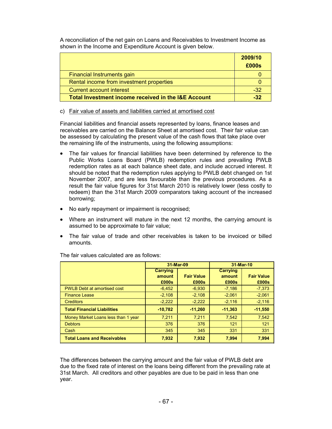A reconciliation of the net gain on Loans and Receivables to Investment Income as shown in the Income and Expenditure Account is given below.

|                                                                | 2009/10<br>£000s |
|----------------------------------------------------------------|------------------|
| Financial Instruments gain                                     |                  |
| Rental income from investment properties                       |                  |
| Current account interest                                       | -32              |
| <b>Total Investment income received in the I&amp;E Account</b> | -32              |

c) Fair value of assets and liabilities carried at amortised cost

Financial liabilities and financial assets represented by loans, finance leases and receivables are carried on the Balance Sheet at amortised cost. Their fair value can be assessed by calculating the present value of the cash flows that take place over the remaining life of the instruments, using the following assumptions:

- The fair values for financial liabilities have been determined by reference to the Public Works Loans Board (PWLB) redemption rules and prevailing PWLB redemption rates as at each balance sheet date, and include accrued interest. It should be noted that the redemption rules applying to PWLB debt changed on 1st November 2007, and are less favourable than the previous procedures. As a result the fair value figures for 31st March 2010 is relatively lower (less costly to redeem) than the 31st March 2009 comparators taking account of the increased borrowing;
- No early repayment or impairment is recognised;
- Where an instrument will mature in the next 12 months, the carrying amount is assumed to be approximate to fair value;
- The fair value of trade and other receivables is taken to be invoiced or billed amounts.

|                                     | 31-Mar-09 |                   | 31-Mar-10 |                   |
|-------------------------------------|-----------|-------------------|-----------|-------------------|
|                                     | Carrying  |                   | Carrying  |                   |
|                                     | amount    | <b>Fair Value</b> | amount    | <b>Fair Value</b> |
|                                     | £000s     | £000s             | £000s     | £000s             |
| <b>PWLB Debt at amortised cost</b>  | $-6,452$  | $-6,930$          | $-7,186$  | $-7,373$          |
| <b>Finance Lease</b>                | $-2,108$  | $-2,108$          | $-2,061$  | $-2,061$          |
| <b>Creditors</b>                    | $-2,222$  | $-2,222$          | $-2,116$  | $-2,116$          |
| <b>Total Financial Liabilities</b>  | $-10.782$ | $-11,260$         | $-11,363$ | $-11,550$         |
| Money Market Loans less than 1 year | 7,211     | 7.211             | 7,542     | 7,542             |
| <b>Debtors</b>                      | 376       | 376               | 121       | 121               |
| Cash                                | 345       | 345               | 331       | 331               |
| <b>Total Loans and Receivables</b>  | 7,932     | 7,932             | 7,994     | 7.994             |

The fair values calculated are as follows:

The differences between the carrying amount and the fair value of PWLB debt are due to the fixed rate of interest on the loans being different from the prevailing rate at 31st March. All creditors and other payables are due to be paid in less than one year.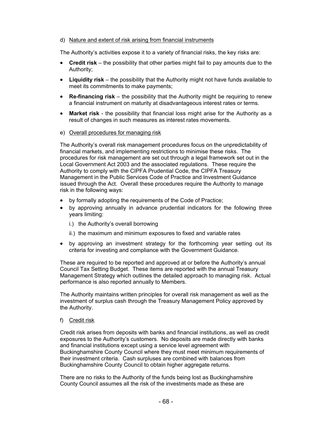#### d) Nature and extent of risk arising from financial instruments

The Authority's activities expose it to a variety of financial risks, the key risks are:

- **Credit risk** the possibility that other parties might fail to pay amounts due to the Authority;
- **Liquidity risk** the possibility that the Authority might not have funds available to meet its commitments to make payments;
- **Re-financing risk** the possibility that the Authority might be requiring to renew a financial instrument on maturity at disadvantageous interest rates or terms.
- **Market risk** the possibility that financial loss might arise for the Authority as a result of changes in such measures as interest rates movements.
- e) Overall procedures for managing risk

The Authority's overall risk management procedures focus on the unpredictability of financial markets, and implementing restrictions to minimise these risks. The procedures for risk management are set out through a legal framework set out in the Local Government Act 2003 and the associated regulations. These require the Authority to comply with the CIPFA Prudential Code, the CIPFA Treasury Management in the Public Services Code of Practice and Investment Guidance issued through the Act. Overall these procedures require the Authority to manage risk in the following ways:

- by formally adopting the requirements of the Code of Practice;
- by approving annually in advance prudential indicators for the following three years limiting:
	- i.) the Authority's overall borrowing
	- ii.) the maximum and minimum exposures to fixed and variable rates
- by approving an investment strategy for the forthcoming year setting out its criteria for investing and compliance with the Government Guidance.

These are required to be reported and approved at or before the Authority's annual Council Tax Setting Budget. These items are reported with the annual Treasury Management Strategy which outlines the detailed approach to managing risk. Actual performance is also reported annually to Members.

The Authority maintains written principles for overall risk management as well as the investment of surplus cash through the Treasury Management Policy approved by the Authority.

#### f) Credit risk

Credit risk arises from deposits with banks and financial institutions, as well as credit exposures to the Authority's customers. No deposits are made directly with banks and financial institutions except using a service level agreement with Buckinghamshire County Council where they must meet minimum requirements of their investment criteria. Cash surpluses are combined with balances from Buckinghamshire County Council to obtain higher aggregate returns.

There are no risks to the Authority of the funds being lost as Buckinghamshire County Council assumes all the risk of the investments made as these are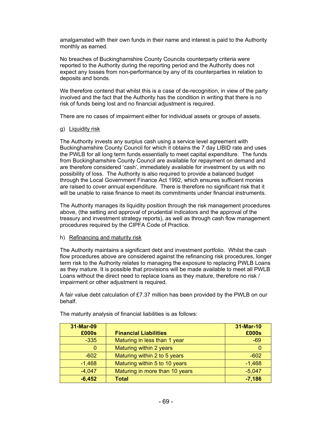amalgamated with their own funds in their name and interest is paid to the Authority monthly as earned.

No breaches of Buckinghamshire County Councils counterparty criteria were reported to the Authority during the reporting period and the Authority does not expect any losses from non-performance by any of its counterparties in relation to deposits and bonds.

We therefore contend that whilst this is a case of de-recognition, in view of the party involved and the fact that the Authority has the condition in writing that there is no risk of funds being lost and no financial adjustment is required.

There are no cases of impairment either for individual assets or groups of assets.

g) Liquidity risk

The Authority invests any surplus cash using a service level agreement with Buckinghamshire County Council for which it obtains the 7 day LIBID rate and uses the PWLB for all long term funds essentially to meet capital expenditure. The funds from Buckinghamshire County Council are available for repayment on demand and are therefore considered 'cash', immediately available for investment by us with no possibility of loss. The Authority is also required to provide a balanced budget through the Local Government Finance Act 1992, which ensures sufficient monies are raised to cover annual expenditure. There is therefore no significant risk that it will be unable to raise finance to meet its commitments under financial instruments.

The Authority manages its liquidity position through the risk management procedures above, (the setting and approval of prudential indicators and the approval of the treasury and investment strategy reports), as well as through cash flow management procedures required by the CIPFA Code of Practice.

### h) Refinancing and maturity risk

The Authority maintains a significant debt and investment portfolio. Whilst the cash flow procedures above are considered against the refinancing risk procedures, longer term risk to the Authority relates to managing the exposure to replacing PWLB Loans as they mature. It is possible that provisions will be made available to meet all PWLB Loans without the direct need to replace loans as they mature, therefore no risk / impairment or other adjustment is required.

A fair value debt calculation of £7.37 million has been provided by the PWLB on our behalf.

| 31-Mar-09<br>£000s | <b>Financial Liabilities</b>   | 31-Mar-10<br>£000s |
|--------------------|--------------------------------|--------------------|
| $-335$             | Maturing in less than 1 year   | $-69$              |
| 0                  | Maturing within 2 years        |                    |
| $-602$             | Maturing within 2 to 5 years   | $-602$             |
| $-1,468$           | Maturing within 5 to 10 years  | $-1,468$           |
| $-4,047$           | Maturing in more than 10 years | $-5,047$           |
| $-6,452$           | <b>Total</b>                   | $-7,186$           |

The maturity analysis of financial liabilities is as follows: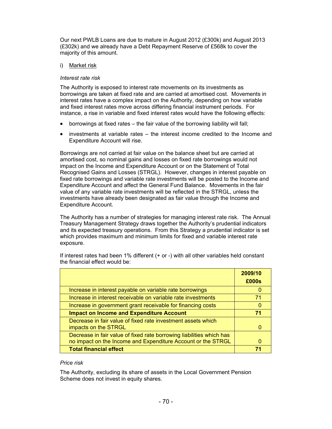Our next PWLB Loans are due to mature in August 2012 (£300k) and August 2013 (£302k) and we already have a Debt Repayment Reserve of £568k to cover the majority of this amount.

## i) Market risk

## *Interest rate risk*

The Authority is exposed to interest rate movements on its investments as borrowings are taken at fixed rate and are carried at amortised cost. Movements in interest rates have a complex impact on the Authority, depending on how variable and fixed interest rates move across differing financial instrument periods. For instance, a rise in variable and fixed interest rates would have the following effects:

- borrowings at fixed rates the fair value of the borrowing liability will fall;
- investments at variable rates the interest income credited to the Income and Expenditure Account will rise.

Borrowings are not carried at fair value on the balance sheet but are carried at amortised cost, so nominal gains and losses on fixed rate borrowings would not impact on the Income and Expenditure Account or on the Statement of Total Recognised Gains and Losses (STRGL). However, changes in interest payable on fixed rate borrowings and variable rate investments will be posted to the Income and Expenditure Account and affect the General Fund Balance. Movements in the fair value of any variable rate investments will be reflected in the STRGL, unless the investments have already been designated as fair value through the Income and Expenditure Account.

The Authority has a number of strategies for managing interest rate risk. The Annual Treasury Management Strategy draws together the Authority's prudential indicators and its expected treasury operations. From this Strategy a prudential indicator is set which provides maximum and minimum limits for fixed and variable interest rate exposure.

|                                                                                                                                      | 2009/10<br>£000s |
|--------------------------------------------------------------------------------------------------------------------------------------|------------------|
| Increase in interest payable on variable rate borrowings                                                                             |                  |
| Increase in interest receivable on variable rate investments                                                                         | 71               |
| Increase in government grant receivable for financing costs                                                                          |                  |
| <b>Impact on Income and Expenditure Account</b>                                                                                      | 71               |
| Decrease in fair value of fixed rate investment assets which<br>impacts on the STRGL                                                 |                  |
| Decrease in fair value of fixed rate borrowing liabilities which has<br>no impact on the Income and Expenditure Account or the STRGL |                  |
| <b>Total financial effect</b>                                                                                                        | 74               |

If interest rates had been 1% different (+ or -) with all other variables held constant the financial effect would be:

## *Price risk*

The Authority, excluding its share of assets in the Local Government Pension Scheme does not invest in equity shares.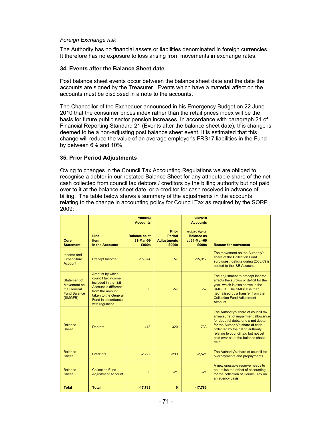#### *Foreign Exchange risk*

The Authority has no financial assets or liabilities denominated in foreign currencies. It therefore has no exposure to loss arising from movements in exchange rates.

#### **34. Events after the Balance Sheet date**

Post balance sheet events occur between the balance sheet date and the date the accounts are signed by the Treasurer. Events which have a material affect on the accounts must be disclosed in a note to the accounts.

The Chancellor of the Exchequer announced in his Emergency Budget on 22 June 2010 that the consumer prices index rather than the retail prices index will be the basis for future public sector pension increases. In accordance with paragraph 21 of Financial Reporting Standard 21 (Events after the balance sheet date), this change is deemed to be a non-adjusting post balance sheet event. It is estimated that this change will reduce the value of an average employer's FRS17 liabilities in the Fund by between 6% and 10%

### **35. Prior Period Adjustments**

Owing to changes in the Council Tax Accounting Regulations we are obliged to recognise a debtor in our restated Balance Sheet for any attributable share of the net cash collected from council tax debtors / creditors by the billing authority but not paid over to it at the balance sheet date, or a creditor for cash received in advance of billing. The table below shows a summary of the adjustments in the accounts relating to the change in accounting policy for Council Tax as required by the SORP 2009:

|                                                                              |                                                                                                                                                                                  | 2008/09<br><b>Accounts</b>        | Prior                               | 2009/10<br><b>Accounts</b><br>restated figures |                                                                                                                                                                                                                                                                                      |
|------------------------------------------------------------------------------|----------------------------------------------------------------------------------------------------------------------------------------------------------------------------------|-----------------------------------|-------------------------------------|------------------------------------------------|--------------------------------------------------------------------------------------------------------------------------------------------------------------------------------------------------------------------------------------------------------------------------------------|
| Core                                                                         | Line<br><b>Item</b>                                                                                                                                                              | <b>Balance as at</b><br>31-Mar-09 | <b>Period</b><br><b>Adjustments</b> | <b>Balance as</b><br>at 31-Mar-09              |                                                                                                                                                                                                                                                                                      |
| <b>Statement</b>                                                             | in the Accounts                                                                                                                                                                  | £000s                             | £000s                               | £000s                                          | <b>Reason for movement</b>                                                                                                                                                                                                                                                           |
| Income and<br><b>Expenditure</b><br>Account                                  | <b>Precept Income</b>                                                                                                                                                            | $-15,974$                         | 57                                  | $-15,917$                                      | The movement on the Authority's<br>share of the Collection Fund<br>surpluses / deficits during 2008/09 is<br>posted to the I&E Account.                                                                                                                                              |
| Statement of<br>Movement on<br>the General<br><b>Fund Balance</b><br>(SMGFB) | Amount by which<br>council tax income<br>included in the I&E<br><b>Account is different</b><br>from the amount<br>taken to the General<br>Fund in accordance<br>with regulation. | $\Omega$                          | $-57$                               | $-57$                                          | The adjustment to precept income<br>affects the surplus or deficit for the<br>year, which is also shown in the<br>SMGFB. The SMGFB is then<br>neutralised by a transfer from the<br><b>Collection Fund Adjustment</b><br>Account.                                                    |
| <b>Balance</b><br><b>Sheet</b>                                               | <b>Debtors</b>                                                                                                                                                                   | 413                               | 320                                 | 733                                            | The Authority's share of council tax<br>arrears, net of impairment allowance<br>for doubtful debts and a net debtor<br>for the Authority's share of cash<br>collected by the billing authority<br>relating to council tax, but not yet<br>paid over as at the balance sheet<br>date. |
| <b>Balance</b><br><b>Sheet</b>                                               | <b>Creditors</b>                                                                                                                                                                 | $-2,222$                          | $-299$                              | $-2,521$                                       | The Authority's share of council tax<br>overpayments and prepayments.                                                                                                                                                                                                                |
| <b>Balance</b><br><b>Sheet</b>                                               | <b>Collection Fund</b><br><b>Adjustment Account</b>                                                                                                                              | $\Omega$                          | $-21$                               | $-21$                                          | A new unusable reserve needs to<br>neutralise the effect of accounting<br>for the collection of Council Tax on<br>an agency basis.                                                                                                                                                   |
| <b>Total</b>                                                                 | <b>Total</b>                                                                                                                                                                     | $-17,783$                         | $\bf{0}$                            | $-17,783$                                      |                                                                                                                                                                                                                                                                                      |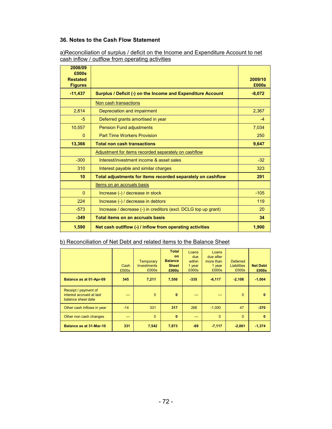## **36. Notes to the Cash Flow Statement**

| a) Reconciliation of surplus / deficit on the Income and Expenditure Account to net |  |  |
|-------------------------------------------------------------------------------------|--|--|
| cash inflow / outflow from operating activities                                     |  |  |

| 2008/09<br>£000s<br><b>Restated</b><br><b>Figures</b> |                                                                | 2009/10<br>£000s |
|-------------------------------------------------------|----------------------------------------------------------------|------------------|
| $-11,437$                                             | Surplus / Deficit (-) on the Income and Expenditure Account    | $-8,072$         |
|                                                       | Non cash transactions                                          |                  |
| 2,814                                                 | Depreciation and impairment                                    | 2,367            |
| $-5$                                                  | Deferred grants amortised in year                              | $-4$             |
| 10,557                                                | <b>Pension Fund adjustments</b>                                | 7,034            |
| $\Omega$                                              | <b>Part Time Workers Provision</b>                             | 250              |
| 13,366                                                | <b>Total non cash transactions</b>                             | 9,647            |
|                                                       | Adjustment for items recorded separately on cashflow           |                  |
| $-300$                                                | Interest/investment income & asset sales                       | $-32$            |
| 310                                                   | Interest payable and similar charges                           | 323              |
| 10                                                    | Total adjustments for items recorded separately on cashflow    | 291              |
|                                                       | Items on an accruals basis                                     |                  |
| $\Omega$                                              | Increase (-) / decrease in stock                               | $-105$           |
| 224                                                   | Increase (-) / decrease in debtors                             | 119              |
| $-573$                                                | Increase / decrease (-) in creditors (excl. DCLG top up grant) | 20               |
| $-349$                                                | Total items on an accruals basis                               | 34               |
| 1,590                                                 | Net cash outiflow (-) / inflow from operating activities       | 1,900            |

## b) Reconciliation of Net Debt and related items to the Balance Sheet

|                                                                        | Cash<br>£000s | <b>Temporary</b><br><b>Investments</b><br>£000s | <b>Total</b><br>on.<br><b>Balance</b><br><b>Sheet</b><br>£000s | Loans<br>due<br>within<br>1 year<br>£000s | Loans<br>due after<br>more than<br>1 year<br>£000s | <b>Deferred</b><br><b>Liabilities</b><br>£000s | <b>Net Debt</b><br>£000s |
|------------------------------------------------------------------------|---------------|-------------------------------------------------|----------------------------------------------------------------|-------------------------------------------|----------------------------------------------------|------------------------------------------------|--------------------------|
| Balance as at 01-Apr-09                                                | 345           | 7,211                                           | 7,556                                                          | $-335$                                    | $-6,117$                                           | $-2,108$                                       | $-1,004$                 |
| Receipt / payment of<br>interest accrued at last<br>balance sheet date | ---           | $\Omega$                                        | $\mathbf{0}$                                                   | ---                                       | ---                                                | $\Omega$                                       | $\mathbf{0}$             |
| Other cash inflows in year                                             | $-14$         | 331                                             | 317                                                            | 266                                       | $-1,000$                                           | 47                                             | $-370$                   |
| Other non cash changes                                                 | ---           | $\Omega$                                        | $\bf{0}$                                                       | ---                                       | $\overline{0}$                                     | $\Omega$                                       | $\mathbf{0}$             |
| Balance as at 31-Mar-10                                                | 331           | 7,542                                           | 7,873                                                          | $-69$                                     | $-7,117$                                           | $-2,061$                                       | $-1,374$                 |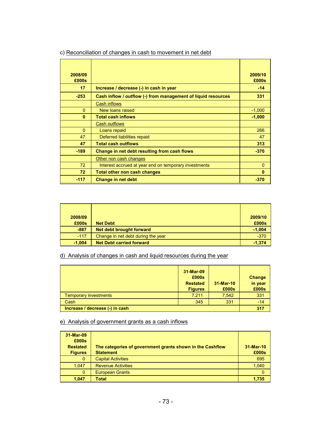| 2008/09<br>£000s |                                                               | 2009/10<br>£000s |
|------------------|---------------------------------------------------------------|------------------|
| 17               | Increase / decrease (-) in cash in year                       | $-14$            |
| $-253$           | Cash inflow / outflow (-) from management of liquid resources | 331              |
|                  | <b>Cash inflows</b>                                           |                  |
| $\Omega$         | New loans raised                                              | $-1,000$         |
| $\mathbf{0}$     | <b>Total cash inflows</b>                                     | $-1,000$         |
|                  | <b>Cash outflows</b>                                          |                  |
| $\Omega$         | Loans repaid                                                  | 266              |
| 47               | Deferred liabilities repaid                                   | 47               |
| 47               | <b>Total cash outflows</b>                                    | 313              |
| $-189$           | Change in net debt resulting from cash flows                  | $-370$           |
|                  | Other non cash changes                                        |                  |
| 72               | Interest accrued at year end on temporary investments         | $\Omega$         |
| 72               | <b>Total other non cash changes</b>                           | $\bf{0}$         |
| $-117$           | <b>Change in net debt</b>                                     | $-370$           |

## c) Reconciliation of changes in cash to movement in net debt

| 2008/09<br>£000s | <b>Net Debt</b>                    | 2009/10<br>£000s |
|------------------|------------------------------------|------------------|
| $-887$           | Net debt brought forward           | $-1,004$         |
| $-117$           | Change in net debt during the year | $-370$           |
| $-1,004$         | <b>Net Debt carried forward</b>    | $-1,374$         |

## d) Analysis of changes in cash and liquid resources during the year

|                                 | 31-Mar-09<br>£000s<br><b>Restated</b><br><b>Figures</b> | 31-Mar-10<br>£000s | Change<br>in year<br>£000s |
|---------------------------------|---------------------------------------------------------|--------------------|----------------------------|
| <b>Temporary investments</b>    | 7,211                                                   | 7,542              | 331                        |
| Cash                            | 345                                                     | 331                | $-14$                      |
| Increase / decrease (-) in cash |                                                         |                    | 317                        |

## e) Analysis of government grants as a cash inflows

| 31-Mar-09<br>£000s<br><b>Restated</b><br><b>Figures</b> | The categories of government grants shown in the Cashflow<br><b>Statement</b> | 31-Mar-10<br>£000s |
|---------------------------------------------------------|-------------------------------------------------------------------------------|--------------------|
| 0                                                       | <b>Capital Activities</b>                                                     | 695                |
| 1,047                                                   | <b>Revenue Activities</b>                                                     | 1,040              |
| $\mathbf{0}$                                            | <b>European Grants</b>                                                        | 0                  |
| 1.047                                                   | <b>Total</b>                                                                  | 1.735              |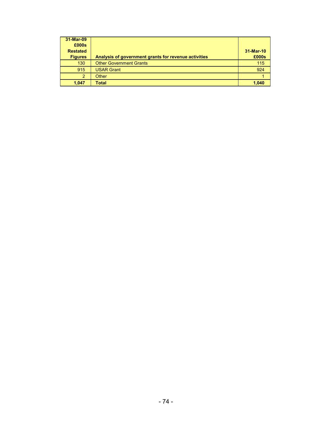| 31-Mar-09<br>£000s<br><b>Restated</b><br><b>Figures</b> | Analysis of government grants for revenue activities | 31-Mar-10<br>£000s |
|---------------------------------------------------------|------------------------------------------------------|--------------------|
| 130                                                     | <b>Other Government Grants</b>                       | 115                |
| 915                                                     | <b>USAR Grant</b>                                    | 924                |
| $\overline{2}$                                          | Other                                                |                    |
| 1,047                                                   | <b>Total</b>                                         | 1.040              |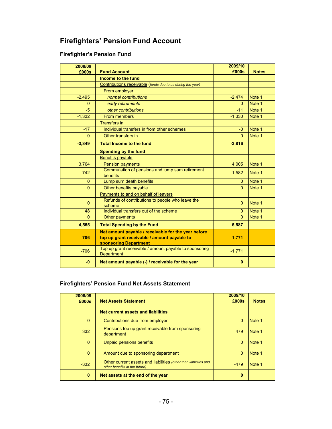# **Firefighters' Pension Fund Account**

## **Firefighter's Pension Fund**

| 2008/09        |                                                                                                                             | 2009/10  |              |
|----------------|-----------------------------------------------------------------------------------------------------------------------------|----------|--------------|
| £000s          | <b>Fund Account</b>                                                                                                         | £000s    | <b>Notes</b> |
|                | Income to the fund                                                                                                          |          |              |
|                | Contributions receivable (funds due to us during the year)                                                                  |          |              |
|                | From employer                                                                                                               |          |              |
| $-2,495$       | normal contributions                                                                                                        | $-2,474$ | Note 1       |
| $\Omega$       | early retirements                                                                                                           | $\Omega$ | Note 1       |
| $-5$           | other contributions                                                                                                         | $-11$    | Note 1       |
| $-1,332$       | From members                                                                                                                | $-1.330$ | Note 1       |
|                | <b>Transfers in</b>                                                                                                         |          |              |
| $-17$          | Individual transfers in from other schemes                                                                                  | $-0$     | Note 1       |
| $\Omega$       | Other transfers in                                                                                                          | $\Omega$ | Note 1       |
| $-3,849$       | <b>Total Income to the fund</b>                                                                                             | $-3,816$ |              |
|                | <b>Spending by the fund</b>                                                                                                 |          |              |
|                | <b>Benefits payable</b>                                                                                                     |          |              |
| 3,764          | <b>Pension payments</b>                                                                                                     | 4,005    | Note 1       |
| 742            | Commutation of pensions and lump sum retirement<br>benefits                                                                 | 1,582    | Note 1       |
| $\Omega$       | Lump sum death benefits                                                                                                     | $\Omega$ | Note 1       |
| $\overline{0}$ | Other benefits payable                                                                                                      | $\Omega$ | Note 1       |
|                | Payments to and on behalf of leavers                                                                                        |          |              |
| $\overline{0}$ | Refunds of contributions to people who leave the<br>scheme                                                                  | $\Omega$ | Note 1       |
| 48             | Individual transfers out of the scheme                                                                                      | $\Omega$ | Note 1       |
| $\Omega$       | Other payments                                                                                                              | $\Omega$ | Note 1       |
| 4,555          | <b>Total Spending by the Fund</b>                                                                                           | 5,587    |              |
| 706            | Net amount payable / receivable for the year before<br>top up grant receivable / amount payable to<br>sponsoring Department | 1,771    |              |
| $-706$         | Top up grant receivable / amount payable to sponsoring<br><b>Department</b>                                                 | $-1,771$ |              |
| $-0$           | Net amount payable (-) / receivable for the year                                                                            | $\bf{0}$ |              |

## **Firefighters' Pension Fund Net Assets Statement**

| 2008/09  |                                                                                                   | 2009/10  |              |
|----------|---------------------------------------------------------------------------------------------------|----------|--------------|
| £000s    | <b>Net Assets Statement</b>                                                                       | £000s    | <b>Notes</b> |
|          | Net current assets and liabilities                                                                |          |              |
| $\Omega$ | Contributions due from employer                                                                   | $\Omega$ | Note 1       |
| 332      | Pensions top up grant receivable from sponsoring<br>department                                    | 479      | Note 1       |
| $\Omega$ | Unpaid pensions benefits                                                                          | $\Omega$ | Note 1       |
| $\Omega$ | Amount due to sponsoring department                                                               | $\Omega$ | Note 1       |
| $-332$   | Other current assets and liabilities (other than liabilities and<br>other benefits in the future) | $-479$   | Note 1       |
| 0        | Net assets at the end of the year                                                                 | 0        |              |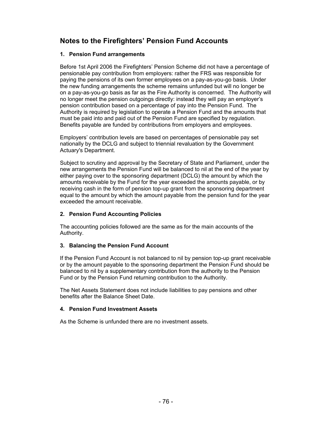## **Notes to the Firefighters' Pension Fund Accounts**

## **1. Pension Fund arrangements**

Before 1st April 2006 the Firefighters' Pension Scheme did not have a percentage of pensionable pay contribution from employers: rather the FRS was responsible for paying the pensions of its own former employees on a pay-as-you-go basis. Under the new funding arrangements the scheme remains unfunded but will no longer be on a pay-as-you-go basis as far as the Fire Authority is concerned. The Authority will no longer meet the pension outgoings directly: instead they will pay an employer's pension contribution based on a percentage of pay into the Pension Fund. The Authority is required by legislation to operate a Pension Fund and the amounts that must be paid into and paid out of the Pension Fund are specified by regulation. Benefits payable are funded by contributions from employers and employees.

Employers' contribution levels are based on percentages of pensionable pay set nationally by the DCLG and subject to triennial revaluation by the Government Actuary's Department.

Subject to scrutiny and approval by the Secretary of State and Parliament, under the new arrangements the Pension Fund will be balanced to nil at the end of the year by either paying over to the sponsoring department (DCLG) the amount by which the amounts receivable by the Fund for the year exceeded the amounts payable, or by receiving cash in the form of pension top-up grant from the sponsoring department equal to the amount by which the amount payable from the pension fund for the year exceeded the amount receivable.

## **2. Pension Fund Accounting Policies**

The accounting policies followed are the same as for the main accounts of the Authority.

## **3. Balancing the Pension Fund Account**

If the Pension Fund Account is not balanced to nil by pension top-up grant receivable or by the amount payable to the sponsoring department the Pension Fund should be balanced to nil by a supplementary contribution from the authority to the Pension Fund or by the Pension Fund returning contribution to the Authority.

The Net Assets Statement does not include liabilities to pay pensions and other benefits after the Balance Sheet Date.

### **4. Pension Fund Investment Assets**

As the Scheme is unfunded there are no investment assets.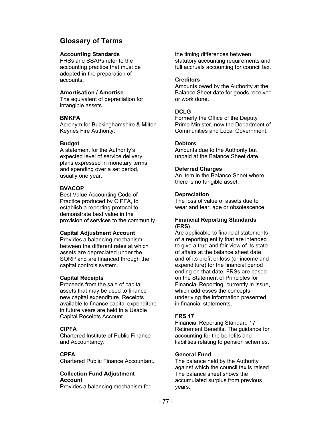## **Glossary of Terms**

### **Accounting Standards**

FRSs and SSAPs refer to the accounting practice that must be adopted in the preparation of accounts.

#### **Amortisation / Amortise**

The equivalent of depreciation for intangible assets.

#### **BMKFA**

Acronym for Buckinghamshire & Milton Keynes Fire Authority.

## **Budget**

A statement for the Authority's expected level of service delivery plans expressed in monetary terms and spending over a set period, usually one year.

## **BVACOP**

Best Value Accounting Code of Practice produced by CIPFA, to establish a reporting protocol to demonstrate best value in the provision of services to the community.

### **Capital Adjustment Account**

Provides a balancing mechanism between the different rates at which assets are depreciated under the SORP and are financed through the capital controls system.

### **Capital Receipts**

Proceeds from the sale of capital assets that may be used to finance new capital expenditure. Receipts available to finance capital expenditure in future years are held in a Usable Capital Receipts Account.

### **CIPFA**

Chartered Institute of Public Finance and Accountancy.

### **CPFA**

Chartered Public Finance Accountant.

### **Collection Fund Adjustment Account**

Provides a balancing mechanism for

the timing differences between statutory accounting requirements and full accruals accounting for council tax.

#### **Creditors**

Amounts owed by the Authority at the Balance Sheet date for goods received or work done.

## **DCLG**

Formerly the Office of the Deputy Prime Minister, now the Department of Communities and Local Government.

### **Debtors**

Amounts due to the Authority but unpaid at the Balance Sheet date.

### **Deferred Charges**

An item in the Balance Sheet where there is no tangible asset.

#### **Depreciation**

The loss of value of assets due to wear and tear, age or obsolescence.

#### **Financial Reporting Standards (FRS)**

Are applicable to financial statements of a reporting entity that are intended to give a true and fair view of its state of affairs at the balance sheet date and of its profit or loss (or income and expenditure) for the financial period ending on that date. FRSs are based on the Statement of Principles for Financial Reporting, currently in issue, which addresses the concepts underlying the information presented in financial statements.

### **FRS 17**

Financial Reporting Standard 17 Retirement Benefits. The guidance for accounting for the benefits and liabilities relating to pension schemes.

### **General Fund**

The balance held by the Authority against which the council tax is raised. The balance sheet shows the accumulated surplus from previous years.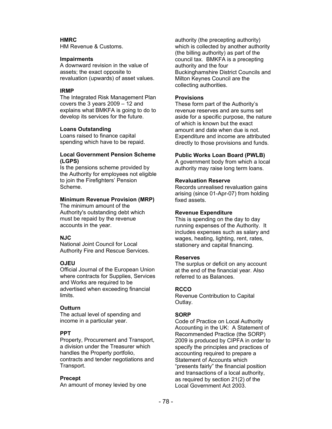## **HMRC**

HM Revenue & Customs.

#### **Impairments**

A downward revision in the value of assets; the exact opposite to revaluation (upwards) of asset values.

#### **IRMP**

The Integrated Risk Management Plan covers the 3 years 2009 – 12 and explains what BMKFA is going to do to develop its services for the future.

#### **Loans Outstanding**

Loans raised to finance capital spending which have to be repaid.

#### **Local Government Pension Scheme (LGPS)**

Is the pensions scheme provided by the Authority for employees not eligible to join the Firefighters' Pension Scheme.

#### **Minimum Revenue Provision (MRP)**

The minimum amount of the Authority's outstanding debt which must be repaid by the revenue accounts in the year.

### **NJC**

National Joint Council for Local Authority Fire and Rescue Services.

### **OJEU**

Official Journal of the European Union where contracts for Supplies, Services and Works are required to be advertised when exceeding financial limits.

### **Outturn**

The actual level of spending and income in a particular year.

#### **PPT**

Property, Procurement and Transport, a division under the Treasurer which handles the Property portfolio, contracts and tender negotiations and Transport.

#### **Precept**

An amount of money levied by one

authority (the precepting authority) which is collected by another authority (the billing authority) as part of the council tax. BMKFA is a precepting authority and the four Buckinghamshire District Councils and Milton Keynes Council are the collecting authorities.

#### **Provisions**

These form part of the Authority's revenue reserves and are sums set aside for a specific purpose, the nature of which is known but the exact amount and date when due is not. Expenditure and income are attributed directly to those provisions and funds.

#### **Public Works Loan Board (PWLB)**

A government body from which a local authority may raise long term loans.

#### **Revaluation Reserve**

Records unrealised revaluation gains arising (since 01-Apr-07) from holding fixed assets.

#### **Revenue Expenditure**

This is spending on the day to day running expenses of the Authority. It includes expenses such as salary and wages, heating, lighting, rent, rates, stationery and capital financing.

#### **Reserves**

The surplus or deficit on any account at the end of the financial year. Also referred to as Balances.

### **RCCO**

Revenue Contribution to Capital Outlay.

### **SORP**

Code of Practice on Local Authority Accounting in the UK: A Statement of Recommended Practice (the SORP) 2009 is produced by CIPFA in order to specify the principles and practices of accounting required to prepare a Statement of Accounts which "presents fairly" the financial position and transactions of a local authority, as required by section 21(2) of the Local Government Act 2003.